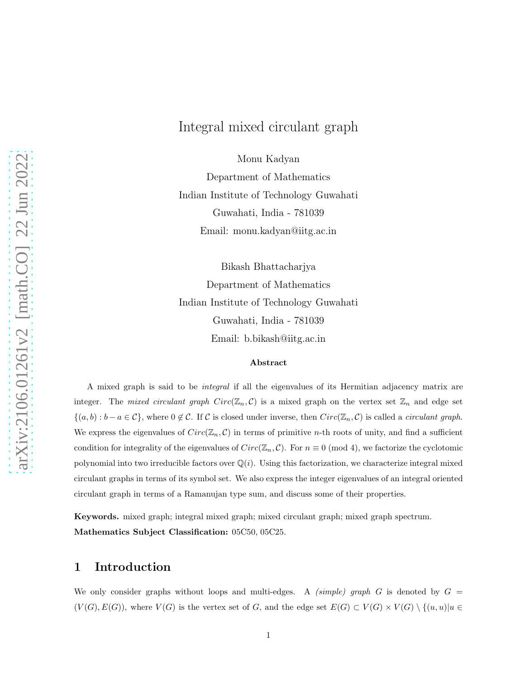## Integral mixed circulant graph

Monu Kadyan

Department of Mathematics Indian Institute of Technology Guwahati Guwahati, India - 781039 Email: monu.kadyan@iitg.ac.in

Bikash Bhattacharjya Department of Mathematics Indian Institute of Technology Guwahati Guwahati, India - 781039 Email: b.bikash@iitg.ac.in

#### Abstract

A mixed graph is said to be *integral* if all the eigenvalues of its Hermitian adjacency matrix are integer. The *mixed circulant graph*  $Circ(\mathbb{Z}_n, \mathcal{C})$  is a mixed graph on the vertex set  $\mathbb{Z}_n$  and edge set  $\{(a, b) : b - a \in C\}$ , where  $0 \notin C$ . If C is closed under inverse, then  $Circ(\mathbb{Z}_n, C)$  is called a *circulant graph*. We express the eigenvalues of  $Circ(\mathbb{Z}_n, \mathcal{C})$  in terms of primitive *n*-th roots of unity, and find a sufficient condition for integrality of the eigenvalues of  $Circ(\mathbb{Z}_n, \mathcal{C})$ . For  $n \equiv 0 \pmod{4}$ , we factorize the cyclotomic polynomial into two irreducible factors over  $\mathbb{Q}(i)$ . Using this factorization, we characterize integral mixed circulant graphs in terms of its symbol set. We also express the integer eigenvalues of an integral oriented circulant graph in terms of a Ramanujan type sum, and discuss some of their properties.

Keywords. mixed graph; integral mixed graph; mixed circulant graph; mixed graph spectrum. Mathematics Subject Classification: 05C50, 05C25.

## 1 Introduction

We only consider graphs without loops and multi-edges. A *(simple) graph* G is denoted by  $G =$  $(V(G), E(G))$ , where  $V(G)$  is the vertex set of G, and the edge set  $E(G) \subset V(G) \times V(G) \setminus \{(u, u)|u \in$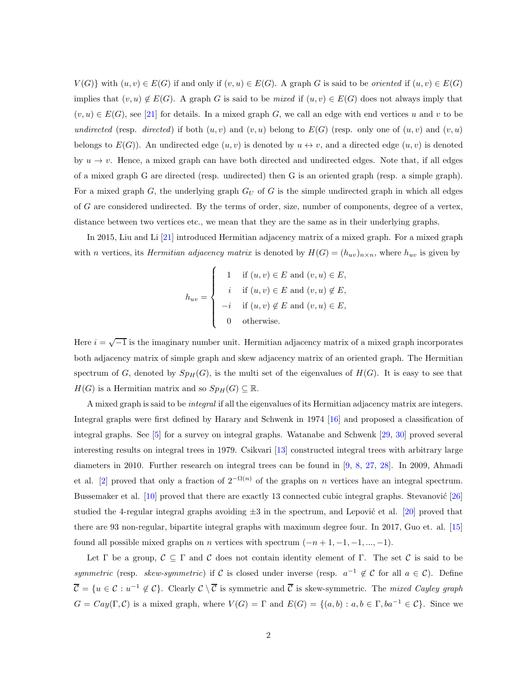$V(G)$  with  $(u, v) \in E(G)$  if and only if  $(v, u) \in E(G)$ . A graph G is said to be *oriented* if  $(u, v) \in E(G)$ implies that  $(v, u) \notin E(G)$ . A graph G is said to be *mixed* if  $(u, v) \in E(G)$  does not always imply that  $(v, u) \in E(G)$ , see [\[21\]](#page-45-0) for details. In a mixed graph G, we call an edge with end vertices u and v to be *undirected* (resp. *directed*) if both  $(u, v)$  and  $(v, u)$  belong to  $E(G)$  (resp. only one of  $(u, v)$  and  $(v, u)$ ) belongs to  $E(G)$ ). An undirected edge  $(u, v)$  is denoted by  $u \leftrightarrow v$ , and a directed edge  $(u, v)$  is denoted by  $u \to v$ . Hence, a mixed graph can have both directed and undirected edges. Note that, if all edges of a mixed graph G are directed (resp. undirected) then G is an oriented graph (resp. a simple graph). For a mixed graph  $G$ , the underlying graph  $G_U$  of G is the simple undirected graph in which all edges of G are considered undirected. By the terms of order, size, number of components, degree of a vertex, distance between two vertices etc., we mean that they are the same as in their underlying graphs.

In 2015, Liu and Li [\[21\]](#page-45-0) introduced Hermitian adjacency matrix of a mixed graph. For a mixed graph with *n* vertices, its *Hermitian adjacency matrix* is denoted by  $H(G) = (h_{uv})_{n \times n}$ , where  $h_{uv}$  is given by

$$
h_{uv} = \begin{cases} 1 & \text{if } (u, v) \in E \text{ and } (v, u) \in E, \\ i & \text{if } (u, v) \in E \text{ and } (v, u) \notin E, \\ -i & \text{if } (u, v) \notin E \text{ and } (v, u) \in E, \\ 0 & \text{otherwise.} \end{cases}
$$

Here  $i = \sqrt{-1}$  is the imaginary number unit. Hermitian adjacency matrix of a mixed graph incorporates both adjacency matrix of simple graph and skew adjacency matrix of an oriented graph. The Hermitian spectrum of G, denoted by  $Sp_H(G)$ , is the multi set of the eigenvalues of  $H(G)$ . It is easy to see that  $H(G)$  is a Hermitian matrix and so  $Sp_H(G) \subseteq \mathbb{R}$ .

A mixed graph is said to be *integral* if all the eigenvalues of its Hermitian adjacency matrix are integers. Integral graphs were first defined by Harary and Schwenk in 1974 [\[16\]](#page-45-1) and proposed a classification of integral graphs. See [\[5\]](#page-44-0) for a survey on integral graphs. Watanabe and Schwenk [\[29,](#page-46-0) [30\]](#page-46-1) proved several interesting results on integral trees in 1979. Csikvari [\[13\]](#page-45-2) constructed integral trees with arbitrary large diameters in 2010. Further research on integral trees can be found in [\[9,](#page-45-3) [8,](#page-45-4) [27,](#page-46-2) [28\]](#page-46-3). In 2009, Ahmadi et al. [\[2\]](#page-44-1) proved that only a fraction of  $2^{-\Omega(n)}$  of the graphs on n vertices have an integral spectrum. Bussemaker et al.  $[10]$  proved that there are exactly 13 connected cubic integral graphs. Stevanović  $[26]$ studied the 4-regular integral graphs avoiding  $\pm 3$  in the spectrum, and Lepović et al. [\[20\]](#page-45-6) proved that there are 93 non-regular, bipartite integral graphs with maximum degree four. In 2017, Guo et. al. [\[15\]](#page-45-7) found all possible mixed graphs on *n* vertices with spectrum  $(-n+1, -1, -1, \dots, -1)$ .

Let Γ be a group,  $\mathcal{C} \subseteq \Gamma$  and  $\mathcal{C}$  does not contain identity element of Γ. The set  $\mathcal{C}$  is said to be *symmetric* (resp. *skew-symmetric*) if C is closed under inverse (resp.  $a^{-1} \notin C$  for all  $a \in C$ ). Define  $\overline{\mathcal{C}} = \{u \in \mathcal{C} : u^{-1} \notin \mathcal{C}\}\.$  Clearly  $\mathcal{C} \setminus \overline{\mathcal{C}}$  is symmetric and  $\overline{\mathcal{C}}$  is skew-symmetric. The *mixed Cayley graph*  $G = Cay(\Gamma, \mathcal{C})$  is a mixed graph, where  $V(G) = \Gamma$  and  $E(G) = \{(a, b) : a, b \in \Gamma, ba^{-1} \in \mathcal{C}\}\)$ . Since we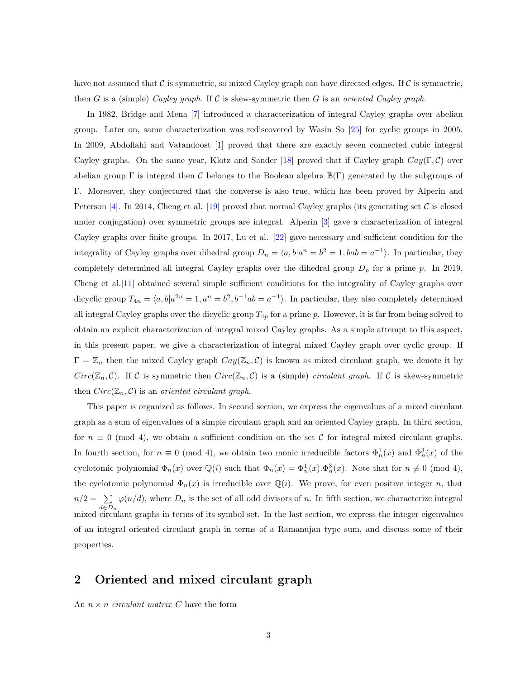have not assumed that  $\mathcal C$  is symmetric, so mixed Cayley graph can have directed edges. If  $\mathcal C$  is symmetric, then G is a (simple) *Cayley graph*. If C is skew-symmetric then G is an *oriented Cayley graph*.

In 1982, Bridge and Mena [\[7\]](#page-44-2) introduced a characterization of integral Cayley graphs over abelian group. Later on, same characterization was rediscovered by Wasin So [\[25\]](#page-46-5) for cyclic groups in 2005. In 2009, Abdollahi and Vatandoost [\[1\]](#page-44-3) proved that there are exactly seven connected cubic integral Cayley graphs. On the same year, Klotz and Sander [\[18\]](#page-45-8) proved that if Cayley graph  $Cay(\Gamma, \mathcal{C})$  over abelian group Γ is integral then C belongs to the Boolean algebra  $\mathbb{B}(\Gamma)$  generated by the subgroups of Γ. Moreover, they conjectured that the converse is also true, which has been proved by Alperin and Peterson [\[4\]](#page-44-4). In 2014, Cheng et al. [\[19\]](#page-45-9) proved that normal Cayley graphs (its generating set  $\mathcal C$  is closed under conjugation) over symmetric groups are integral. Alperin [\[3\]](#page-44-5) gave a characterization of integral Cayley graphs over finite groups. In 2017, Lu et al. [\[22\]](#page-46-6) gave necessary and sufficient condition for the integrality of Cayley graphs over dihedral group  $D_n = \langle a, b | a^n = b^2 = 1, bab = a^{-1} \rangle$ . In particular, they completely determined all integral Cayley graphs over the dihedral group  $D_p$  for a prime p. In 2019, Cheng et al.[\[11\]](#page-45-10) obtained several simple sufficient conditions for the integrality of Cayley graphs over dicyclic group  $T_{4n} = \langle a, b | a^{2n} = 1, a^n = b^2, b^{-1}ab = a^{-1} \rangle$ . In particular, they also completely determined all integral Cayley graphs over the dicyclic group  $T_{4p}$  for a prime p. However, it is far from being solved to obtain an explicit characterization of integral mixed Cayley graphs. As a simple attempt to this aspect, in this present paper, we give a characterization of integral mixed Cayley graph over cyclic group. If  $\Gamma = \mathbb{Z}_n$  then the mixed Cayley graph  $Cay(\mathbb{Z}_n, \mathcal{C})$  is known as mixed circulant graph, we denote it by  $Circ(\mathbb{Z}_n, \mathcal{C})$ . If C is symmetric then  $Circ(\mathbb{Z}_n, \mathcal{C})$  is a (simple) *circulant graph*. If C is skew-symmetric then  $Circ(\mathbb{Z}_n, \mathcal{C})$  is an *oriented circulant graph*.

This paper is organized as follows. In second section, we express the eigenvalues of a mixed circulant graph as a sum of eigenvalues of a simple circulant graph and an oriented Cayley graph. In third section, for  $n \equiv 0 \pmod{4}$ , we obtain a sufficient condition on the set C for integral mixed circulant graphs. In fourth section, for  $n \equiv 0 \pmod{4}$ , we obtain two monic irreducible factors  $\Phi_n^1(x)$  and  $\Phi_n^3(x)$  of the cyclotomic polynomial  $\Phi_n(x)$  over  $\mathbb{Q}(i)$  such that  $\Phi_n(x) = \Phi_n^1(x) \cdot \Phi_n^3(x)$ . Note that for  $n \not\equiv 0 \pmod{4}$ , the cyclotomic polynomial  $\Phi_n(x)$  is irreducible over  $\mathbb{Q}(i)$ . We prove, for even positive integer n, that  $n/2 = \sum$  $d \in D_n$  $\varphi(n/d)$ , where  $D_n$  is the set of all odd divisors of n. In fifth section, we characterize integral mixed circulant graphs in terms of its symbol set. In the last section, we express the integer eigenvalues of an integral oriented circulant graph in terms of a Ramanujan type sum, and discuss some of their properties.

## 2 Oriented and mixed circulant graph

An  $n \times n$  *circulant matrix* C have the form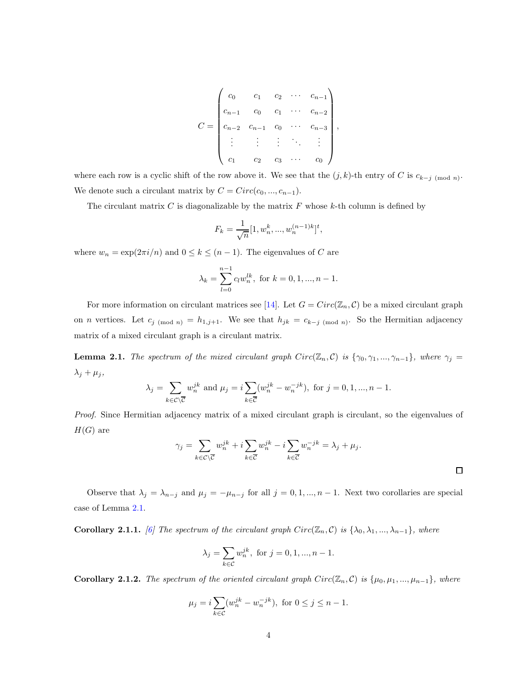$$
C = \begin{pmatrix} c_0 & c_1 & c_2 & \cdots & c_{n-1} \\ c_{n-1} & c_0 & c_1 & \cdots & c_{n-2} \\ c_{n-2} & c_{n-1} & c_0 & \cdots & c_{n-3} \\ \vdots & \vdots & \vdots & \ddots & \vdots \\ c_1 & c_2 & c_3 & \cdots & c_0 \end{pmatrix}
$$

,

where each row is a cyclic shift of the row above it. We see that the  $(j, k)$ -th entry of C is  $c_{k-j \pmod{n}}$ . We denote such a circulant matrix by  $C = Circ(c_0, ..., c_{n-1}).$ 

The circulant matrix  $C$  is diagonalizable by the matrix  $F$  whose  $k$ -th column is defined by

$$
F_k = \frac{1}{\sqrt{n}} [1, w_n^k, ..., w_n^{(n-1)k}]^t,
$$

where  $w_n = \exp(2\pi i/n)$  and  $0 \le k \le (n-1)$ . The eigenvalues of C are

$$
\lambda_k = \sum_{l=0}^{n-1} c_l w_n^{lk}, \text{ for } k = 0, 1, ..., n-1.
$$

For more information on circulant matrices see [\[14\]](#page-45-11). Let  $G = Circ(\mathbb{Z}_n, C)$  be a mixed circulant graph on *n* vertices. Let  $c_{j \pmod{n}} = h_{1,j+1}$ . We see that  $h_{jk} = c_{k-j \pmod{n}}$ . So the Hermitian adjacency matrix of a mixed circulant graph is a circulant matrix.

**Lemma 2.1.** *The spectrum of the mixed circulant graph*  $Circ(\mathbb{Z}_n, \mathcal{C})$  *is*  $\{\gamma_0, \gamma_1, ..., \gamma_{n-1}\}\$ *, where*  $\gamma_j =$  $\lambda_j + \mu_j$ ,

$$
\lambda_j = \sum_{k \in \mathcal{C} \setminus \overline{\mathcal{C}}} w_n^{jk} \text{ and } \mu_j = i \sum_{k \in \overline{\mathcal{C}}} (w_n^{jk} - w_n^{-jk}), \text{ for } j = 0, 1, ..., n-1.
$$

*Proof.* Since Hermitian adjacency matrix of a mixed circulant graph is circulant, so the eigenvalues of  $H(G)$  are

$$
\gamma_j = \sum_{k \in \mathcal{C} \setminus \overline{\mathcal{C}}} w_n^{jk} + i \sum_{k \in \overline{\mathcal{C}}} w_n^{jk} - i \sum_{k \in \overline{\mathcal{C}}} w_n^{-jk} = \lambda_j + \mu_j.
$$

Observe that  $\lambda_j = \lambda_{n-j}$  and  $\mu_j = -\mu_{n-j}$  for all  $j = 0, 1, ..., n-1$ . Next two corollaries are special case of Lemma [2.1.](#page-25-0)

**Corollary 2.1.1.** *[\[6\]](#page-44-6)* The spectrum of the circulant graph  $Circ(\mathbb{Z}_n, \mathcal{C})$  is  $\{\lambda_0, \lambda_1, ..., \lambda_{n-1}\}\$ , where

$$
\lambda_j=\sum_{k\in\mathcal{C}}w_n^{jk},\text{ for }j=0,1,...,n-1.
$$

Corollary 2.1.2. *The spectrum of the oriented circulant graph*  $Circ(\mathbb{Z}_n, \mathcal{C})$  *is*  $\{\mu_0, \mu_1, ..., \mu_{n-1}\}\$ *, where* 

$$
\mu_j = i \sum_{k \in \mathcal{C}} (w_n^{jk} - w_n^{-jk}), \text{ for } 0 \le j \le n - 1.
$$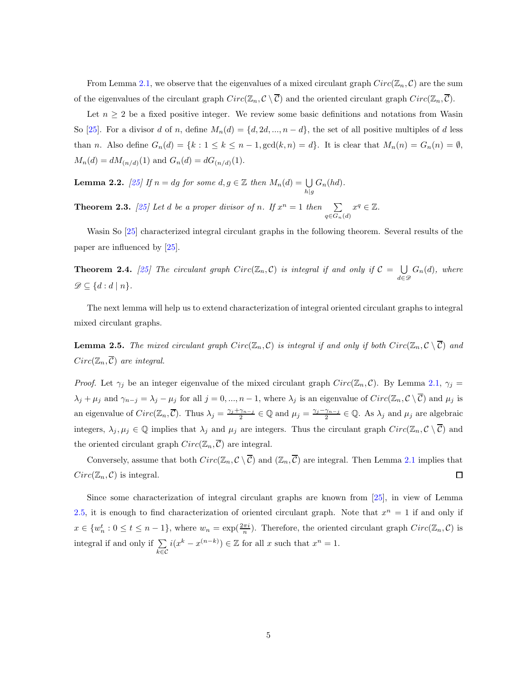From Lemma [2.1,](#page-25-0) we observe that the eigenvalues of a mixed circulant graph  $Circ(\mathbb{Z}_n, \mathcal{C})$  are the sum of the eigenvalues of the circulant graph  $Circ(\mathbb{Z}_n, \mathcal{C} \setminus \overline{\mathcal{C}})$  and the oriented circulant graph  $Circ(\mathbb{Z}_n, \overline{\mathcal{C}})$ .

Let  $n \geq 2$  be a fixed positive integer. We review some basic definitions and notations from Wasin So [\[25\]](#page-46-5). For a divisor d of n, define  $M_n(d) = \{d, 2d, ..., n-d\}$ , the set of all positive multiples of d less than n. Also define  $G_n(d) = \{k : 1 \leq k \leq n-1, \gcd(k, n) = d\}$ . It is clear that  $M_n(n) = G_n(n) = \emptyset$ ,  $M_n(d) = dM_{(n/d)}(1)$  and  $G_n(d) = dG_{(n/d)}(1)$ .

**Lemma 2.2.** [\[25\]](#page-46-5) If  $n = dg$  for some  $d, g \in \mathbb{Z}$  then  $M_n(d) = \bigcup_{h|g} G_n(hd)$ .

**Theorem 2.3.** [\[25\]](#page-46-5) Let d be a proper divisor of n. If  $x^n = 1$  then  $\sum$  $q \in G_n(d)$  $x^q \in \mathbb{Z}$ .

Wasin So [\[25\]](#page-46-5) characterized integral circulant graphs in the following theorem. Several results of the paper are influenced by [\[25\]](#page-46-5).

**Theorem 2.4.** [\[25\]](#page-46-5) The circulant graph  $Circ(\mathbb{Z}_n, \mathcal{C})$  is integral if and only if  $\mathcal{C} = \bigcup_{i \in \mathcal{C}_n}$  $\bigcup_{d \in \mathscr{D}} G_n(d)$ , where  $\mathscr{D} \subseteq \{d : d \mid n\}.$ 

The next lemma will help us to extend characterization of integral oriented circulant graphs to integral mixed circulant graphs.

**Lemma 2.5.** The mixed circulant graph  $Circ(\mathbb{Z}_n, \mathcal{C})$  is integral if and only if both  $Circ(\mathbb{Z}_n, \mathcal{C} \setminus \overline{\mathcal{C}})$  and  $Circ(\mathbb{Z}_n, \overline{\mathcal{C}})$  *are integral.* 

*Proof.* Let  $\gamma_j$  be an integer eigenvalue of the mixed circulant graph  $Circ(\mathbb{Z}_n, \mathcal{C})$ . By Lemma [2.1,](#page-25-0)  $\gamma_j =$  $\lambda_j + \mu_j$  and  $\gamma_{n-j} = \lambda_j - \mu_j$  for all  $j = 0, ..., n-1$ , where  $\lambda_j$  is an eigenvalue of  $Circ(\mathbb{Z}_n, \mathcal{C} \setminus \overline{\mathcal{C}})$  and  $\mu_j$  is an eigenvalue of  $Circ(\mathbb{Z}_n, \overline{C})$ . Thus  $\lambda_j = \frac{\gamma_j + \gamma_{n-j}}{2}$  $\frac{\gamma_{n-j}}{2} \in \mathbb{Q}$  and  $\mu_j = \frac{\gamma_j - \gamma_{n-j}}{2}$  $\frac{\gamma_{n-j}}{2} \in \mathbb{Q}$ . As  $\lambda_j$  and  $\mu_j$  are algebraic integers,  $\lambda_j, \mu_j \in \mathbb{Q}$  implies that  $\lambda_j$  and  $\mu_j$  are integers. Thus the circulant graph  $Circ(\mathbb{Z}_n, \mathcal{C} \setminus \overline{\mathcal{C}})$  and the oriented circulant graph  $Circ(\mathbb{Z}_n, \overline{C})$  are integral.

Conversely, assume that both  $Circ(\mathbb{Z}_n, \mathcal{C} \setminus \overline{\mathcal{C}})$  and  $(\mathbb{Z}_n, \overline{\mathcal{C}})$  are integral. Then Lemma [2.1](#page-25-0) implies that  $Circ(\mathbb{Z}_n, \mathcal{C})$  is integral.  $\Box$ 

Since some characterization of integral circulant graphs are known from [\[25\]](#page-46-5), in view of Lemma [2.5,](#page-26-0) it is enough to find characterization of oriented circulant graph. Note that  $x^n = 1$  if and only if  $x \in \{w_n^t : 0 \le t \le n-1\}$ , where  $w_n = \exp(\frac{2\pi i}{n})$ . Therefore, the oriented circulant graph  $Circ(\mathbb{Z}_n, \mathcal{C})$  is integral if and only if  $\Sigma$ k∈C  $i(x^k - x^{(n-k)}) \in \mathbb{Z}$  for all x such that  $x^n = 1$ .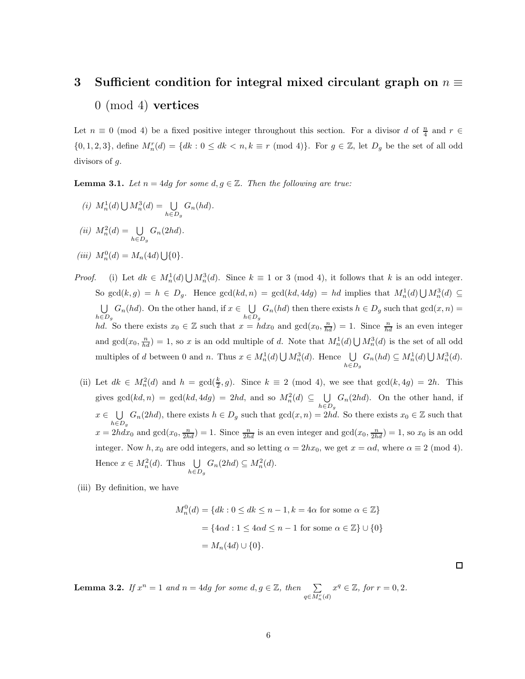# 3 Sufficient condition for integral mixed circulant graph on  $n \equiv$ 0 (mod 4) vertices

Let  $n \equiv 0 \pmod{4}$  be a fixed positive integer throughout this section. For a divisor d of  $\frac{n}{4}$  and  $r \in$  $\{0, 1, 2, 3\}$ , define  $M_n^r(d) = \{dk : 0 \leq dk < n, k \equiv r \pmod{4}\}$ . For  $g \in \mathbb{Z}$ , let  $D_g$  be the set of all odd divisors of g.

**Lemma 3.1.** *Let*  $n = 4dg$  *for some*  $d, g \in \mathbb{Z}$ *. Then the following are true:* 

(i) 
$$
M_n^1(d) \bigcup M_n^3(d) = \bigcup_{h \in D_g} G_n(hd).
$$

$$
(ii) M_n^2(d) = \bigcup_{h \in D_g} G_n(2hd).
$$

(*iii*)  $M_n^0(d) = M_n(4d) \bigcup \{0\}.$ 

*Proof.* (i) Let  $dk \in M_n^1(d) \cup M_n^3(d)$ . Since  $k \equiv 1$  or 3 (mod 4), it follows that k is an odd integer. So  $gcd(k,g) = h \in D_g$ . Hence  $gcd(kd,n) = gcd(kd, 4dg) = hd$  implies that  $M_n^1(d) \cup M_n^3(d) \subseteq$ U  $\bigcup_{h \in D_g} G_n(hd)$ . On the other hand, if  $x \in \bigcup_{h \in L}$  $\bigcup_{h\in D_g} G_n(hd)$  then there exists  $h\in D_g$  such that  $gcd(x, n) =$ hd. So there exists  $x_0 \in \mathbb{Z}$  such that  $x = h dx_0$  and  $gcd(x_0, \frac{n}{hd}) = 1$ . Since  $\frac{n}{hd}$  is an even integer and  $gcd(x_0, \frac{n}{hd}) = 1$ , so x is an odd multiple of d. Note that  $M_n^1(d) \bigcup M_n^3(d)$  is the set of all odd multiples of d between 0 and n. Thus  $x \in M_n^1(d) \bigcup M_n^3(d)$ . Hence  $\bigcup$  $\bigcup_{h \in D_g} G_n(hd) \subseteq M_n^1(d) \bigcup M_n^3(d).$ 

- (ii) Let  $dk \in M_n^2(d)$  and  $h = \gcd(\frac{k}{2}, g)$ . Since  $k \equiv 2 \pmod{4}$ , we see that  $\gcd(k, 4g) = 2h$ . This gives  $gcd(kd, n) = gcd(kd, 4dg) = 2hd$ , and so  $M_n^2(d) \subseteq \bigcup_{n=1}^{\infty}$  $h \in D_g$  $G_n(2hd)$ . On the other hand, if  $x \in \bigcup_{x \in \mathcal{F}}$  $\bigcup_{h\in D_g} G_n(2hd)$ , there exists  $h \in D_g$  such that  $gcd(x, n) = 2hd$ . So there exists  $x_0 \in \mathbb{Z}$  such that  $x = 2hdx_0$  and  $gcd(x_0, \frac{n}{2hd}) = 1$ . Since  $\frac{n}{2hd}$  is an even integer and  $gcd(x_0, \frac{n}{2hd}) = 1$ , so  $x_0$  is an odd integer. Now h,  $x_0$  are odd integers, and so letting  $\alpha = 2hx_0$ , we get  $x = \alpha d$ , where  $\alpha \equiv 2 \pmod{4}$ . Hence  $x \in M_n^2(d)$ . Thus  $\bigcup_{n \in \mathbb{N}}$  $\bigcup_{h \in D_g} G_n(2hd) \subseteq M_n^2(d).$
- (iii) By definition, we have

$$
M_n^0(d) = \{ dk : 0 \le dk \le n - 1, k = 4\alpha \text{ for some } \alpha \in \mathbb{Z} \}
$$

$$
= \{ 4\alpha d : 1 \le 4\alpha d \le n - 1 \text{ for some } \alpha \in \mathbb{Z} \} \cup \{ 0 \}
$$

$$
= M_n(4d) \cup \{ 0 \}.
$$

 $\Box$ 

**Lemma 3.2.** *If*  $x^n = 1$  *and*  $n = 4dg$  *for some*  $d, g \in \mathbb{Z}$ *, then*  $\sum_{q \in M_n^r(d)}$  $x^q \in \mathbb{Z}$ *, for*  $r = 0, 2$ *.*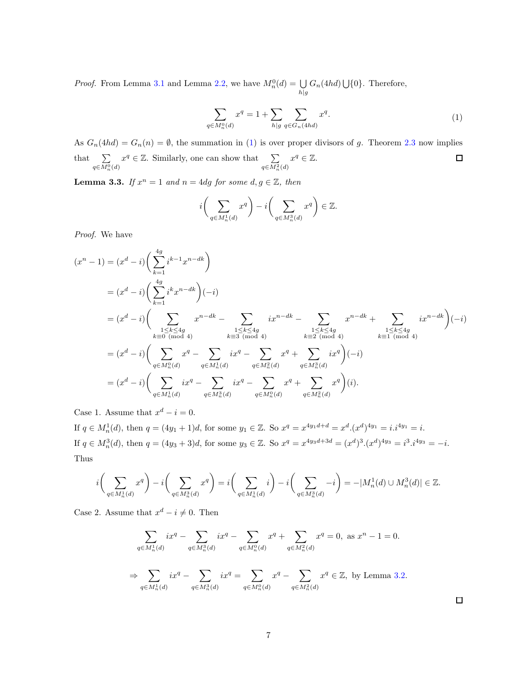*Proof.* From Lemma [3.1](#page-27-0) and Lemma [2.2,](#page-26-1) we have  $M_n^0(d) = \bigcup$  $\bigcup_{h|g} G_n(4hd) \bigcup \{0\}.$  Therefore,

$$
\sum_{q \in M_n^0(d)} x^q = 1 + \sum_{h|g} \sum_{q \in G_n(4hd)} x^q.
$$
\n(1)

As  $G_n(4hd) = G_n(n) = \emptyset$ , the summation in [\(1\)](#page-28-0) is over proper divisors of g. Theorem [2.3](#page-26-2) now implies  $x^q \in \mathbb{Z}$ . Similarly, one can show that  $\sum_{q \in M_n^2(d)}$  $x^q \in \mathbb{Z}$ .  $\Box$ that  $\sum$  $q \in M_n^0(d)$ 

**Lemma 3.3.** *If*  $x^n = 1$  *and*  $n = 4dg$  *for some*  $d, g \in \mathbb{Z}$ *, then* 

$$
i\bigg(\sum_{q\in M_n^1(d)} x^q\bigg) - i\bigg(\sum_{q\in M_n^3(d)} x^q\bigg) \in \mathbb{Z}.
$$

*Proof.* We have

$$
(x^{n} - 1) = (x^{d} - i) \left( \sum_{k=1}^{4g} i^{k-1} x^{n-k} \right)
$$
  
\n
$$
= (x^{d} - i) \left( \sum_{k=1}^{4g} i^{k} x^{n-k} \right) (-i)
$$
  
\n
$$
= (x^{d} - i) \left( \sum_{\substack{1 \le k \le 4g \\ k \equiv 0 \pmod{4}}} x^{n-k} - \sum_{\substack{1 \le k \le 4g \\ k \equiv 3 \pmod{4}}} ix^{n-k} - \sum_{\substack{1 \le k \le 4g \\ k \equiv 2 \pmod{4}}} x^{n-k} + \sum_{\substack{1 \le k \le 4g \\ k \equiv 1 \pmod{4}}} ix^{n-k} \right) (-i)
$$
  
\n
$$
= (x^{d} - i) \left( \sum_{q \in M_{n}^{0}(d)} x^{q} - \sum_{q \in M_{n}^{1}(d)} ix^{q} - \sum_{q \in M_{n}^{2}(d)} x^{q} + \sum_{q \in M_{n}^{3}(d)} ix^{q} \right) (-i)
$$
  
\n
$$
= (x^{d} - i) \left( \sum_{q \in M_{n}^{1}(d)} ix^{q} - \sum_{q \in M_{n}^{3}(d)} ix^{q} - \sum_{q \in M_{n}^{0}(d)} x^{q} + \sum_{q \in M_{n}^{2}(d)} x^{q} \right) (i).
$$

Case 1. Assume that  $x^d - i = 0$ .

If  $q \in M_n^1(d)$ , then  $q = (4y_1 + 1)d$ , for some  $y_1 \in \mathbb{Z}$ . So  $x^q = x^{4y_1d + d} = x^d.(x^d)^{4y_1} = i.i^{4y_1} = i.$ If  $q \in M_n^3(d)$ , then  $q = (4y_3 + 3)d$ , for some  $y_3 \in \mathbb{Z}$ . So  $x^q = x^{4y_3d+3d} = (x^d)^3 \cdot (x^d)^{4y_3} = i^3 \cdot i^{4y_3} = -i$ . Thus

$$
i\bigg(\sum_{q\in M_n^1(d)} x^q\bigg)-i\bigg(\sum_{q\in M_n^3(d)} x^q\bigg)=i\bigg(\sum_{q\in M_n^1(d)} i\bigg)-i\bigg(\sum_{q\in M_n^3(d)} -i\bigg)=-|M_n^1(d)\cup M_n^3(d)|\in\mathbb{Z}.
$$

Case 2. Assume that  $x^d - i \neq 0$ . Then

$$
\sum_{q \in M_n^1(d)} ix^q - \sum_{q \in M_n^3(d)} ix^q - \sum_{q \in M_n^0(d)} x^q + \sum_{q \in M_n^2(d)} x^q = 0, \text{ as } x^n - 1 = 0.
$$
  

$$
\Rightarrow \sum_{q \in M_n^1(d)} ix^q - \sum_{q \in M_n^3(d)} ix^q = \sum_{q \in M_n^0(d)} x^q - \sum_{q \in M_n^2(d)} x^q \in \mathbb{Z}, \text{ by Lemma 3.2.}
$$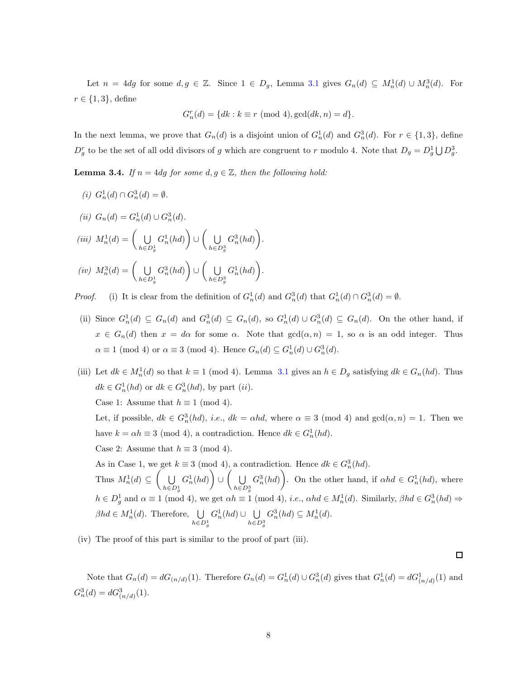Let  $n = 4dg$  for some  $d, g \in \mathbb{Z}$ . Since  $1 \in D_g$ , Lemma [3.1](#page-27-0) gives  $G_n(d) \subseteq M_n^1(d) \cup M_n^3(d)$ . For  $r \in \{1,3\}$ , define

$$
G_n^r(d) = \{ dk : k \equiv r \pmod{4}, \gcd(dk, n) = d \}.
$$

In the next lemma, we prove that  $G_n(d)$  is a disjoint union of  $G_n^1(d)$  and  $G_n^3(d)$ . For  $r \in \{1,3\}$ , define  $D_g^r$  to be the set of all odd divisors of g which are congruent to r modulo 4. Note that  $D_g = D_g^1 \bigcup D_g^3$ .

**Lemma 3.4.** *If*  $n = 4dg$  *for some*  $d, g \in \mathbb{Z}$ *, then the following hold:* 

*(i)*  $G_n^1(d) \cap G_n^3(d) = \emptyset$ . (*ii*)  $G_n(d) = G_n^1(d) \cup G_n^3(d)$ .  $(iii)$   $M_n^1(d) = \begin{pmatrix} 1 \\ 1 \end{pmatrix}$  $h \in D_a^1$ g  $G_n^1(hd)$ ∪  $\big($  U  $h \in D^3$ g  $G_n^3(hd)$ .  $(iv)$   $M_n^3(d) = \begin{pmatrix} 1 \\ 0 \end{pmatrix}$  $h \in D_a^1$ g  $G_n^3(hd)$ ∪  $\big($  U  $h \in D^3$ g  $G_n^1(hd)$ .

*Proof.* (i) It is clear from the definition of  $G_n^1(d)$  and  $G_n^3(d)$  that  $G_n^1(d) \cap G_n^3(d) = \emptyset$ .

- (ii) Since  $G_n^1(d) \subseteq G_n(d)$  and  $G_n^3(d) \subseteq G_n(d)$ , so  $G_n^1(d) \cup G_n^3(d) \subseteq G_n(d)$ . On the other hand, if  $x \in G_n(d)$  then  $x = d\alpha$  for some  $\alpha$ . Note that  $gcd(\alpha, n) = 1$ , so  $\alpha$  is an odd integer. Thus  $\alpha \equiv 1 \pmod{4}$  or  $\alpha \equiv 3 \pmod{4}$ . Hence  $G_n(d) \subseteq G_n^1(d) \cup G_n^3(d)$ .
- (iii) Let  $dk \in M_n^1(d)$  so that  $k \equiv 1 \pmod{4}$ . Lemma [3.1](#page-27-0) gives an  $h \in D_g$  satisfying  $dk \in G_n(hd)$ . Thus  $dk \in G_n^1(hd)$  or  $dk \in G_n^3(hd)$ , by part  $(ii)$ . Case 1: Assume that  $h \equiv 1 \pmod{4}$ .

Let, if possible,  $dk \in G_n^3(hd)$ , *i.e.*,  $dk = \alpha hd$ , where  $\alpha \equiv 3 \pmod{4}$  and  $gcd(\alpha, n) = 1$ . Then we have  $k = \alpha h \equiv 3 \pmod{4}$ , a contradiction. Hence  $dk \in G_n^1(hd)$ .

Case 2: Assume that  $h \equiv 3 \pmod{4}$ .

As in Case 1, we get  $k \equiv 3 \pmod{4}$ , a contradiction. Hence  $dk \in G_n^3(hd)$ . Thus  $M_n^1(d) \subseteq \left( \begin{array}{c} \bigcup \end{array} \right)$  $h \in D_g^1$  $G_n^1(hd)$ ∪  $\overline{\cup}$  $h{\in}D_g^3$  $G_n^3(hd)$ . On the other hand, if  $\alpha hd \in G_n^1(hd)$ , where  $h \in D_g^1$  and  $\alpha \equiv 1 \pmod{4}$ , we get  $\alpha h \equiv 1 \pmod{4}$ , *i.e.*,  $\alpha hd \in M_n^1(d)$ . Similarly,  $\beta hd \in G_n^3(hd) \Rightarrow$  $\beta hd \in M_n^1(d)$ . Therefore,  $\bigcup_{n \in \mathbb{N}}$  $h \in D_g^1$  $G_n^1(hd) \cup \bigcup_{n=1}^{\infty}$  $h \in D_g^3$  $G_n^3(hd) \subseteq M_n^1(d)$ .

(iv) The proof of this part is similar to the proof of part (iii).

 $\Box$ 

Note that  $G_n(d) = dG_{(n/d)}(1)$ . Therefore  $G_n(d) = G_n^1(d) \cup G_n^3(d)$  gives that  $G_n^1(d) = dG_{(n/d)}^1(1)$  and  $G_n^3(d) = dG_{(n/d)}^3(1).$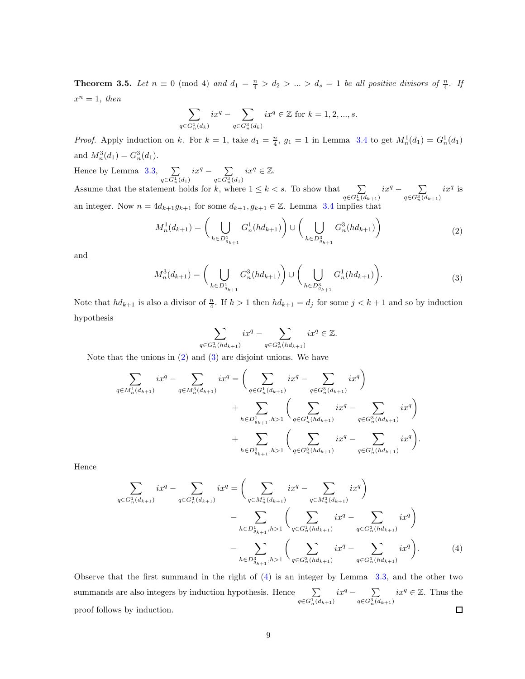**Theorem 3.5.** Let  $n \equiv 0 \pmod{4}$  and  $d_1 = \frac{n}{4} > d_2 > ... > d_s = 1$  be all positive divisors of  $\frac{n}{4}$ . If  $x^n = 1$ , then

$$
\sum_{q \in G_n^1(d_k)} ix^q - \sum_{q \in G_n^3(d_k)} ix^q \in \mathbb{Z} \text{ for } k = 1, 2, ..., s.
$$

*Proof.* Apply induction on k. For  $k = 1$ , take  $d_1 = \frac{n}{4}$ ,  $g_1 = 1$  in Lemma [3.4](#page-29-0) to get  $M_n^1(d_1) = G_n^1(d_1)$ and  $M_n^3(d_1) = G_n^3(d_1)$ .

Hence by Lemma  $3.3$ ,  $\Sigma$  $\sum_{q \in G_n^1(d_1)} ix^q - \sum_{q \in G_n^3}$  $\sum_{q \in G_n^3(d_1)} ix^q \in \mathbb{Z}.$ Assume that the statement holds for k, where  $1 \leq k < s$ . To show that  $\sum_{q \in G_n^1(d_{k+1})} ix^q - \sum_{q \in G_n^3(d_{k+1})}$  $q \in G_n^3(d_{k+1})$  $ix^q$  is an integer. Now  $n = 4d_{k+1}g_{k+1}$  for some  $d_{k+1}, g_{k+1} \in \mathbb{Z}$ . Lemma [3.4](#page-29-0) implies that

$$
M_n^1(d_{k+1}) = \left(\bigcup_{h \in D_{g_{k+1}}^1} G_n^1(hd_{k+1})\right) \cup \left(\bigcup_{h \in D_{g_{k+1}}^3} G_n^3(hd_{k+1})\right) \tag{2}
$$

and

$$
M_n^3(d_{k+1}) = \bigg(\bigcup_{h \in D_{g_{k+1}}^1} G_n^3(hd_{k+1})\bigg) \cup \bigg(\bigcup_{h \in D_{g_{k+1}}^3} G_n^1(hd_{k+1})\bigg). \tag{3}
$$

Note that  $hd_{k+1}$  is also a divisor of  $\frac{n}{4}$ . If  $h > 1$  then  $hd_{k+1} = d_j$  for some  $j < k+1$  and so by induction hypothesis

$$
\sum_{\in G_n^1(hd_{k+1})} ix^q - \sum_{q \in G_n^3(hd_{k+1})} ix^q \in \mathbb{Z}.
$$

Note that the unions in [\(2\)](#page-30-0) and [\(3\)](#page-30-1) are disjoint unions. We have

 $q$ 

$$
\sum_{q \in M_n^1(d_{k+1})} ix^q - \sum_{q \in M_n^3(d_{k+1})} ix^q = \left( \sum_{q \in G_n^1(d_{k+1})} ix^q - \sum_{q \in G_n^3(d_{k+1})} ix^q \right) \n+ \sum_{h \in D_{g_{k+1}}^1, h > 1} \left( \sum_{q \in G_n^1(hd_{k+1})} ix^q - \sum_{q \in G_n^3(hd_{k+1})} ix^q \right) \n+ \sum_{h \in D_{g_{k+1}}^3, h > 1} \left( \sum_{q \in G_n^3(hd_{k+1})} ix^q - \sum_{q \in G_n^1(hd_{k+1})} ix^q \right).
$$

Hence

$$
\sum_{q \in G_n^1(d_{k+1})} ix^q - \sum_{q \in G_n^3(d_{k+1})} ix^q = \left( \sum_{q \in M_n^1(d_{k+1})} ix^q - \sum_{q \in M_n^3(d_{k+1})} ix^q \right) \n- \sum_{h \in D_{g_{k+1}}^1, h > 1} \left( \sum_{q \in G_n^1(d_{k+1})} ix^q - \sum_{q \in G_n^3(hd_{k+1})} ix^q \right) \n- \sum_{h \in D_{g_{k+1}}^3, h > 1} \left( \sum_{q \in G_n^3(hd_{k+1})} ix^q - \sum_{q \in G_n^1(hd_{k+1})} ix^q \right).
$$
\n(4)

Observe that the first summand in the right of  $(4)$  is an integer by Lemma [3.3,](#page-28-2) and the other two  $\sum_{q \in G_n^1(d_{k+1})} ix^q - \sum_{q \in G_n^3(d)}$  $\sum_{q \in G_n^3(d_{k+1})} ix^q \in \mathbb{Z}$ . Thus the summands are also integers by induction hypothesis. Hence  $\sum$ proof follows by induction.  $\Box$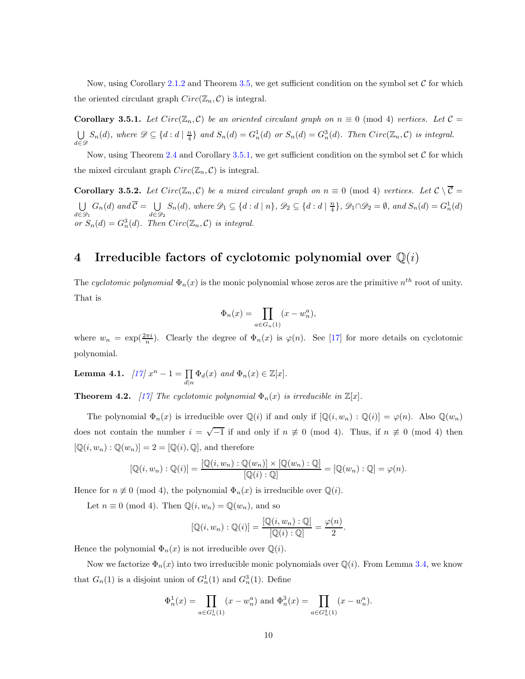Now, using Corollary [2.1.2](#page-26-3) and Theorem [3.5,](#page-30-3) we get sufficient condition on the symbol set  $\mathcal C$  for which the oriented circulant graph  $Circ(\mathbb{Z}_n, \mathcal{C})$  is integral.

**Corollary 3.5.1.** Let  $Circ(\mathbb{Z}_n, \mathcal{C})$  be an oriented circulant graph on  $n \equiv 0 \pmod{4}$  vertices. Let  $\mathcal{C} =$ U  $\bigcup_{d \in \mathscr{D}} S_n(d)$ , where  $\mathscr{D} \subseteq \{d : d \mid \frac{n}{4}\}$  and  $S_n(d) = G_n^1(d)$  or  $S_n(d) = G_n^3(d)$ . Then  $Circ(\mathbb{Z}_n, \mathcal{C})$  is integral.

Now, using Theorem [2.4](#page-26-4) and Corollary [3.5.1,](#page-31-0) we get sufficient condition on the symbol set  $C$  for which the mixed circulant graph  $Circ(\mathbb{Z}_n, \mathcal{C})$  is integral.

**Corollary 3.5.2.** Let  $Circ(\mathbb{Z}_n, \mathcal{C})$  be a mixed circulant graph on  $n \equiv 0 \pmod{4}$  vertices. Let  $\mathcal{C} \setminus \overline{\mathcal{C}} =$ U  $\bigcup_{d \in \mathscr{D}_1} G_n(d)$  and  $\mathcal{C} = \bigcup_{d \in \mathscr{D}_1}$  $\bigcup_{d \in \mathcal{D}_2} S_n(d)$ *, where*  $\mathcal{D}_1 \subseteq \{d : d \mid n\}$ *,*  $\mathcal{D}_2 \subseteq \{d : d \mid \frac{n}{4}\}$ *,*  $\mathcal{D}_1 \cap \mathcal{D}_2 = \emptyset$ *, and*  $S_n(d) = G_n^1(d)$ or  $S_n(d) = G_n^3(d)$ . Then  $Circ(\mathbb{Z}_n, C)$  *is integral.* 

## 4 Irreducible factors of cyclotomic polynomial over  $\mathbb{Q}(i)$

The *cyclotomic polynomial*  $\Phi_n(x)$  is the monic polynomial whose zeros are the primitive  $n^{th}$  root of unity. That is

$$
\Phi_n(x) = \prod_{a \in G_n(1)} (x - w_n^a),
$$

where  $w_n = \exp(\frac{2\pi i}{n})$ . Clearly the degree of  $\Phi_n(x)$  is  $\varphi(n)$ . See [\[17\]](#page-45-12) for more details on cyclotomic polynomial.

**Lemma 4.1.**  $[17] x^n - 1 = \prod_{d|n} \Phi_d(x)$  $[17] x^n - 1 = \prod_{d|n} \Phi_d(x)$  and  $\Phi_n(x) \in \mathbb{Z}[x]$ .

**Theorem 4.2.** [\[17\]](#page-45-12) The cyclotomic polynomial  $\Phi_n(x)$  is irreducible in  $\mathbb{Z}[x]$ .

The polynomial  $\Phi_n(x)$  is irreducible over  $\mathbb{Q}(i)$  if and only if  $[\mathbb{Q}(i, w_n) : \mathbb{Q}(i)] = \varphi(n)$ . Also  $\mathbb{Q}(w_n)$ does not contain the number  $i = \sqrt{-1}$  if and only if  $n \neq 0 \pmod{4}$ . Thus, if  $n \neq 0 \pmod{4}$  then  $[\mathbb{Q}(i, w_n) : \mathbb{Q}(w_n)] = 2 = [\mathbb{Q}(i), \mathbb{Q}],$  and therefore

$$
[\mathbb{Q}(i, w_n) : \mathbb{Q}(i)] = \frac{[\mathbb{Q}(i, w_n) : \mathbb{Q}(w_n)] \times [\mathbb{Q}(w_n) : \mathbb{Q}]}{[\mathbb{Q}(i) : \mathbb{Q}]} = [\mathbb{Q}(w_n) : \mathbb{Q}] = \varphi(n).
$$

Hence for  $n \not\equiv 0 \pmod{4}$ , the polynomial  $\Phi_n(x)$  is irreducible over  $\mathbb{Q}(i)$ .

Let  $n \equiv 0 \pmod{4}$ . Then  $\mathbb{Q}(i, w_n) = \mathbb{Q}(w_n)$ , and so

$$
[\mathbb{Q}(i, w_n) : \mathbb{Q}(i)] = \frac{[\mathbb{Q}(i, w_n) : \mathbb{Q}]}{[\mathbb{Q}(i) : \mathbb{Q}]} = \frac{\varphi(n)}{2}.
$$

Hence the polynomial  $\Phi_n(x)$  is not irreducible over  $\mathbb{Q}(i)$ .

Now we factorize  $\Phi_n(x)$  into two irreducible monic polynomials over  $\mathbb{Q}(i)$ . From Lemma [3.4,](#page-29-0) we know that  $G_n(1)$  is a disjoint union of  $G_n^1(1)$  and  $G_n^3(1)$ . Define

$$
\Phi_n^1(x) = \prod_{a \in G_n^1(1)} (x - w_n^a) \text{ and } \Phi_n^3(x) = \prod_{a \in G_n^3(1)} (x - w_n^a).
$$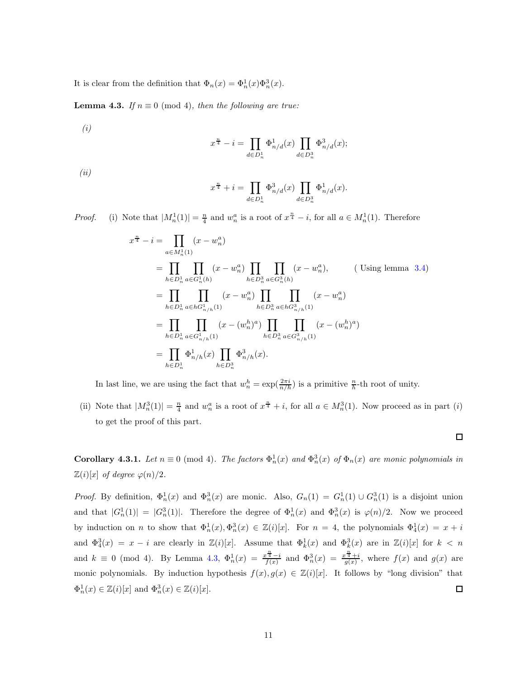It is clear from the definition that  $\Phi_n(x) = \Phi_n^1(x)\Phi_n^3(x)$ .

**Lemma 4.3.** *If*  $n \equiv 0 \pmod{4}$ *, then the following are true:* 

*(i)*

$$
x^{\frac{n}{4}} - i = \prod_{d \in D_n^1} \Phi_{n/d}^1(x) \prod_{d \in D_n^3} \Phi_{n/d}^3(x);
$$

*(ii)*

$$
x^{\frac{n}{4}} + i = \prod_{d \in D_n^1} \Phi_{n/d}^3(x) \prod_{d \in D_n^3} \Phi_{n/d}^1(x).
$$

*Proof.* (i) Note that  $|M_n^1(1)| = \frac{n}{4}$  and  $w_n^a$  is a root of  $x^{\frac{n}{4}} - i$ , for all  $a \in M_n^1(1)$ . Therefore

$$
x^{\frac{n}{4}} - i = \prod_{a \in M_n^1(1)} (x - w_n^a)
$$
  
\n
$$
= \prod_{h \in D_n^1} \prod_{a \in G_n^1(h)} (x - w_n^a) \prod_{h \in D_n^3} \prod_{a \in G_n^3(h)} (x - w_n^a),
$$
 (Using lemma 3.4)  
\n
$$
= \prod_{h \in D_n^1} \prod_{a \in hG_{n/h}^1(1)} (x - w_n^a) \prod_{h \in D_n^3} \prod_{a \in hG_{n/h}^3(1)} (x - w_n^a)
$$
  
\n
$$
= \prod_{h \in D_n^1} \prod_{a \in G_{n/h}^1(1)} (x - (w_n^h)^a) \prod_{h \in D_n^3} \prod_{a \in G_{n/h}^3(1)} (x - (w_n^h)^a)
$$
  
\n
$$
= \prod_{h \in D_n^1} \Phi_{n/h}^1(x) \prod_{h \in D_n^3} \Phi_{n/h}^3(x).
$$

In last line, we are using the fact that  $w_n^h = \exp(\frac{2\pi i}{n/h})$  is a primitive  $\frac{n}{h}$ -th root of unity.

(ii) Note that  $|M_n^3(1)| = \frac{n}{4}$  and  $w_n^a$  is a root of  $x^{\frac{n}{4}} + i$ , for all  $a \in M_n^3(1)$ . Now proceed as in part (i) to get the proof of this part.

**Corollary 4.3.1.** *Let*  $n \equiv 0 \pmod{4}$ . *The factors*  $\Phi_n^1(x)$  *and*  $\Phi_n^3(x)$  *of*  $\Phi_n(x)$  *are monic polynomials in*  $\mathbb{Z}(i)[x]$  *of degree*  $\varphi(n)/2$ *.* 

*Proof.* By definition,  $\Phi_n^1(x)$  and  $\Phi_n^3(x)$  are monic. Also,  $G_n(1) = G_n^1(1) \cup G_n^3(1)$  is a disjoint union and that  $|G_n^1(1)| = |G_n^3(1)|$ . Therefore the degree of  $\Phi_n^1(x)$  and  $\Phi_n^3(x)$  is  $\varphi(n)/2$ . Now we proceed by induction on n to show that  $\Phi_n^1(x), \Phi_n^3(x) \in \mathbb{Z}(i)[x]$ . For  $n = 4$ , the polynomials  $\Phi_4^1(x) = x + i$ and  $\Phi_4^3(x) = x - i$  are clearly in  $\mathbb{Z}(i)[x]$ . Assume that  $\Phi_k^1(x)$  and  $\Phi_k^3(x)$  are in  $\mathbb{Z}(i)[x]$  for  $k < n$ and  $k \equiv 0 \pmod{4}$ . By Lemma [4.3,](#page-32-0)  $\Phi_n^1(x) = \frac{x^{\frac{n}{4}} - i}{f(x)}$  and  $\Phi_n^3(x) = \frac{x^{\frac{n}{4}} + i}{g(x)}$ , where  $f(x)$  and  $g(x)$  are monic polynomials. By induction hypothesis  $f(x), g(x) \in \mathbb{Z}(i)[x]$ . It follows by "long division" that  $\Phi_n^1(x) \in \mathbb{Z}(i)[x]$  and  $\Phi_n^3(x) \in \mathbb{Z}(i)[x]$ .  $\Box$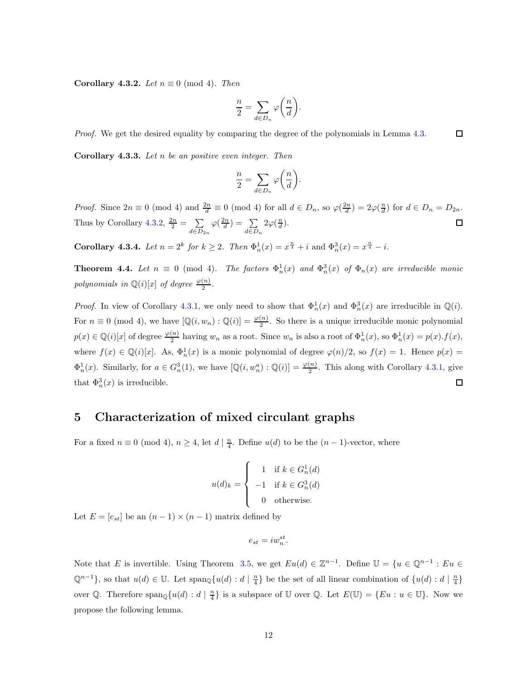Corollary 4.3.2. *Let*  $n \equiv 0 \pmod{4}$ *. Then* 

$$
\frac{n}{2} = \sum_{d \in D_n} \varphi\bigg(\frac{n}{d}\bigg).
$$

*Proof.* We get the desired equality by comparing the degree of the polynomials in Lemma [4.3.](#page-32-0)  $\Box$ 

Corollary 4.3.3. *Let* n *be an positive even integer. Then*

$$
\frac{n}{2} = \sum_{d \in D_n} \varphi\bigg(\frac{n}{d}\bigg).
$$

*Proof.* Since  $2n \equiv 0 \pmod{4}$  and  $\frac{2n}{d} \equiv 0 \pmod{4}$  for all  $d \in D_n$ , so  $\varphi(\frac{2n}{d}) = 2\varphi(\frac{n}{d})$  for  $d \in D_n = D_{2n}$ . Thus by Corollary [4.3.2,](#page-33-0)  $\frac{2n}{2} = \sum_{n=2}^{\infty}$  $\varphi(\frac{2n}{d}) = \sum_{n=0}^{\infty}$  $2\varphi(\frac{n}{d})$ .  $\Box$  $d \in D_{2n}$  $d \in D_n$ 

**Corollary 4.3.4.** *Let*  $n = 2^k$  *for*  $k \ge 2$ *. Then*  $\Phi_n^1(x) = x^{\frac{n}{4}} + i$  and  $\Phi_n^3(x) = x^{\frac{n}{4}} - i$ .

**Theorem 4.4.** Let  $n \equiv 0 \pmod{4}$ . The factors  $\Phi_n^1(x)$  and  $\Phi_n^3(x)$  of  $\Phi_n(x)$  are irreducible monic *polynomials in*  $\mathbb{Q}(i)[x]$  *of degree*  $\frac{\varphi(n)}{2}$ *.* 

*Proof.* In view of Corollary [4.3.1,](#page-32-1) we only need to show that  $\Phi_n^1(x)$  and  $\Phi_n^3(x)$  are irreducible in  $\mathbb{Q}(i)$ . For  $n \equiv 0 \pmod{4}$ , we have  $[\mathbb{Q}(i, w_n) : \mathbb{Q}(i)] = \frac{\varphi(n)}{2}$ . So there is a unique irreducible monic polynomial  $p(x) \in \mathbb{Q}(i)[x]$  of degree  $\frac{\varphi(n)}{2}$  having  $w_n$  as a root. Since  $w_n$  is also a root of  $\Phi_n^1(x)$ , so  $\Phi_n^1(x) = p(x) \cdot f(x)$ , where  $f(x) \in \mathbb{Q}(i)[x]$ . As,  $\Phi_n^1(x)$  is a monic polynomial of degree  $\varphi(n)/2$ , so  $f(x) = 1$ . Hence  $p(x) =$  $\Phi_n^1(x)$ . Similarly, for  $a \in G_n^3(1)$ , we have  $[\mathbb{Q}(i, w_n^a) : \mathbb{Q}(i)] = \frac{\varphi(n)}{2}$ . This along with Corollary [4.3.1,](#page-32-1) give that  $\Phi_n^3(x)$  is irreducible.  $\Box$ 

### 5 Characterization of mixed circulant graphs

For a fixed  $n \equiv 0 \pmod{4}$ ,  $n \geq 4$ , let  $d \mid \frac{n}{4}$ . Define  $u(d)$  to be the  $(n-1)$ -vector, where

$$
u(d)_k = \begin{cases} 1 & \text{if } k \in G_n^1(d) \\ -1 & \text{if } k \in G_n^3(d) \\ 0 & \text{otherwise.} \end{cases}
$$

Let  $E = [e_{st}]$  be an  $(n-1) \times (n-1)$  matrix defined by

$$
e_{st} = iw_n^{st}.
$$

Note that E is invertible. Using Theorem [3.5,](#page-30-3) we get  $Eu(d) \in \mathbb{Z}^{n-1}$ . Define  $\mathbb{U} = \{u \in \mathbb{Q}^{n-1} : Eu \in \mathbb{Z}^{n-1}\}$  $\mathbb{Q}^{n-1}$ , so that  $u(d) \in \mathbb{U}$ . Let  $\text{span}_{\mathbb{Q}}\{u(d) : d \mid \frac{n}{4}\}\$  be the set of all linear combination of  $\{u(d) : d \mid \frac{n}{4}\}\$ over Q. Therefore  $\text{span}_{\mathbb{Q}}\{u(d) : d \mid \frac{n}{4}\}\$ is a subspace of U over Q. Let  $E(\mathbb{U}) = \{Eu : u \in \mathbb{U}\}\$ . Now we propose the following lemma.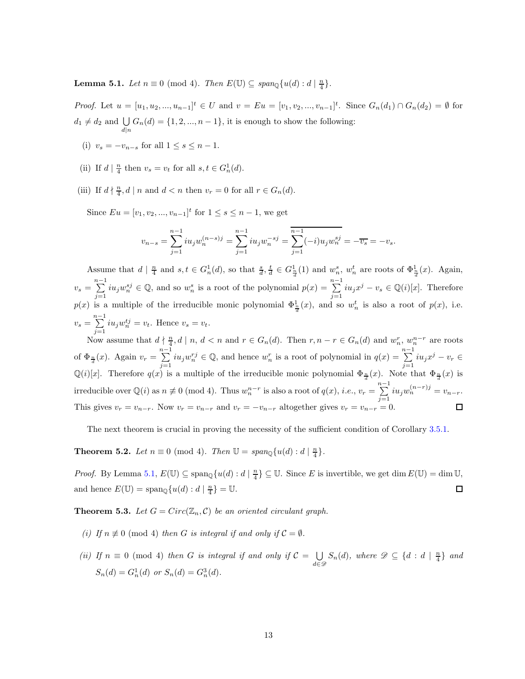**Lemma 5.1.** *Let*  $n \equiv 0 \pmod{4}$ . *Then*  $E(\mathbb{U}) \subseteq span_{\mathbb{Q}}\{u(d) : d \mid \frac{n}{4}\}.$ 

*Proof.* Let  $u = [u_1, u_2, ..., u_{n-1}]^t \in U$  and  $v = Eu = [v_1, v_2, ..., v_{n-1}]^t$ . Since  $G_n(d_1) \cap G_n(d_2) = \emptyset$  for  $d_1 \neq d_2$  and  $\bigcup_{d|n} G_n(d) = \{1, 2, ..., n-1\}$ , it is enough to show the following:

- (i)  $v_s = -v_{n-s}$  for all  $1 \leq s \leq n-1$ .
- (ii) If  $d \mid \frac{n}{4}$  then  $v_s = v_t$  for all  $s, t \in G_n^1(d)$ .
- (iii) If  $d \nmid \frac{n}{4}$ ,  $d \mid n$  and  $d < n$  then  $v_r = 0$  for all  $r \in G_n(d)$ .

Since  $E_u = [v_1, v_2, ..., v_{n-1}]^t$  for  $1 \le s \le n-1$ , we get

$$
v_{n-s} = \sum_{j=1}^{n-1} i u_j w_n^{(n-s)j} = \sum_{j=1}^{n-1} i u_j w_n^{-sj} = \sum_{j=1}^{n-1} (-i) u_j w_n^{sj} = -\overline{v_s} = -v_s.
$$

Assume that  $d \mid \frac{n}{4}$  and  $s, t \in G_n^1(d)$ , so that  $\frac{s}{d}, \frac{t}{d} \in G_{\frac{n}{d}}^1(1)$  and  $w_n^s$ ,  $w_n^t$  are roots of  $\Phi_{\frac{n}{d}}^1(x)$ . Again,  $v_s = \sum^{n-1}$  $\sum_{j=1}^{n-1} i u_j w_n^{sj} \in \mathbb{Q}$ , and so  $w_n^s$  is a root of the polynomial  $p(x) = \sum_{j=1}^{n-1} i u_j^s$  $\sum_{j=1} i u_j x^j - v_s \in \mathbb{Q}(i)[x]$ . Therefore  $p(x)$  is a multiple of the irreducible monic polynomial  $\Phi_{\frac{\pi}{d}}^{\frac{1}{2}}(x)$ , and so  $w_n^t$  is also a root of  $p(x)$ , i.e.  $v_s = \sum_{n=1}^{n-1}$  $\sum_{j=1} i u_j w_n^{t_j} = v_t$ . Hence  $v_s = v_t$ .

Now assume that  $d \nmid \frac{n}{4}$ ,  $d \mid n$ ,  $d < n$  and  $r \in G_n(d)$ . Then  $r, n-r \in G_n(d)$  and  $w_n^r, w_n^{n-r}$  are roots of  $\Phi_{\frac{n}{d}}(x)$ . Again  $v_r = \sum_{r=1}^{n-1}$  $\sum_{j=1}^{n-1} i u_j w_n^{rj} \in \mathbb{Q}$ , and hence  $w_n^r$  is a root of polynomial in  $q(x) = \sum_{j=1}^{n-1} i u_j^r$  $\sum_{j=1} i u_j x^j - v_r \in$  $\mathbb{Q}(i)[x]$ . Therefore  $q(x)$  is a multiple of the irreducible monic polynomial  $\Phi_{\frac{n}{d}}(x)$ . Note that  $\Phi_{\frac{n}{d}}(x)$  is irreducible over  $\mathbb{Q}(i)$  as  $n \neq 0 \pmod{4}$ . Thus  $w_n^{n-r}$  is also a root of  $q(x)$ , *i.e.*,  $v_r = \sum_{n=1}^{n-1}$  $\sum_{j=1}^{n} i u_j w_n^{(n-r)j} = v_{n-r}.$ This gives  $v_r = v_{n-r}$ . Now  $v_r = v_{n-r}$  and  $v_r = -v_{n-r}$  altogether gives  $v_r = v_{n-r} = 0$ .

The next theorem is crucial in proving the necessity of the sufficient condition of Corollary [3.5.1.](#page-31-0)

**Theorem 5.2.** *Let*  $n \equiv 0 \pmod{4}$ *. Then*  $\mathbb{U} = span_{\mathbb{Q}}\{u(d) : d \mid \frac{n}{4}\}.$ 

*Proof.* By Lemma [5.1,](#page-34-0)  $E(\mathbb{U}) \subseteq \text{span}_{\mathbb{Q}}\{u(d) : d \mid \frac{n}{4}\} \subseteq \mathbb{U}$ . Since E is invertible, we get dim  $E(\mathbb{U}) = \dim \mathbb{U}$ , and hence  $E(\mathbb{U}) = \text{span}_{\mathbb{Q}}\{u(d) : d \mid \frac{n}{4}\} = \mathbb{U}.$  $\Box$ 

**Theorem 5.3.** Let  $G = Circ(\mathbb{Z}_n, \mathcal{C})$  be an oriented circulant graph.

- *(i)* If  $n \not\equiv 0 \pmod{4}$  *then* G *is integral if and only if*  $C = \emptyset$ *.*
- *(ii)* If  $n \equiv 0 \pmod{4}$  *then* G *is integral if and only if*  $C = \bigcup$  $\bigcup_{d \in \mathscr{D}} S_n(d)$ *, where*  $\mathscr{D} \subseteq \{d : d \mid \frac{n}{4}\}\$ and  $S_n(d) = G_n^1(d)$  or  $S_n(d) = G_n^3(d)$ .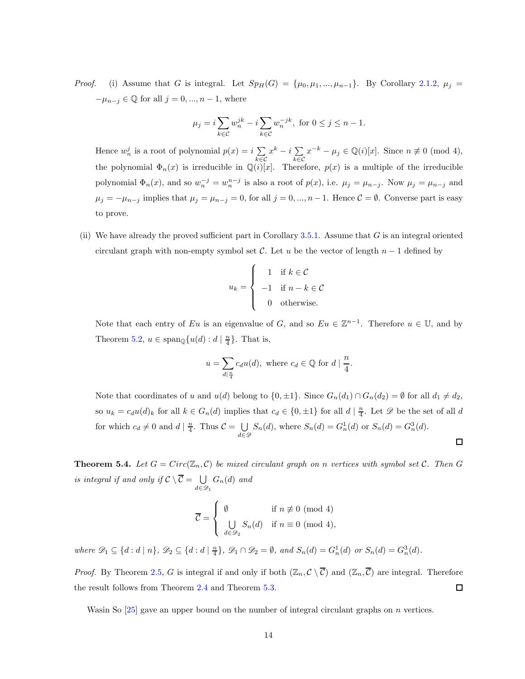*Proof.* (i) Assume that G is integral. Let  $Sp_H(G) = {\mu_0, \mu_1, ..., \mu_{n-1}}$ . By Corollary [2.1.2,](#page-26-3)  $\mu_j =$  $-\mu_{n-j} \in \mathbb{Q}$  for all  $j = 0, ..., n-1$ , where

$$
\mu_j = i \sum_{k \in C} w_n^{jk} - i \sum_{k \in C} w_n^{-jk}, \text{ for } 0 \le j \le n - 1.
$$

Hence  $w_n^j$  is a root of polynomial  $p(x) = i \sum$ k∈C  $x^k - i \sum_{i=1}^k$ k∈C  $x^{-k} - \mu_j \in \mathbb{Q}(i)[x]$ . Since  $n \not\equiv 0 \pmod{4}$ , the polynomial  $\Phi_n(x)$  is irreducible in  $\mathbb{Q}(i)[x]$ . Therefore,  $p(x)$  is a multiple of the irreducible polynomial  $\Phi_n(x)$ , and so  $w_n^{-j} = w_n^{n-j}$  is also a root of  $p(x)$ , i.e.  $\mu_j = \mu_{n-j}$ . Now  $\mu_j = \mu_{n-j}$  and  $\mu_j = -\mu_{n-j}$  implies that  $\mu_j = \mu_{n-j} = 0$ , for all  $j = 0, ..., n-1$ . Hence  $\mathcal{C} = \emptyset$ . Converse part is easy to prove.

(ii) We have already the proved sufficient part in Corollary [3.5.1.](#page-31-0) Assume that  $G$  is an integral oriented circulant graph with non-empty symbol set C. Let u be the vector of length  $n-1$  defined by

$$
u_k = \begin{cases} 1 & \text{if } k \in \mathcal{C} \\ -1 & \text{if } n - k \in \mathcal{C} \\ 0 & \text{otherwise.} \end{cases}
$$

Note that each entry of Eu is an eigenvalue of G, and so  $Eu \in \mathbb{Z}^{n-1}$ . Therefore  $u \in \mathbb{U}$ , and by Theorem [5.2,](#page-34-1)  $u \in \text{span}_{\mathbb{Q}}\{u(d) : d \mid \frac{n}{4}\}.$  That is,

$$
u = \sum_{d|\frac{n}{4}} c_d u(d), \text{ where } c_d \in \mathbb{Q} \text{ for } d | \frac{n}{4}.
$$

Note that coordinates of u and  $u(d)$  belong to  $\{0, \pm 1\}$ . Since  $G_n(d_1) \cap G_n(d_2) = \emptyset$  for all  $d_1 \neq d_2$ , so  $u_k = c_d u(d)_k$  for all  $k \in G_n(d)$  implies that  $c_d \in \{0, \pm 1\}$  for all  $d \mid \frac{n}{4}$ . Let  $\mathscr D$  be the set of all  $d$ for which  $c_d \neq 0$  and  $d | \frac{n}{4}$ . Thus  $C = \bigcup_{i=1}^{n}$  $\bigcup_{d \in \mathcal{D}} S_n(d)$ , where  $S_n(d) = G_n^1(d)$  or  $S_n(d) = G_n^3(d)$ .  $\Box$ 

**Theorem 5.4.** Let  $G = Circ(\mathbb{Z}_n, \mathcal{C})$  be mixed circulant graph on n vertices with symbol set  $\mathcal{C}$ . Then  $G$ *is integral if and only if*  $C \setminus C = \bigcup_{i \in C}$  $\bigcup_{d \in \mathscr{D}_1} G_n(d)$  and

$$
\overline{\mathcal{C}} = \begin{cases} \emptyset & \text{if } n \neq 0 \pmod{4} \\ \bigcup_{d \in \mathscr{D}_2} S_n(d) & \text{if } n \equiv 0 \pmod{4}, \end{cases}
$$

where  $\mathscr{D}_1 \subseteq \{d : d \mid n\}$ ,  $\mathscr{D}_2 \subseteq \{d : d \mid \frac{n}{4}\}$ ,  $\mathscr{D}_1 \cap \mathscr{D}_2 = \emptyset$ , and  $S_n(d) = G_n^1(d)$  or  $S_n(d) = G_n^3(d)$ .

*Proof.* By Theorem [2.5,](#page-26-0) G is integral if and only if both  $(\mathbb{Z}_n, \mathcal{C} \setminus \overline{\mathcal{C}})$  and  $(\mathbb{Z}_n, \overline{\mathcal{C}})$  are integral. Therefore the result follows from Theorem [2.4](#page-26-4) and Theorem [5.3.](#page-34-2)  $\Box$ 

Wasin So [\[25\]](#page-46-5) gave an upper bound on the number of integral circulant graphs on *n* vertices.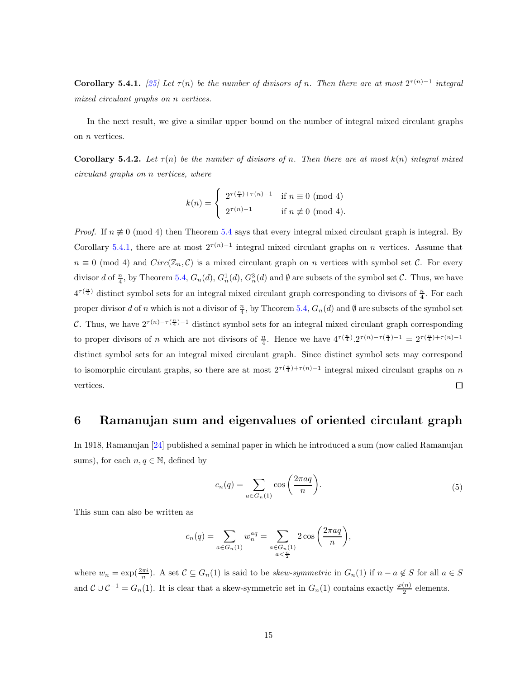Corollary 5.4.1. [\[25\]](#page-46-5) Let  $\tau(n)$  be the number of divisors of n. Then there are at most  $2^{\tau(n)-1}$  integral *mixed circulant graphs on* n *vertices.*

In the next result, we give a similar upper bound on the number of integral mixed circulant graphs on n vertices.

**Corollary 5.4.2.** Let  $\tau(n)$  be the number of divisors of n. Then there are at most  $k(n)$  integral mixed *circulant graphs on* n *vertices, where*

$$
k(n) = \begin{cases} 2^{\tau(\frac{n}{4}) + \tau(n) - 1} & \text{if } n \equiv 0 \pmod{4} \\ 2^{\tau(n) - 1} & \text{if } n \not\equiv 0 \pmod{4}. \end{cases}
$$

*Proof.* If  $n \neq 0 \pmod{4}$  then Theorem [5.4](#page-35-0) says that every integral mixed circulant graph is integral. By Corollary [5.4.1,](#page-36-0) there are at most  $2^{\tau(n)-1}$  integral mixed circulant graphs on n vertices. Assume that  $n \equiv 0 \pmod{4}$  and  $Circ(\mathbb{Z}_n, \mathcal{C})$  is a mixed circulant graph on n vertices with symbol set C. For every divisor d of  $\frac{n}{4}$ , by Theorem [5.4,](#page-35-0)  $G_n(d)$ ,  $G_n^1(d)$ ,  $G_n^3(d)$  and  $\emptyset$  are subsets of the symbol set  $\mathcal{C}$ . Thus, we have  $4^{\tau(\frac{n}{4})}$  distinct symbol sets for an integral mixed circulant graph corresponding to divisors of  $\frac{n}{4}$ . For each proper divisor d of n which is not a divisor of  $\frac{n}{4}$ , by Theorem [5.4,](#page-35-0)  $G_n(d)$  and  $\emptyset$  are subsets of the symbol set C. Thus, we have  $2^{\tau(n)-\tau(\frac{n}{4})-1}$  distinct symbol sets for an integral mixed circulant graph corresponding to proper divisors of n which are not divisors of  $\frac{n}{4}$ . Hence we have  $4^{\tau(\frac{n}{4})} \cdot 2^{\tau(n)-\tau(\frac{n}{4})-1} = 2^{\tau(\frac{n}{4})+\tau(n)-1}$ distinct symbol sets for an integral mixed circulant graph. Since distinct symbol sets may correspond to isomorphic circulant graphs, so there are at most  $2^{\tau(\frac{n}{4})+\tau(n)-1}$  integral mixed circulant graphs on n vertices.  $\Box$ 

## 6 Ramanujan sum and eigenvalues of oriented circulant graph

In 1918, Ramanujan [\[24\]](#page-46-7) published a seminal paper in which he introduced a sum (now called Ramanujan sums), for each  $n, q \in \mathbb{N}$ , defined by

$$
c_n(q) = \sum_{a \in G_n(1)} \cos\left(\frac{2\pi a q}{n}\right).
$$
\n<sup>(5)</sup>

This sum can also be written as

$$
c_n(q) = \sum_{a \in G_n(1)} w_n^{aq} = \sum_{\substack{a \in G_n(1) \\ a < \frac{n}{2}}} 2 \cos\left(\frac{2\pi aq}{n}\right),
$$

where  $w_n = \exp(\frac{2\pi i}{n})$ . A set  $C \subseteq G_n(1)$  is said to be *skew-symmetric* in  $G_n(1)$  if  $n - a \notin S$  for all  $a \in S$ and  $\mathcal{C} \cup \mathcal{C}^{-1} = G_n(1)$ . It is clear that a skew-symmetric set in  $G_n(1)$  contains exactly  $\frac{\varphi(n)}{2}$  elements.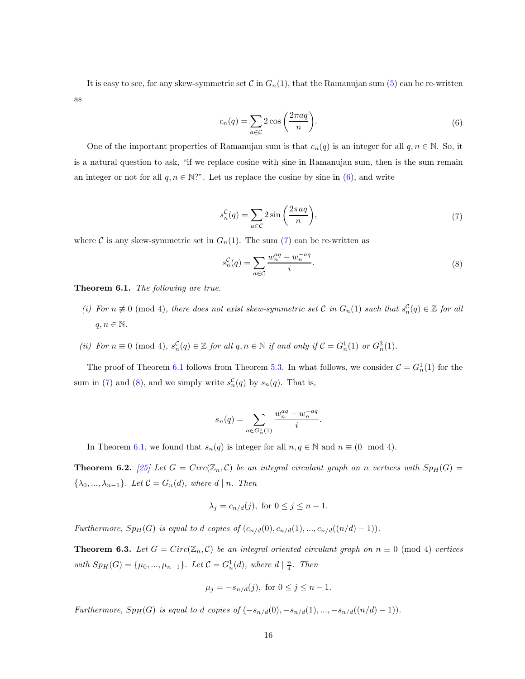It is easy to see, for any skew-symmetric set  $C$  in  $G_n(1)$ , that the Ramanujan sum [\(5\)](#page-36-1) can be re-written as

$$
c_n(q) = \sum_{a \in \mathcal{C}} 2 \cos\left(\frac{2\pi aq}{n}\right).
$$
 (6)

One of the important properties of Ramanujan sum is that  $c_n(q)$  is an integer for all  $q, n \in \mathbb{N}$ . So, it is a natural question to ask, "if we replace cosine with sine in Ramanujan sum, then is the sum remain an integer or not for all  $q, n \in \mathbb{N}$ . Let us replace the cosine by sine in [\(6\)](#page-37-0), and write

$$
s_n^{\mathcal{C}}(q) = \sum_{a \in \mathcal{C}} 2\sin\left(\frac{2\pi aq}{n}\right),\tag{7}
$$

where C is any skew-symmetric set in  $G_n(1)$ . The sum [\(7\)](#page-37-1) can be re-written as

$$
s_n^{\mathcal{C}}(q) = \sum_{a \in \mathcal{C}} \frac{w_n^{aq} - w_n^{-aq}}{i}.\tag{8}
$$

Theorem 6.1. *The following are true.*

- *(i)* For  $n \neq 0$  (mod 4)*, there does not exist skew-symmetric set* C *in*  $G_n(1)$  *such that*  $s_n^C(q) \in \mathbb{Z}$  *for all*  $q, n \in \mathbb{N}$ .
- (*ii*) *For*  $n \equiv 0 \pmod{4}$ ,  $s_n^{\mathcal{C}}(q) \in \mathbb{Z}$  *for all*  $q, n \in \mathbb{N}$  *if and only if*  $\mathcal{C} = G_n^1(1)$  *or*  $G_n^3(1)$ *.*

The proof of Theorem [6.1](#page-37-2) follows from Theorem [5.3.](#page-34-2) In what follows, we consider  $C = G_n^1(1)$  for the sum in [\(7\)](#page-37-1) and [\(8\)](#page-37-3), and we simply write  $s_n^{\mathcal{C}}(q)$  by  $s_n(q)$ . That is,

$$
s_n(q) = \sum_{a \in G_n^1(1)} \frac{w_n^{aq} - w_n^{-aq}}{i}.
$$

In Theorem [6.1,](#page-37-2) we found that  $s_n(q)$  is integer for all  $n, q \in \mathbb{N}$  and  $n \equiv (0 \mod 4)$ .

**Theorem 6.2.** [\[25\]](#page-46-5) Let  $G = Circ(\mathbb{Z}_n, C)$  be an integral circulant graph on n vertices with  $Sp_H(G)$  =  $\{\lambda_0, ..., \lambda_{n-1}\}$ *. Let*  $\mathcal{C} = G_n(d)$ *, where*  $d | n$ *. Then* 

$$
\lambda_j = c_{n/d}(j), \text{ for } 0 \le j \le n-1.
$$

*Furthermore,*  $Sp_H(G)$  *is equal to d copies of*  $(c_{n/d}(0), c_{n/d}(1), ..., c_{n/d}(n/d) - 1)$ *)*.

**Theorem 6.3.** Let  $G = Circ(\mathbb{Z}_n, \mathcal{C})$  be an integral oriented circulant graph on  $n \equiv 0 \pmod{4}$  vertices *with*  $Sp_H(G) = {\mu_0, ..., \mu_{n-1}}$ *. Let*  $C = G_n^1(d)$ *, where*  $d | \frac{n}{4}$ *. Then* 

$$
\mu_j = -s_{n/d}(j)
$$
, for  $0 \le j \le n - 1$ .

*Furthermore,*  $Sp_H(G)$  *is equal to d copies of*  $(-s_{n/d}(0), -s_{n/d}(1), ..., -s_{n/d}(n/d) - 1)$ *)*.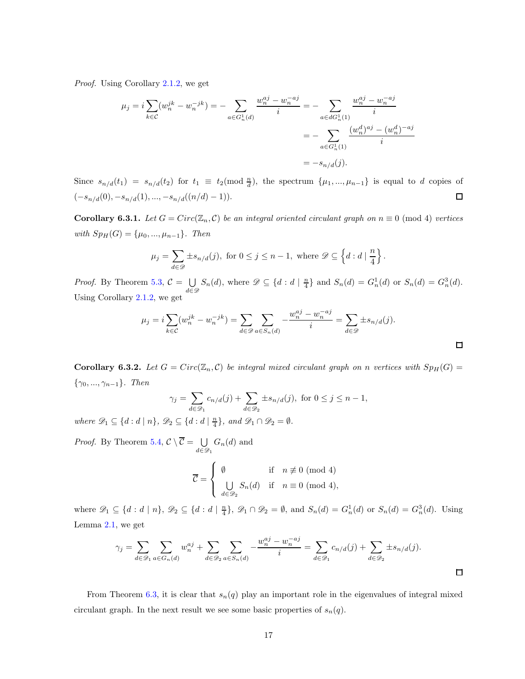*Proof.* Using Corollary [2.1.2,](#page-26-3) we get

$$
\mu_j = i \sum_{k \in \mathcal{C}} (w_n^{jk} - w_n^{-jk}) = - \sum_{a \in G_n^1(d)} \frac{w_n^{aj} - w_n^{-aj}}{i} = - \sum_{a \in dG_n^1(1)} \frac{w_n^{aj} - w_n^{-aj}}{i}
$$

$$
= - \sum_{a \in G_n^1(1)} \frac{(w_n^d)^{aj} - (w_n^d)^{-aj}}{i}
$$

$$
= -s_{n/d}(j).
$$

Since  $s_{n/d}(t_1) = s_{n/d}(t_2)$  for  $t_1 \equiv t_2 \pmod{\frac{n}{d}}$ , the spectrum  $\{\mu_1, ..., \mu_{n-1}\}$  is equal to d copies of  $(-s_{n/d}(0), -s_{n/d}(1), ..., -s_{n/d}((n/d)-1)).$  $\Box$ 

Corollary 6.3.1. Let  $G = Circ(\mathbb{Z}_n, C)$  be an integral oriented circulant graph on  $n \equiv 0 \pmod{4}$  vertices *with*  $Sp_H(G) = {\mu_0, ..., \mu_{n-1}}$ *. Then* 

$$
\mu_j = \sum_{d \in \mathscr{D}} \pm s_{n/d}(j), \text{ for } 0 \le j \le n-1, \text{ where } \mathscr{D} \subseteq \left\{ d : d \mid \frac{n}{4} \right\}.
$$

*Proof.* By Theorem [5.3,](#page-34-2)  $C = \bigcup_{i=1}^{n} C_i$  $\bigcup_{d \in \mathcal{D}} S_n(d)$ , where  $\mathcal{D} \subseteq \{d : d \mid \frac{n}{4}\}$  and  $S_n(d) = G_n^1(d)$  or  $S_n(d) = G_n^3(d)$ . Using Corollary [2.1.2,](#page-26-3) we get

$$
\mu_j = i \sum_{k \in \mathcal{C}} (w_n^{jk} - w_n^{-jk}) = \sum_{d \in \mathcal{D}} \sum_{a \in S_n(d)} -\frac{w_n^{aj} - w_n^{-aj}}{i} = \sum_{d \in \mathcal{D}} \pm s_{n/d}(j).
$$

**Corollary 6.3.2.** Let  $G = Circ(\mathbb{Z}_n, C)$  be integral mixed circulant graph on n vertices with  $Sp_H(G)$ {γ0, ..., γn−1}*. Then*

$$
\gamma_j = \sum_{d \in \mathcal{D}_1} c_{n/d}(j) + \sum_{d \in \mathcal{D}_2} \pm s_{n/d}(j), \text{ for } 0 \le j \le n-1,
$$

*where*  $\mathscr{D}_1 \subseteq \{d : d \mid n\}$ ,  $\mathscr{D}_2 \subseteq \{d : d \mid \frac{n}{4}\}$ , and  $\mathscr{D}_1 \cap \mathscr{D}_2 = \emptyset$ .

*Proof.* By Theorem [5.4,](#page-35-0)  $C \setminus \overline{C} = \bigcup_{\lambda \in \mathcal{C}}$  $\bigcup_{d \in \mathscr{D}_1} G_n(d)$  and

$$
\overline{\mathcal{C}} = \begin{cases} \emptyset & \text{if } n \not\equiv 0 \pmod{4} \\ \bigcup_{d \in \mathscr{D}_2} S_n(d) & \text{if } n \equiv 0 \pmod{4}, \end{cases}
$$

where  $\mathscr{D}_1 \subseteq \{d : d \mid n\}$ ,  $\mathscr{D}_2 \subseteq \{d : d \mid \frac{n}{4}\}$ ,  $\mathscr{D}_1 \cap \mathscr{D}_2 = \emptyset$ , and  $S_n(d) = G_n^1(d)$  or  $S_n(d) = G_n^3(d)$ . Using Lemma [2.1,](#page-25-0) we get

$$
\gamma_j = \sum_{d \in \mathcal{D}_1} \sum_{a \in G_n(d)} w_n^{aj} + \sum_{d \in \mathcal{D}_2} \sum_{a \in S_n(d)} -\frac{w_n^{aj} - w_n^{-aj}}{i} = \sum_{d \in \mathcal{D}_1} c_{n/d}(j) + \sum_{d \in \mathcal{D}_2} \pm s_{n/d}(j).
$$

From Theorem [6.3,](#page-37-4) it is clear that  $s_n(q)$  play an important role in the eigenvalues of integral mixed circulant graph. In the next result we see some basic properties of  $s_n(q)$ .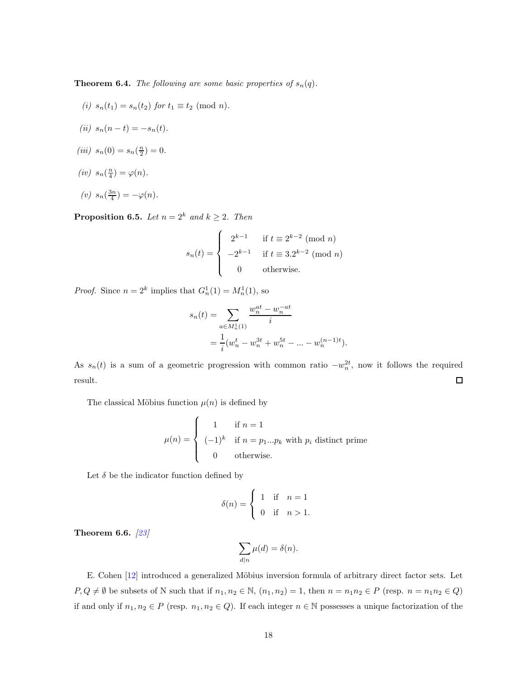**Theorem 6.4.** *The following are some basic properties of*  $s_n(q)$ *.* 

*(i)*  $s_n(t_1) = s_n(t_2)$  *for*  $t_1 \equiv t_2 \pmod{n}$ .  $(iii)$   $s_n(n-t) = -s_n(t)$ . (*iii*)  $s_n(0) = s_n(\frac{n}{2}) = 0.$ (*iv*)  $s_n(\frac{n}{4}) = \varphi(n)$ .  $(v)$   $s_n(\frac{3n}{4}) = -\varphi(n)$ *.* 

**Proposition 6.5.** *Let*  $n = 2^k$  *and*  $k \ge 2$ *. Then* 

$$
s_n(t) = \begin{cases} 2^{k-1} & \text{if } t \equiv 2^{k-2} \pmod{n} \\ -2^{k-1} & \text{if } t \equiv 3.2^{k-2} \pmod{n} \\ 0 & \text{otherwise.} \end{cases}
$$

*Proof.* Since  $n = 2^k$  implies that  $G_n^1(1) = M_n^1(1)$ , so

$$
s_n(t) = \sum_{a \in M_n^1(1)} \frac{w_n^{at} - w_n^{-at}}{i}
$$
  
= 
$$
\frac{1}{i} (w_n^t - w_n^{3t} + w_n^{5t} - \dots - w_n^{(n-1)t}).
$$

As  $s_n(t)$  is a sum of a geometric progression with common ratio  $-w_n^{2t}$ , now it follows the required  $\Box$ result.

The classical Möbius function  $\mu(n)$  is defined by

$$
\mu(n) = \begin{cases}\n1 & \text{if } n = 1 \\
(-1)^k & \text{if } n = p_1...p_k \text{ with } p_i \text{ distinct prime} \\
0 & \text{otherwise.} \n\end{cases}
$$

Let  $\delta$  be the indicator function defined by

$$
\delta(n) = \begin{cases} 1 & \text{if } n = 1 \\ 0 & \text{if } n > 1. \end{cases}
$$

Theorem 6.6. *[\[23\]](#page-46-8)*

$$
\sum_{d|n} \mu(d) = \delta(n).
$$

E. Cohen [\[12\]](#page-45-13) introduced a generalized Möbius inversion formula of arbitrary direct factor sets. Let  $P, Q \neq \emptyset$  be subsets of N such that if  $n_1, n_2 \in \mathbb{N}$ ,  $(n_1, n_2) = 1$ , then  $n = n_1 n_2 \in P$  (resp.  $n = n_1 n_2 \in Q$ ) if and only if  $n_1, n_2 \in P$  (resp.  $n_1, n_2 \in Q$ ). If each integer  $n \in \mathbb{N}$  possesses a unique factorization of the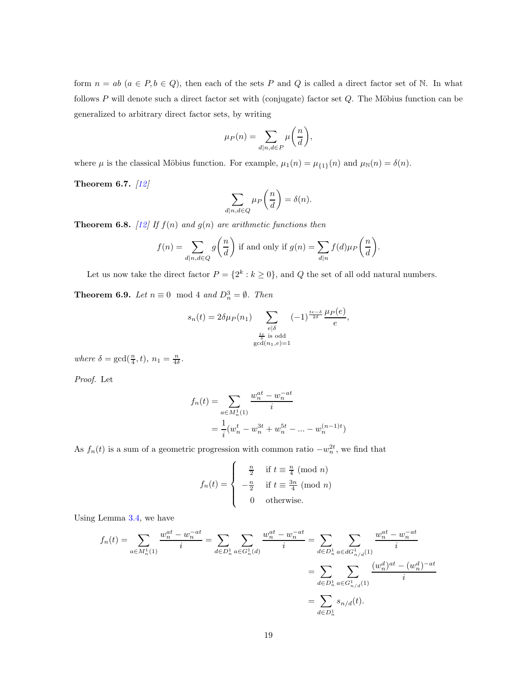form  $n = ab$   $(a \in P, b \in Q)$ , then each of the sets P and Q is called a direct factor set of N. In what follows  $P$  will denote such a direct factor set with (conjugate) factor set  $Q$ . The Möbius function can be generalized to arbitrary direct factor sets, by writing

$$
\mu_P(n) = \sum_{d|n,d \in P} \mu\bigg(\frac{n}{d}\bigg),\,
$$

where  $\mu$  is the classical Möbius function. For example,  $\mu_1(n) = \mu_{\{1\}}(n)$  and  $\mu_{\mathbb{N}}(n) = \delta(n)$ .

Theorem 6.7. *[\[12\]](#page-45-13)*

$$
\sum_{d|n,d\in Q} \mu_P\left(\frac{n}{d}\right) = \delta(n).
$$

**Theorem 6.8.** [\[12\]](#page-45-13) If  $f(n)$  and  $g(n)$  are arithmetic functions then

$$
f(n) = \sum_{d|n,d \in Q} g\left(\frac{n}{d}\right)
$$
 if and only if  $g(n) = \sum_{d|n} f(d)\mu_P\left(\frac{n}{d}\right)$ .

Let us now take the direct factor  $P = \{2^k : k \ge 0\}$ , and Q the set of all odd natural numbers.

**Theorem 6.9.** *Let*  $n \equiv 0 \mod 4$  *and*  $D_n^3 = \emptyset$ *. Then* 

$$
s_n(t) = 2\delta \mu_P(n_1) \sum_{\substack{e \mid \delta \\ \text{is odd} \\ \gcd(n_1, e) = 1}} (-1)^{\frac{te - \delta}{2\delta}} \frac{\mu_P(e)}{e},
$$

where  $\delta = \gcd(\frac{n}{4}, t)$ ,  $n_1 = \frac{n}{4\delta}$ .

*Proof.* Let

$$
f_n(t) = \sum_{a \in M_n^1(1)} \frac{w_n^{at} - w_n^{-at}}{i}
$$
  
= 
$$
\frac{1}{i} (w_n^t - w_n^{3t} + w_n^{5t} - \dots - w_n^{(n-1)t})
$$

As  $f_n(t)$  is a sum of a geometric progression with common ratio  $-w_n^{2t}$ , we find that

$$
f_n(t) = \begin{cases} \frac{n}{2} & \text{if } t \equiv \frac{n}{4} \pmod{n} \\ -\frac{n}{2} & \text{if } t \equiv \frac{3n}{4} \pmod{n} \\ 0 & \text{otherwise.} \end{cases}
$$

Using Lemma [3.4,](#page-29-0) we have

$$
f_n(t) = \sum_{a \in M_n^1(1)} \frac{w_n^{at} - w_n^{-at}}{i} = \sum_{d \in D_n^1} \sum_{a \in G_n^1(d)} \frac{w_n^{at} - w_n^{-at}}{i} = \sum_{d \in D_n^1} \sum_{a \in dG_{n/d}^1(1)} \frac{w_n^{at} - w_n^{-at}}{i}
$$

$$
= \sum_{d \in D_n^1} \sum_{a \in G_{n/d}^1(1)} \frac{(w_n^d)^{at} - (w_n^d)^{-at}}{i}
$$

$$
= \sum_{d \in D_n^1} s_{n/d}(t).
$$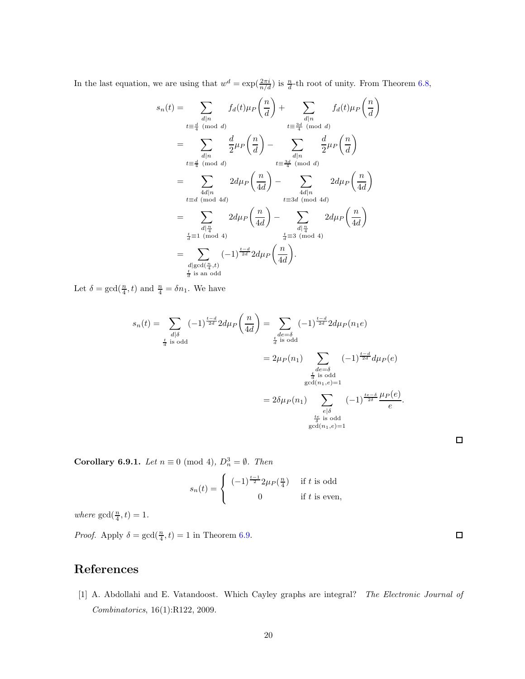In the last equation, we are using that  $w^d = \exp(\frac{2\pi i}{n/d})$  is  $\frac{n}{d}$ -th root of unity. From Theorem [6.8,](#page-40-0)

$$
s_n(t) = \sum_{\substack{d|n \ d|n}} f_d(t)\mu_P\left(\frac{n}{d}\right) + \sum_{\substack{d|n \ d|n}} f_d(t)\mu_P\left(\frac{n}{d}\right)
$$
  
\n
$$
= \sum_{\substack{d|n \ d|n}} \frac{d}{2}\mu_P\left(\frac{n}{d}\right) - \sum_{\substack{d|n \ d|n}} \frac{d}{2}\mu_P\left(\frac{n}{d}\right)
$$
  
\n
$$
= \sum_{\substack{d|n \ d|n}} 2d\mu_P\left(\frac{n}{4d}\right) - \sum_{\substack{d|n \ d|n}} 2d\mu_P\left(\frac{n}{4d}\right)
$$
  
\n
$$
= \sum_{\substack{d|n \ d|n \ d \equiv 3d \pmod{4d}}} 2d\mu_P\left(\frac{n}{4d}\right) - \sum_{\substack{d|n \ d|n \ d \equiv 3d \pmod{4d}}} 2d\mu_P\left(\frac{n}{4d}\right)
$$
  
\n
$$
= \sum_{\substack{d|n \ d \equiv 1 \pmod{4} \\ \frac{d}{d} \equiv 1 \pmod{4}}} 2d\mu_P\left(\frac{n}{4d}\right) - \sum_{\substack{d|n \ d \equiv 3 \pmod{4} \\ \frac{d}{d} \equiv 3 \pmod{4}}} 2d\mu_P\left(\frac{n}{4d}\right)
$$
  
\n
$$
= \sum_{\substack{d| \gcd(\frac{n}{4},t) \\ \frac{d}{d} \equiv 3 \pmod{4}}} (-1)^{\frac{t-d}{2d}} 2d\mu_P\left(\frac{n}{4d}\right).
$$

Let  $\delta = \gcd(\frac{n}{4}, t)$  and  $\frac{n}{4} = \delta n_1$ . We have

$$
s_n(t) = \sum_{\substack{d \mid \delta \\ \frac{t}{d} \text{ is odd}}} (-1)^{\frac{t-d}{2d}} 2d\mu_P\left(\frac{n}{4d}\right) = \sum_{\substack{de=\delta \\ \frac{t}{d} \text{ is odd}}} (-1)^{\frac{t-d}{2d}} 2d\mu_P(n_1 e)
$$

$$
= 2\mu_P(n_1) \sum_{\substack{de=\delta \\ \frac{t}{d} \text{ is odd} \\ \gcd(n_1, e)=1}} (-1)^{\frac{t-d}{2d}} d\mu_P(e)
$$

$$
= 2\delta\mu_P(n_1) \sum_{\substack{e \mid \delta \\ \frac{t}{d} \text{ is odd} \\ \gcd(n_1, e)=1}} (-1)^{\frac{t-e}{2\delta}} \frac{\mu_P(e)}{e}.
$$

**Corollary 6.9.1.** *Let*  $n \equiv 0 \pmod{4}$ ,  $D_n^3 = \emptyset$ . *Then* 

$$
s_n(t) = \begin{cases} (-1)^{\frac{t-1}{2}} 2\mu_P(\frac{n}{4}) & \text{if } t \text{ is odd} \\ 0 & \text{if } t \text{ is even,} \end{cases}
$$

where  $gcd(\frac{n}{4}, t) = 1$ .

*Proof.* Apply  $\delta = \gcd(\frac{n}{4}, t) = 1$  in Theorem [6.9.](#page-41-0)

## References

[1] A. Abdollahi and E. Vatandoost. Which Cayley graphs are integral? *The Electronic Journal of Combinatorics*, 16(1):R122, 2009.

 $\Box$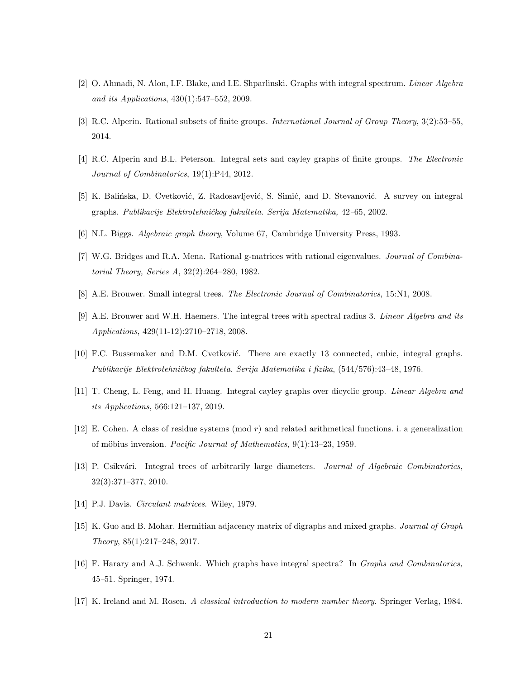- [2] O. Ahmadi, N. Alon, I.F. Blake, and I.E. Shparlinski. Graphs with integral spectrum. *Linear Algebra and its Applications*, 430(1):547–552, 2009.
- [3] R.C. Alperin. Rational subsets of finite groups. *International Journal of Group Theory*, 3(2):53–55, 2014.
- [4] R.C. Alperin and B.L. Peterson. Integral sets and cayley graphs of finite groups. *The Electronic Journal of Combinatorics*, 19(1):P44, 2012.
- [5] K. Balińska, D. Cvetković, Z. Radosavljević, S. Simić, and D. Stevanović. A survey on integral graphs. *Publikacije Elektrotehniˇckog fakulteta. Serija Matematika,* 42*–*65, 2002.
- [6] N.L. Biggs. *Algebraic graph theory*, Volume 67, Cambridge University Press, 1993.
- [7] W.G. Bridges and R.A. Mena. Rational g-matrices with rational eigenvalues. *Journal of Combinatorial Theory, Series A*, 32(2):264–280, 1982.
- [8] A.E. Brouwer. Small integral trees. *The Electronic Journal of Combinatorics*, 15:N1, 2008.
- [9] A.E. Brouwer and W.H. Haemers. The integral trees with spectral radius 3. *Linear Algebra and its Applications*, 429(11-12):2710–2718, 2008.
- [10] F.C. Bussemaker and D.M. Cvetković. There are exactly 13 connected, cubic, integral graphs. *Publikacije Elektrotehniˇckog fakulteta. Serija Matematika i fizika*, (544/576):43–48, 1976.
- [11] T. Cheng, L. Feng, and H. Huang. Integral cayley graphs over dicyclic group. *Linear Algebra and its Applications*, 566:121–137, 2019.
- [12] E. Cohen. A class of residue systems (mod r) and related arithmetical functions. i. a generalization of m¨obius inversion. *Pacific Journal of Mathematics*, 9(1):13–23, 1959.
- [13] P. Csikvári. Integral trees of arbitrarily large diameters. *Journal of Algebraic Combinatorics*, 32(3):371–377, 2010.
- [14] P.J. Davis. *Circulant matrices*. Wiley, 1979.
- [15] K. Guo and B. Mohar. Hermitian adjacency matrix of digraphs and mixed graphs. *Journal of Graph Theory*, 85(1):217–248, 2017.
- [16] F. Harary and A.J. Schwenk. Which graphs have integral spectra? In *Graphs and Combinatorics,* 45*–*51. Springer, 1974.
- [17] K. Ireland and M. Rosen. *A classical introduction to modern number theory*. Springer Verlag, 1984.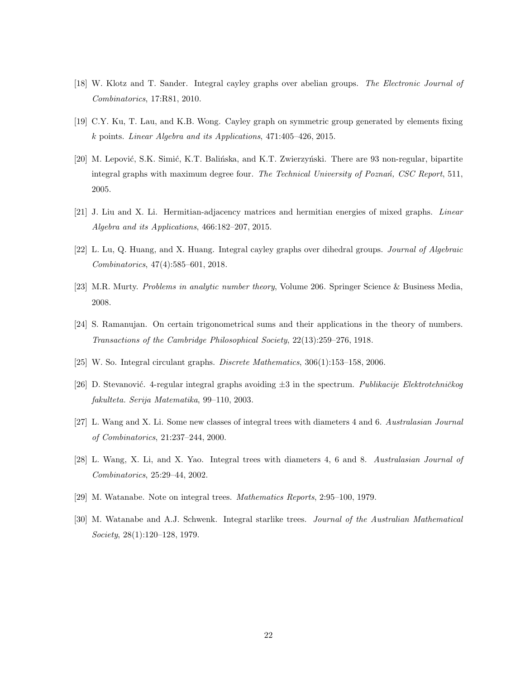- [18] W. Klotz and T. Sander. Integral cayley graphs over abelian groups. *The Electronic Journal of Combinatorics*, 17:R81, 2010.
- [19] C.Y. Ku, T. Lau, and K.B. Wong. Cayley graph on symmetric group generated by elements fixing k points. *Linear Algebra and its Applications*, 471:405–426, 2015.
- [20] M. Lepović, S.K. Simić, K.T. Balińska, and K.T. Zwierzyński. There are 93 non-regular, bipartite integral graphs with maximum degree four. *The Technical University of Pozna´n, CSC Report*, 511, 2005.
- [21] J. Liu and X. Li. Hermitian-adjacency matrices and hermitian energies of mixed graphs. *Linear Algebra and its Applications*, 466:182–207, 2015.
- [22] L. Lu, Q. Huang, and X. Huang. Integral cayley graphs over dihedral groups. *Journal of Algebraic Combinatorics*, 47(4):585–601, 2018.
- [23] M.R. Murty. *Problems in analytic number theory*, Volume 206. Springer Science & Business Media, 2008.
- [24] S. Ramanujan. On certain trigonometrical sums and their applications in the theory of numbers. *Transactions of the Cambridge Philosophical Society*, 22(13):259–276, 1918.
- [25] W. So. Integral circulant graphs. *Discrete Mathematics*, 306(1):153–158, 2006.
- [26] D. Stevanović. 4-regular integral graphs avoiding  $\pm 3$  in the spectrum. *Publikacije Elektrotehničkog fakulteta. Serija Matematika*, 99–110, 2003.
- [27] L. Wang and X. Li. Some new classes of integral trees with diameters 4 and 6. *Australasian Journal of Combinatorics*, 21:237–244, 2000.
- [28] L. Wang, X. Li, and X. Yao. Integral trees with diameters 4, 6 and 8. *Australasian Journal of Combinatorics*, 25:29–44, 2002.
- [29] M. Watanabe. Note on integral trees. *Mathematics Reports*, 2:95–100, 1979.
- [30] M. Watanabe and A.J. Schwenk. Integral starlike trees. *Journal of the Australian Mathematical Society*, 28(1):120–128, 1979.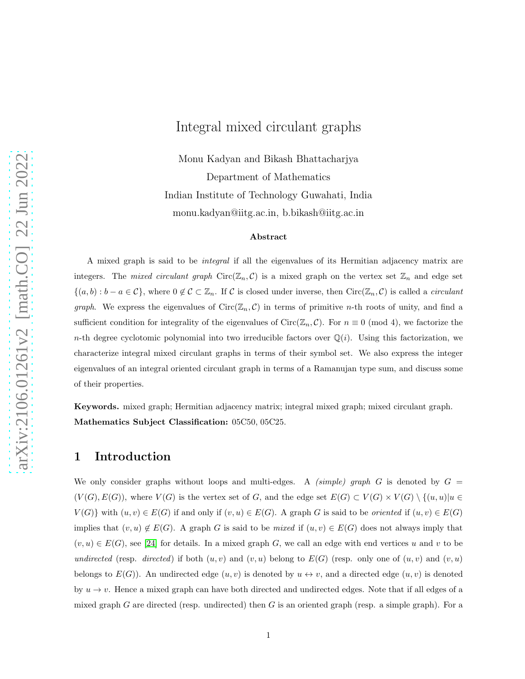## Integral mixed circulant graphs

Monu Kadyan and Bikash Bhattacharjya Department of Mathematics Indian Institute of Technology Guwahati, India monu.kadyan@iitg.ac.in, b.bikash@iitg.ac.in

#### Abstract

A mixed graph is said to be *integral* if all the eigenvalues of its Hermitian adjacency matrix are integers. The *mixed circulant graph*  $Circ(\mathbb{Z}_n, \mathcal{C})$  is a mixed graph on the vertex set  $\mathbb{Z}_n$  and edge set  $\{(a, b) : b - a \in \mathcal{C}\}\,$ , where  $0 \notin \mathcal{C} \subset \mathbb{Z}_n$ . If  $\mathcal{C}$  is closed under inverse, then  $\text{Circ}(\mathbb{Z}_n, \mathcal{C})$  is called a *circulant graph*. We express the eigenvalues of  $Circ(\mathbb{Z}_n, \mathcal{C})$  in terms of primitive *n*-th roots of unity, and find a sufficient condition for integrality of the eigenvalues of Circ( $\mathbb{Z}_n, \mathcal{C}$ ). For  $n \equiv 0 \pmod{4}$ , we factorize the n-th degree cyclotomic polynomial into two irreducible factors over  $\mathbb{Q}(i)$ . Using this factorization, we characterize integral mixed circulant graphs in terms of their symbol set. We also express the integer eigenvalues of an integral oriented circulant graph in terms of a Ramanujan type sum, and discuss some of their properties.

Keywords. mixed graph; Hermitian adjacency matrix; integral mixed graph; mixed circulant graph. Mathematics Subject Classification: 05C50, 05C25.

### 1 Introduction

We only consider graphs without loops and multi-edges. A *(simple) graph* G is denoted by  $G =$  $(V(G), E(G))$ , where  $V(G)$  is the vertex set of G, and the edge set  $E(G) \subset V(G) \times V(G) \setminus \{(u, u)|u \in$  $V(G)$ } with  $(u, v) \in E(G)$  if and only if  $(v, u) \in E(G)$ . A graph G is said to be *oriented* if  $(u, v) \in E(G)$ implies that  $(v, u) \notin E(G)$ . A graph G is said to be *mixed* if  $(u, v) \in E(G)$  does not always imply that  $(v, u) \in E(G)$ , see [\[24\]](#page-45-0) for details. In a mixed graph G, we call an edge with end vertices u and v to be *undirected* (resp. *directed*) if both  $(u, v)$  and  $(v, u)$  belong to  $E(G)$  (resp. only one of  $(u, v)$  and  $(v, u)$ belongs to  $E(G)$ ). An undirected edge  $(u, v)$  is denoted by  $u \leftrightarrow v$ , and a directed edge  $(u, v)$  is denoted by  $u \to v$ . Hence a mixed graph can have both directed and undirected edges. Note that if all edges of a mixed graph G are directed (resp. undirected) then G is an oriented graph (resp. a simple graph). For a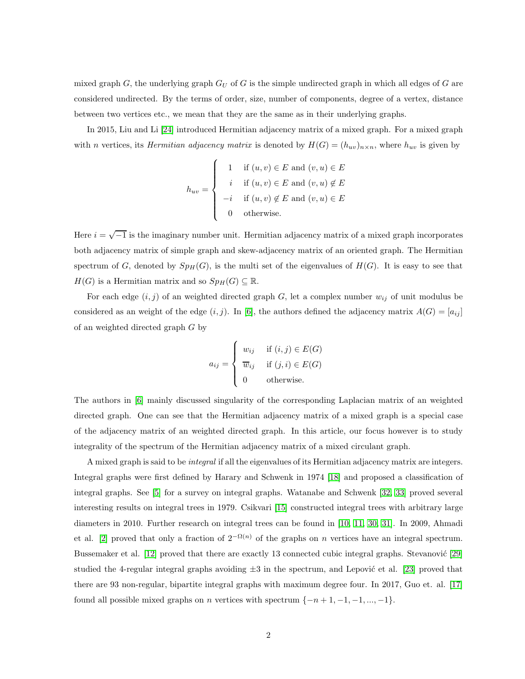mixed graph  $G$ , the underlying graph  $G_U$  of G is the simple undirected graph in which all edges of G are considered undirected. By the terms of order, size, number of components, degree of a vertex, distance between two vertices etc., we mean that they are the same as in their underlying graphs.

In 2015, Liu and Li [\[24\]](#page-45-0) introduced Hermitian adjacency matrix of a mixed graph. For a mixed graph with *n* vertices, its *Hermitian adjacency matrix* is denoted by  $H(G) = (h_{uv})_{n \times n}$ , where  $h_{uv}$  is given by

$$
h_{uv} = \begin{cases} 1 & \text{if } (u, v) \in E \text{ and } (v, u) \in E \\ i & \text{if } (u, v) \in E \text{ and } (v, u) \notin E \\ -i & \text{if } (u, v) \notin E \text{ and } (v, u) \in E \\ 0 & \text{otherwise.} \end{cases}
$$

Here  $i = \sqrt{-1}$  is the imaginary number unit. Hermitian adjacency matrix of a mixed graph incorporates both adjacency matrix of simple graph and skew-adjacency matrix of an oriented graph. The Hermitian spectrum of G, denoted by  $Sp_H(G)$ , is the multi set of the eigenvalues of  $H(G)$ . It is easy to see that  $H(G)$  is a Hermitian matrix and so  $Sp_H(G) \subseteq \mathbb{R}$ .

For each edge  $(i, j)$  of an weighted directed graph G, let a complex number  $w_{ij}$  of unit modulus be considered as an weight of the edge  $(i, j)$ . In [\[6\]](#page-44-7), the authors defined the adjacency matrix  $A(G) = [a_{ij}]$ of an weighted directed graph G by

$$
a_{ij} = \begin{cases} w_{ij} & \text{if } (i,j) \in E(G) \\ \overline{w}_{ij} & \text{if } (j,i) \in E(G) \\ 0 & \text{otherwise.} \end{cases}
$$

The authors in [\[6\]](#page-44-7) mainly discussed singularity of the corresponding Laplacian matrix of an weighted directed graph. One can see that the Hermitian adjacency matrix of a mixed graph is a special case of the adjacency matrix of an weighted directed graph. In this article, our focus however is to study integrality of the spectrum of the Hermitian adjacency matrix of a mixed circulant graph.

A mixed graph is said to be *integral* if all the eigenvalues of its Hermitian adjacency matrix are integers. Integral graphs were first defined by Harary and Schwenk in 1974 [\[18\]](#page-45-1) and proposed a classification of integral graphs. See [\[5\]](#page-44-0) for a survey on integral graphs. Watanabe and Schwenk [\[32,](#page-46-0) [33\]](#page-46-1) proved several interesting results on integral trees in 1979. Csikvari [\[15\]](#page-45-2) constructed integral trees with arbitrary large diameters in 2010. Further research on integral trees can be found in [\[10,](#page-45-4) [11,](#page-45-3) [30,](#page-46-2) [31\]](#page-46-3). In 2009, Ahmadi et al. [\[2\]](#page-44-1) proved that only a fraction of  $2^{-\Omega(n)}$  of the graphs on n vertices have an integral spectrum. Bussemaker et al. [\[12\]](#page-45-5) proved that there are exactly 13 connected cubic integral graphs. Stevanović [\[29\]](#page-46-4) studied the 4-regular integral graphs avoiding  $\pm 3$  in the spectrum, and Lepović et al. [\[23\]](#page-45-6) proved that there are 93 non-regular, bipartite integral graphs with maximum degree four. In 2017, Guo et. al. [\[17\]](#page-45-7) found all possible mixed graphs on *n* vertices with spectrum  $\{-n+1, -1, -1, ..., -1\}$ .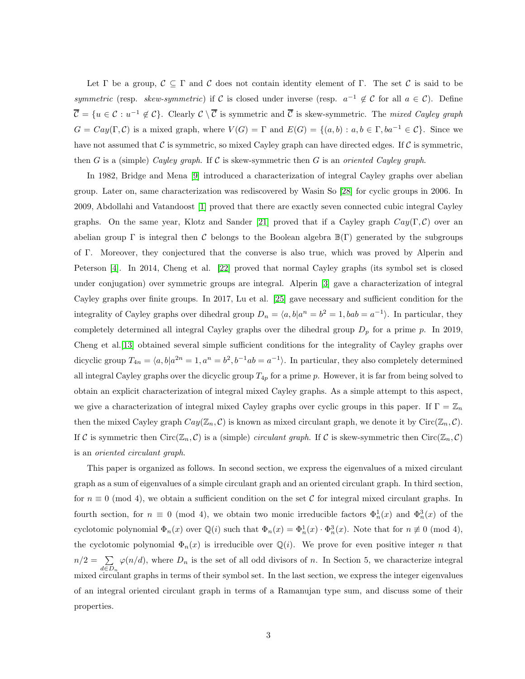Let Γ be a group,  $\mathcal{C} \subseteq \Gamma$  and C does not contain identity element of Γ. The set C is said to be *symmetric* (resp. *skew-symmetric*) if C is closed under inverse (resp.  $a^{-1} \notin C$  for all  $a \in C$ ). Define  $\overline{\mathcal{C}} = \{u \in \mathcal{C} : u^{-1} \notin \mathcal{C}\}\.$  Clearly  $\mathcal{C} \setminus \overline{\mathcal{C}}$  is symmetric and  $\overline{\mathcal{C}}$  is skew-symmetric. The *mixed Cayley graph*  $G = Cay(\Gamma, \mathcal{C})$  is a mixed graph, where  $V(G) = \Gamma$  and  $E(G) = \{(a, b) : a, b \in \Gamma, ba^{-1} \in \mathcal{C}\}\)$ . Since we have not assumed that  $\mathcal C$  is symmetric, so mixed Cayley graph can have directed edges. If  $\mathcal C$  is symmetric, then G is a (simple) *Cayley graph*. If C is skew-symmetric then G is an *oriented Cayley graph*.

In 1982, Bridge and Mena [\[9\]](#page-44-2) introduced a characterization of integral Cayley graphs over abelian group. Later on, same characterization was rediscovered by Wasin So [\[28\]](#page-46-5) for cyclic groups in 2006. In 2009, Abdollahi and Vatandoost [\[1\]](#page-44-3) proved that there are exactly seven connected cubic integral Cayley graphs. On the same year, Klotz and Sander [\[21\]](#page-45-8) proved that if a Cayley graph  $Cay(\Gamma, \mathcal{C})$  over an abelian group Γ is integral then C belongs to the Boolean algebra  $\mathbb{B}(\Gamma)$  generated by the subgroups of Γ. Moreover, they conjectured that the converse is also true, which was proved by Alperin and Peterson [\[4\]](#page-44-4). In 2014, Cheng et al. [\[22\]](#page-45-9) proved that normal Cayley graphs (its symbol set is closed under conjugation) over symmetric groups are integral. Alperin [\[3\]](#page-44-5) gave a characterization of integral Cayley graphs over finite groups. In 2017, Lu et al. [\[25\]](#page-46-6) gave necessary and sufficient condition for the integrality of Cayley graphs over dihedral group  $D_n = \langle a, b | a^n = b^2 = 1, bab = a^{-1} \rangle$ . In particular, they completely determined all integral Cayley graphs over the dihedral group  $D_p$  for a prime p. In 2019, Cheng et al.[\[13\]](#page-45-10) obtained several simple sufficient conditions for the integrality of Cayley graphs over dicyclic group  $T_{4n} = \langle a, b | a^{2n} = 1, a^n = b^2, b^{-1}ab = a^{-1} \rangle$ . In particular, they also completely determined all integral Cayley graphs over the dicyclic group  $T_{4p}$  for a prime p. However, it is far from being solved to obtain an explicit characterization of integral mixed Cayley graphs. As a simple attempt to this aspect, we give a characterization of integral mixed Cayley graphs over cyclic groups in this paper. If  $\Gamma = \mathbb{Z}_n$ then the mixed Cayley graph  $Cay(\mathbb{Z}_n, \mathcal{C})$  is known as mixed circulant graph, we denote it by  $Circ(\mathbb{Z}_n, \mathcal{C})$ . If C is symmetric then  $Circ(\mathbb{Z}_n, C)$  is a (simple) *circulant graph*. If C is skew-symmetric then  $Circ(\mathbb{Z}_n, C)$ is an *oriented circulant graph*.

This paper is organized as follows. In second section, we express the eigenvalues of a mixed circulant graph as a sum of eigenvalues of a simple circulant graph and an oriented circulant graph. In third section, for  $n \equiv 0 \pmod{4}$ , we obtain a sufficient condition on the set C for integral mixed circulant graphs. In fourth section, for  $n \equiv 0 \pmod{4}$ , we obtain two monic irreducible factors  $\Phi_n^1(x)$  and  $\Phi_n^3(x)$  of the cyclotomic polynomial  $\Phi_n(x)$  over  $\mathbb{Q}(i)$  such that  $\Phi_n(x) = \Phi_n^1(x) \cdot \Phi_n^3(x)$ . Note that for  $n \not\equiv 0 \pmod{4}$ , the cyclotomic polynomial  $\Phi_n(x)$  is irreducible over  $\mathbb{Q}(i)$ . We prove for even positive integer n that  $n/2 = \sum$  $d \in D_n$  $\varphi(n/d)$ , where  $D_n$  is the set of all odd divisors of n. In Section 5, we characterize integral mixed circulant graphs in terms of their symbol set. In the last section, we express the integer eigenvalues of an integral oriented circulant graph in terms of a Ramanujan type sum, and discuss some of their properties.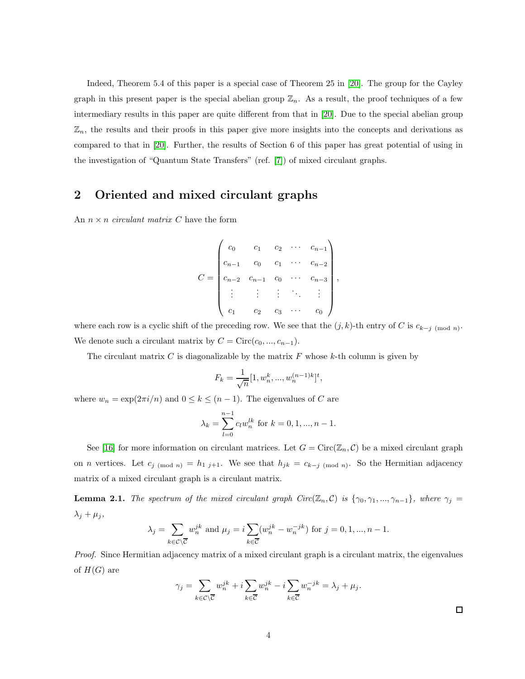Indeed, Theorem 5.4 of this paper is a special case of Theorem 25 in [\[20\]](#page-45-14). The group for the Cayley graph in this present paper is the special abelian group  $\mathbb{Z}_n$ . As a result, the proof techniques of a few intermediary results in this paper are quite different from that in [\[20\]](#page-45-14). Due to the special abelian group  $\mathbb{Z}_n$ , the results and their proofs in this paper give more insights into the concepts and derivations as compared to that in [\[20\]](#page-45-14). Further, the results of Section 6 of this paper has great potential of using in the investigation of "Quantum State Transfers" (ref. [\[7\]](#page-44-8)) of mixed circulant graphs.

## 2 Oriented and mixed circulant graphs

An  $n \times n$  *circulant matrix* C have the form

$$
C = \begin{pmatrix} c_0 & c_1 & c_2 & \cdots & c_{n-1} \\ c_{n-1} & c_0 & c_1 & \cdots & c_{n-2} \\ c_{n-2} & c_{n-1} & c_0 & \cdots & c_{n-3} \\ \vdots & \vdots & \vdots & \ddots & \vdots \\ c_1 & c_2 & c_3 & \cdots & c_0 \end{pmatrix}
$$

,

where each row is a cyclic shift of the preceding row. We see that the  $(j, k)$ -th entry of C is  $c_{k-j \pmod{n}}$ . We denote such a circulant matrix by  $C = \text{Circ}(c_0, ..., c_{n-1}).$ 

The circulant matrix  $C$  is diagonalizable by the matrix  $F$  whose  $k$ -th column is given by

$$
F_k = \frac{1}{\sqrt{n}} [1, w_n^k, ..., w_n^{(n-1)k}]^t,
$$

where  $w_n = \exp(2\pi i/n)$  and  $0 \le k \le (n-1)$ . The eigenvalues of C are

$$
\lambda_k = \sum_{l=0}^{n-1} c_l w_n^{lk} \text{ for } k = 0, 1, ..., n-1.
$$

See [\[16\]](#page-45-11) for more information on circulant matrices. Let  $G = \text{Circ}(\mathbb{Z}_n, C)$  be a mixed circulant graph on *n* vertices. Let  $c_{j \pmod{n}} = h_{1, j+1}$ . We see that  $h_{jk} = c_{k-j \pmod{n}}$ . So the Hermitian adjacency matrix of a mixed circulant graph is a circulant matrix.

<span id="page-25-0"></span>**Lemma 2.1.** *The spectrum of the mixed circulant graph Circ*( $\mathbb{Z}_n$ ,  $\mathcal{C}$ ) *is* { $\gamma_0$ ,  $\gamma_1$ , ...,  $\gamma_{n-1}$ }*, where*  $\gamma_j$  $\lambda_j + \mu_j$ ,

$$
\lambda_j = \sum_{k \in \mathcal{C} \setminus \overline{\mathcal{C}}} w_n^{jk} \text{ and } \mu_j = i \sum_{k \in \overline{\mathcal{C}}} (w_n^{jk} - w_n^{-jk}) \text{ for } j = 0, 1, ..., n-1.
$$

*Proof.* Since Hermitian adjacency matrix of a mixed circulant graph is a circulant matrix, the eigenvalues of  $H(G)$  are

$$
\gamma_j = \sum_{k \in \mathcal{C} \setminus \overline{\mathcal{C}}} w_n^{jk} + i \sum_{k \in \overline{\mathcal{C}}} w_n^{jk} - i \sum_{k \in \overline{\mathcal{C}}} w_n^{-jk} = \lambda_j + \mu_j.
$$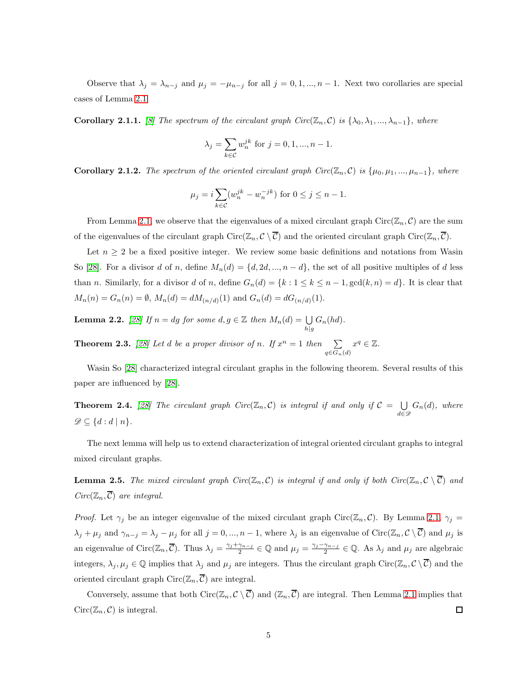Observe that  $\lambda_j = \lambda_{n-j}$  and  $\mu_j = -\mu_{n-j}$  for all  $j = 0, 1, ..., n-1$ . Next two corollaries are special cases of Lemma [2.1.](#page-25-0)

**Corollary 2.1.1.** *[\[8\]](#page-44-6)* The spectrum of the circulant graph  $Circ(\mathbb{Z}_n, \mathcal{C})$  is  $\{\lambda_0, \lambda_1, ..., \lambda_{n-1}\}\$ , where

$$
\lambda_j = \sum_{k \in C} w_n^{jk}
$$
 for  $j = 0, 1, ..., n - 1$ .

<span id="page-26-3"></span>**Corollary 2.1.2.** *The spectrum of the oriented circulant graph Circ*( $\mathbb{Z}_n$ , C) *is* { $\mu_0, \mu_1, ..., \mu_{n-1}$ }*, where* 

$$
\mu_j = i \sum_{k \in C} (w_n^{jk} - w_n^{-jk})
$$
 for  $0 \le j \le n - 1$ .

From Lemma [2.1,](#page-25-0) we observe that the eigenvalues of a mixed circulant graph  $Circ(\mathbb{Z}_n, \mathcal{C})$  are the sum of the eigenvalues of the circulant graph  $Circ(\mathbb{Z}_n, \mathcal{C} \setminus \overline{\mathcal{C}})$  and the oriented circulant graph  $Circ(\mathbb{Z}_n, \overline{\mathcal{C}})$ .

Let  $n \geq 2$  be a fixed positive integer. We review some basic definitions and notations from Wasin So [\[28\]](#page-46-5). For a divisor d of n, define  $M_n(d) = \{d, 2d, ..., n-d\}$ , the set of all positive multiples of d less than n. Similarly, for a divisor d of n, define  $G_n(d) = \{k : 1 \le k \le n-1, \gcd(k, n) = d\}$ . It is clear that  $M_n(n) = G_n(n) = \emptyset$ ,  $M_n(d) = dM_{(n/d)}(1)$  and  $G_n(d) = dG_{(n/d)}(1)$ .

<span id="page-26-1"></span>**Lemma 2.2.** *[\[28\]](#page-46-5) If*  $n = dg$  *for some*  $d, g \in \mathbb{Z}$  *then*  $M_n(d) = \bigcup_{h|g}$  $G_n(hd)$ .

<span id="page-26-2"></span>**Theorem 2.3.** [\[28\]](#page-46-5) Let d be a proper divisor of n. If  $x^n = 1$  then  $\sum$  $q \in G_n(d)$  $x^q \in \mathbb{Z}$ .

Wasin So [\[28\]](#page-46-5) characterized integral circulant graphs in the following theorem. Several results of this paper are influenced by [\[28\]](#page-46-5).

<span id="page-26-4"></span>**Theorem 2.4.** [\[28\]](#page-46-5) The circulant graph  $Circ(\mathbb{Z}_n, \mathcal{C})$  is integral if and only if  $\mathcal{C} = \bigcup_{n \geq 0}$  $\bigcup_{d \in \mathscr{D}} G_n(d)$ , where  $\mathscr{D} \subseteq \{d : d \mid n\}.$ 

The next lemma will help us to extend characterization of integral oriented circulant graphs to integral mixed circulant graphs.

<span id="page-26-0"></span>**Lemma 2.5.** The mixed circulant graph  $Circ(\mathbb{Z}_n, \mathcal{C})$  is integral if and only if both  $Circ(\mathbb{Z}_n, \mathcal{C} \setminus \overline{\mathcal{C}})$  and  $Circ(\mathbb{Z}_n, \overline{\mathcal{C}})$  *are integral.* 

*Proof.* Let  $\gamma_j$  be an integer eigenvalue of the mixed circulant graph Circ( $\mathbb{Z}_n$ , C). By Lemma [2.1,](#page-25-0)  $\gamma_j$  $\lambda_j + \mu_j$  and  $\gamma_{n-j} = \lambda_j - \mu_j$  for all  $j = 0, ..., n-1$ , where  $\lambda_j$  is an eigenvalue of Circ( $\mathbb{Z}_n, \mathcal{C} \setminus \overline{\mathcal{C}}$ ) and  $\mu_j$  is an eigenvalue of Circ $(\mathbb{Z}_n, \overline{\mathcal{C}})$ . Thus  $\lambda_j = \frac{\gamma_j + \gamma_{n-j}}{2}$  $\frac{\gamma_{n-j}}{2} \in \mathbb{Q}$  and  $\mu_j = \frac{\gamma_j - \gamma_{n-j}}{2}$  $\frac{\gamma_{n-j}}{2} \in \mathbb{Q}$ . As  $\lambda_j$  and  $\mu_j$  are algebraic integers,  $\lambda_j, \mu_j \in \mathbb{Q}$  implies that  $\lambda_j$  and  $\mu_j$  are integers. Thus the circulant graph Circ $(\mathbb{Z}_n, \mathcal{C} \setminus \overline{\mathcal{C}})$  and the oriented circulant graph  $Circ(\mathbb{Z}_n, \overline{C})$  are integral.

Conversely, assume that both  $Circ(\mathbb{Z}_n, \mathcal{C} \setminus \overline{\mathcal{C}})$  and  $(\mathbb{Z}_n, \overline{\mathcal{C}})$  are integral. Then Lemma [2.1](#page-25-0) implies that  $Circ(\mathbb{Z}_n, \mathcal{C})$  is integral.  $\Box$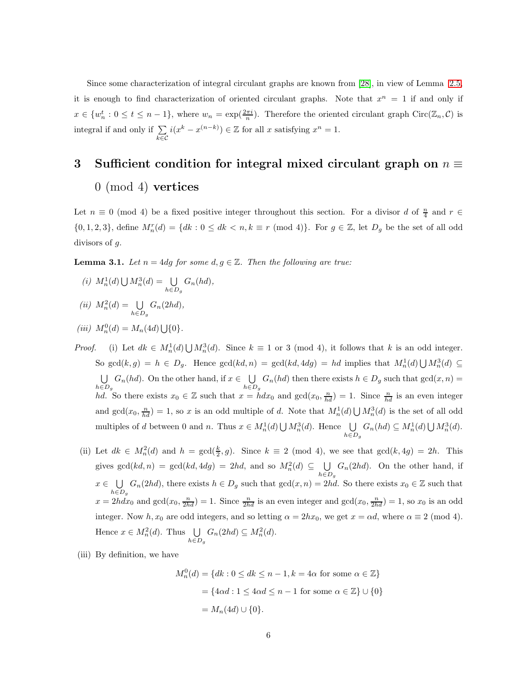Since some characterization of integral circulant graphs are known from [\[28\]](#page-46-5), in view of Lemma [2.5,](#page-26-0) it is enough to find characterization of oriented circulant graphs. Note that  $x^n = 1$  if and only if  $x \in \{w_n^t : 0 \le t \le n-1\}$ , where  $w_n = \exp(\frac{2\pi i}{n})$ . Therefore the oriented circulant graph Circ $(\mathbb{Z}_n, \mathcal{C})$  is integral if and only if  $\Sigma$ k∈C  $i(x^k - x^{(n-k)}) \in \mathbb{Z}$  for all x satisfying  $x^n = 1$ .

# 3 Sufficient condition for integral mixed circulant graph on  $n \equiv$ 0 (mod 4) vertices

Let  $n \equiv 0 \pmod{4}$  be a fixed positive integer throughout this section. For a divisor d of  $\frac{n}{4}$  and  $r \in$  $\{0, 1, 2, 3\}$ , define  $M_n^r(d) = \{dk : 0 \leq dk < n, k \equiv r \pmod{4}\}$ . For  $g \in \mathbb{Z}$ , let  $D_g$  be the set of all odd divisors of g.

<span id="page-27-0"></span>**Lemma 3.1.** *Let*  $n = 4dg$  *for some*  $d, g \in \mathbb{Z}$ *. Then the following are true:* 

- *(i)*  $M_n^1(d) \bigcup M_n^3(d) = \bigcup_{h \in D_g}$  $G_n(hd)$ ,
- $(ii)$   $M_n^2(d) = \bigcup_{h \in D_g}$  $G_n(2hd)$ ,

(iii) 
$$
M_n^0(d) = M_n(4d) \bigcup \{0\}.
$$

- *Proof.* (i) Let  $dk \in M_n^1(d) \cup M_n^3(d)$ . Since  $k \equiv 1$  or 3 (mod 4), it follows that k is an odd integer. So  $gcd(k,g) = h \in D_g$ . Hence  $gcd(kd,n) = gcd(kd, 4dg) = hd$  implies that  $M_n^1(d) \cup M_n^3(d) \subseteq$ U  $\bigcup_{h\in D_g} G_n(hd)$ . On the other hand, if  $x \in \bigcup_{h\in D_g}$  $\bigcup_{h \in D_g} G_n(hd)$  then there exists  $h \in D_g$  such that  $gcd(x, n) =$ hd. So there exists  $x_0 \in \mathbb{Z}$  such that  $x = h dx_0$  and  $gcd(x_0, \frac{n}{hd}) = 1$ . Since  $\frac{n}{hd}$  is an even integer and  $gcd(x_0, \frac{n}{hd}) = 1$ , so x is an odd multiple of d. Note that  $M_n^1(d) \bigcup M_n^3(d)$  is the set of all odd multiples of d between 0 and n. Thus  $x \in M_n^1(d) \bigcup M_n^3(d)$ . Hence  $\bigcup$  $\bigcup_{h \in D_g} G_n(hd) \subseteq M_n^1(d) \bigcup M_n^3(d).$
- (ii) Let  $dk \in M_n^2(d)$  and  $h = \gcd(\frac{k}{2}, g)$ . Since  $k \equiv 2 \pmod{4}$ , we see that  $\gcd(k, 4g) = 2h$ . This gives  $gcd(kd, n) = gcd(kd, 4dg) = 2hd$ , and so  $M_n^2(d) \subseteq \bigcup_{n=1}^{\infty}$  $h \in D_g$  $G_n(2hd)$ . On the other hand, if  $x \in \bigcup_{x \in \mathcal{F}}$  $\bigcup_{h\in D_g} G_n(2hd)$ , there exists  $h\in D_g$  such that  $gcd(x, n) = 2hd$ . So there exists  $x_0 \in \mathbb{Z}$  such that  $x = 2hdx_0$  and  $gcd(x_0, \frac{n}{2hd}) = 1$ . Since  $\frac{n}{2hd}$  is an even integer and  $gcd(x_0, \frac{n}{2hd}) = 1$ , so  $x_0$  is an odd integer. Now  $h, x_0$  are odd integers, and so letting  $\alpha = 2hx_0$ , we get  $x = \alpha d$ , where  $\alpha \equiv 2 \pmod{4}$ . Hence  $x \in M_n^2(d)$ . Thus  $\bigcup_{n \in \mathbb{N}}$  $\bigcup_{h \in D_g} G_n(2hd) \subseteq M_n^2(d).$
- (iii) By definition, we have

$$
M_n^0(d) = \{ dk : 0 \le dk \le n - 1, k = 4\alpha \text{ for some } \alpha \in \mathbb{Z} \}
$$

$$
= \{ 4\alpha d : 1 \le 4\alpha d \le n - 1 \text{ for some } \alpha \in \mathbb{Z} \} \cup \{ 0 \}
$$

$$
= M_n(4d) \cup \{ 0 \}.
$$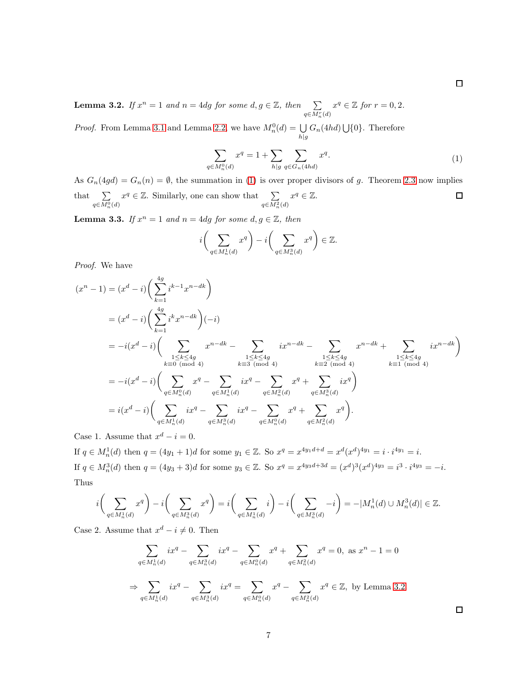<span id="page-28-1"></span>**Lemma 3.2.** *If*  $x^n = 1$  *and*  $n = 4dg$  *for some*  $d, g \in \mathbb{Z}$ *, then*  $\sum_{q \in M_n^r(d)}$  $x^q \in \mathbb{Z}$  for  $r = 0, 2$ .

<span id="page-28-0"></span>*Proof.* From Lemma [3.1](#page-27-0) and Lemma [2.2,](#page-26-1) we have  $M_n^0(d) = \bigcup_{h|g} G_n(4hd) \bigcup \{0\}$ . Therefore

$$
\sum_{q \in M_n^0(d)} x^q = 1 + \sum_{h|q} \sum_{q \in G_n(4hd)} x^q.
$$
\n(1)

As  $G_n(4gd) = G_n(n) = \emptyset$ , the summation in [\(1\)](#page-28-0) is over proper divisors of g. Theorem [2.3](#page-26-2) now implies  $x^q \in \mathbb{Z}$ . Similarly, one can show that  $\sum_{q \in M_n^2(d)}$  $x^q \in \mathbb{Z}$ .  $\Box$ that  $\sum$  $q \in M_n^0(d)$ 

<span id="page-28-2"></span>**Lemma 3.3.** *If*  $x^n = 1$  *and*  $n = 4dg$  *for some*  $d, g \in \mathbb{Z}$ *, then* 

$$
i\bigg(\sum_{q\in M_n^1(d)}x^q\bigg)-i\bigg(\sum_{q\in M_n^3(d)}x^q\bigg)\in\mathbb{Z}.
$$

*Proof.* We have

$$
(x^{n} - 1) = (x^{d} - i) \left( \sum_{k=1}^{4g} i^{k-1} x^{n-dk} \right)
$$
  
\n
$$
= (x^{d} - i) \left( \sum_{k=1}^{4g} i^{k} x^{n-dk} \right) (-i)
$$
  
\n
$$
= -i (x^{d} - i) \left( \sum_{k=0 \text{ (mod 4)}} x^{n-dk} - \sum_{\substack{1 \le k \le 4g \\ k \equiv 3 \text{ (mod 4)}}} ix^{n-dk} - \sum_{\substack{1 \le k \le 4g \\ k \equiv 3 \text{ (mod 4)}}} ix^{n-dk} - \sum_{\substack{1 \le k \le 4g \\ k \equiv 2 \text{ (mod 4)}}} x^{n-dk} + \sum_{\substack{1 \le k \le 4g \\ k \equiv 1 \text{ (mod 4)}}} ix^{n-dk} \right)
$$
  
\n
$$
= -i (x^{d} - i) \left( \sum_{q \in M_{n}^{0}(d)} x^{q} - \sum_{q \in M_{n}^{1}(d)} ix^{q} - \sum_{q \in M_{n}^{2}(d)} x^{q} + \sum_{q \in M_{n}^{3}(d)} ix^{q} \right)
$$
  
\n
$$
= i (x^{d} - i) \left( \sum_{q \in M_{n}^{1}(d)} ix^{q} - \sum_{q \in M_{n}^{3}(d)} ix^{q} - \sum_{q \in M_{n}^{0}(d)} x^{q} + \sum_{q \in M_{n}^{2}(d)} x^{q} \right).
$$

Case 1. Assume that  $x^d - i = 0$ .

If  $q \in M_n^1(d)$  then  $q = (4y_1 + 1)d$  for some  $y_1 \in \mathbb{Z}$ . So  $x^q = x^{4y_1d+d} = x^d(x^d)^{4y_1} = i \cdot i^{4y_1} = i$ . If  $q \in M_n^3(d)$  then  $q = (4y_3 + 3)d$  for some  $y_3 \in \mathbb{Z}$ . So  $x^q = x^{4y_3d+3d} = (x^d)^3 (x^d)^{4y_3} = i^3 \cdot i^{4y_3} = -i$ . Thus

$$
i\bigg(\sum_{q\in M_n^1(d)} x^q\bigg)-i\bigg(\sum_{q\in M_n^3(d)} x^q\bigg)=i\bigg(\sum_{q\in M_n^1(d)} i\bigg)-i\bigg(\sum_{q\in M_n^3(d)} -i\bigg)=-|M_n^1(d)\cup M_n^3(d)|\in\mathbb{Z}.
$$

Case 2. Assume that  $x^d - i \neq 0$ . Then

$$
\sum_{q \in M_n^1(d)} ix^q - \sum_{q \in M_n^3(d)} ix^q - \sum_{q \in M_n^0(d)} x^q + \sum_{q \in M_n^2(d)} x^q = 0, \text{ as } x^n - 1 = 0
$$
  

$$
\Rightarrow \sum_{q \in M_n^1(d)} ix^q - \sum_{q \in M_n^3(d)} ix^q = \sum_{q \in M_n^0(d)} x^q - \sum_{q \in M_n^2(d)} x^q \in \mathbb{Z}, \text{ by Lemma 3.2.}
$$

 $\Box$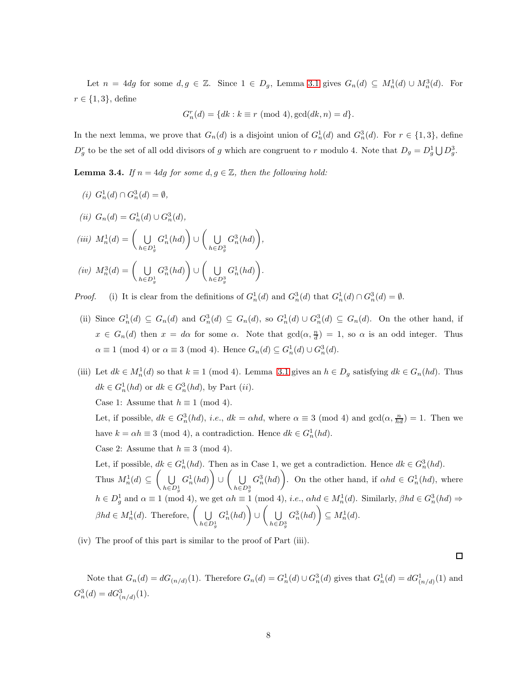Let  $n = 4dg$  for some  $d, g \in \mathbb{Z}$ . Since  $1 \in D_g$ , Lemma [3.1](#page-27-0) gives  $G_n(d) \subseteq M_n^1(d) \cup M_n^3(d)$ . For  $r \in \{1,3\}$ , define

$$
G_n^r(d) = \{ dk : k \equiv r \pmod{4}, \gcd(dk, n) = d \}.
$$

In the next lemma, we prove that  $G_n(d)$  is a disjoint union of  $G_n^1(d)$  and  $G_n^3(d)$ . For  $r \in \{1,3\}$ , define  $D_g^r$  to be the set of all odd divisors of g which are congruent to r modulo 4. Note that  $D_g = D_g^1 \bigcup D_g^3$ .

<span id="page-29-0"></span>**Lemma 3.4.** *If*  $n = 4dg$  *for some*  $d, g \in \mathbb{Z}$ *, then the following hold:* 

*(i)*  $G_n^1(d) \cap G_n^3(d) = \emptyset$ ,  $(ii)$   $G_n(d) = G_n^1(d) \cup G_n^3(d)$ ,  $(iii)$   $M_n^1(d) = \begin{pmatrix} 1 \\ 1 \end{pmatrix}$  $h \in D_a^1$ g  $G_n^1(hd)$ ∪  $\big($  U  $h \in D^3$ g  $G_n^3(hd)$ ,  $(iv)$   $M_n^3(d) = \begin{pmatrix} 1 \\ 0 \end{pmatrix}$  $h \in D_a^1$ g  $G_n^3(hd)$ ∪  $\big($  U  $h \in D^3$ g  $G_n^1(hd)$ .

*Proof.* (i) It is clear from the definitions of  $G_n^1(d)$  and  $G_n^3(d)$  that  $G_n^1(d) \cap G_n^3(d) = \emptyset$ .

- (ii) Since  $G_n^1(d) \subseteq G_n(d)$  and  $G_n^3(d) \subseteq G_n(d)$ , so  $G_n^1(d) \cup G_n^3(d) \subseteq G_n(d)$ . On the other hand, if  $x \in G_n(d)$  then  $x = d\alpha$  for some  $\alpha$ . Note that  $gcd(\alpha, \frac{n}{d}) = 1$ , so  $\alpha$  is an odd integer. Thus  $\alpha \equiv 1 \pmod{4}$  or  $\alpha \equiv 3 \pmod{4}$ . Hence  $G_n(d) \subseteq G_n^1(d) \cup G_n^3(d)$ .
- (iii) Let  $dk \in M_n^1(d)$  so that  $k \equiv 1 \pmod{4}$ . Lemma [3.1](#page-27-0) gives an  $h \in D_g$  satisfying  $dk \in G_n(hd)$ . Thus  $dk \in G_n^1(hd)$  or  $dk \in G_n^3(hd)$ , by Part  $(ii)$ .

Case 1: Assume that  $h \equiv 1 \pmod{4}$ .

Let, if possible,  $dk \in G_n^3(hd)$ , *i.e.*,  $dk = \alpha hd$ , where  $\alpha \equiv 3 \pmod{4}$  and  $gcd(\alpha, \frac{n}{hd}) = 1$ . Then we have  $k = \alpha h \equiv 3 \pmod{4}$ , a contradiction. Hence  $dk \in G_n^1(hd)$ .

Case 2: Assume that  $h \equiv 3 \pmod{4}$ .

Let, if possible,  $dk \in G_n^1(hd)$ . Then as in Case 1, we get a contradiction. Hence  $dk \in G_n^3(hd)$ . Thus  $M_n^1(d) \subseteq \left( \begin{array}{c} \bigcup \end{array} \right)$  $h \in D_g^1$  $G_n^1(hd)$ ∪  $\overline{\cup}$  $h{\in}D_g^3$  $G_n^3(hd)$ . On the other hand, if  $\alpha hd \in G_n^1(hd)$ , where  $h \in D_g^1$  and  $\alpha \equiv 1 \pmod{4}$ , we get  $\alpha h \equiv 1 \pmod{4}$ , *i.e.*,  $\alpha hd \in M_n^1(d)$ . Similarly,  $\beta hd \in G_n^3(hd) \Rightarrow$  $\beta hd \in M_n^1(d)$ . Therefore,  $\Big(\bigcup_{n=1}^\infty \frac{1}{n}$  $h \in D_g^1$  $G_n^1(hd)$ ∪  $\big($  U  $h \in D_g^3$  $G_n^3(hd)$   $\subseteq M_n^1(d)$ .

(iv) The proof of this part is similar to the proof of Part (iii).

 $\Box$ 

Note that  $G_n(d) = dG_{(n/d)}(1)$ . Therefore  $G_n(d) = G_n^1(d) \cup G_n^3(d)$  gives that  $G_n^1(d) = dG_{(n/d)}^1(1)$  and  $G_n^3(d) = dG_{(n/d)}^3(1).$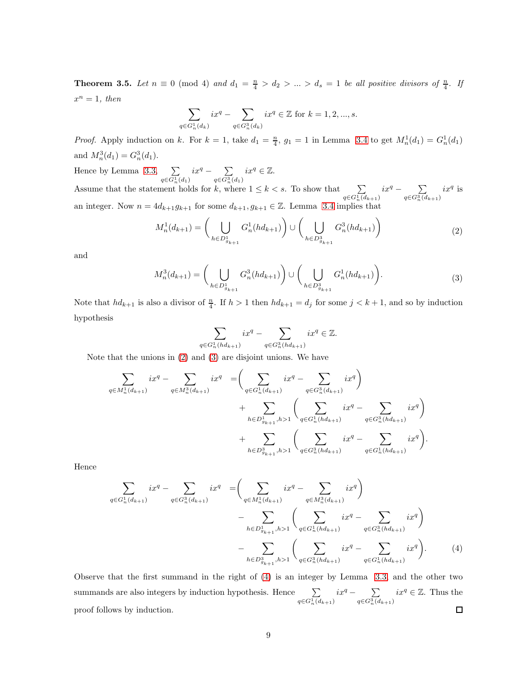<span id="page-30-3"></span>**Theorem 3.5.** Let  $n \equiv 0 \pmod{4}$  and  $d_1 = \frac{n}{4} > d_2 > ... > d_s = 1$  be all positive divisors of  $\frac{n}{4}$ . If  $x^n = 1$ , then

$$
\sum_{q\in G_n^1(d_k)}ix^q-\sum_{q\in G_n^3(d_k)}ix^q\in\mathbb{Z}\text{ for }k=1,2,...,s.
$$

*Proof.* Apply induction on k. For  $k = 1$ , take  $d_1 = \frac{n}{4}$ ,  $g_1 = 1$  in Lemma [3.4](#page-29-0) to get  $M_n^1(d_1) = G_n^1(d_1)$ and  $M_n^3(d_1) = G_n^3(d_1)$ .

Hence by Lemma [3.3,](#page-28-2)  $\Sigma$  $\sum_{q \in G_n^1(d_1)} ix^q - \sum_{q \in G_n^3}$  $\sum_{q \in G_n^3(d_1)} ix^q \in \mathbb{Z}.$ Assume that the statement holds for k, where  $1 \leq k < s$ . To show that  $\sum_{q \in G_n^1(d_{k+1})} ix^q - \sum_{q \in G_n^3(d_{k+1})}$  $q \in G_n^3(d_{k+1})$  $ix^q$  is an integer. Now  $n = 4d_{k+1}g_{k+1}$  for some  $d_{k+1}, g_{k+1} \in \mathbb{Z}$ . Lemma [3.4](#page-29-0) implies that

$$
M_n^1(d_{k+1}) = \left(\bigcup_{h \in D_{g_{k+1}}^1} G_n^1(hd_{k+1})\right) \cup \left(\bigcup_{h \in D_{g_{k+1}}^3} G_n^3(hd_{k+1})\right) \tag{2}
$$

<span id="page-30-1"></span><span id="page-30-0"></span>and

$$
M_n^3(d_{k+1}) = \bigg(\bigcup_{h \in D_{g_{k+1}}^1} G_n^3(hd_{k+1})\bigg) \cup \bigg(\bigcup_{h \in D_{g_{k+1}}^3} G_n^1(hd_{k+1})\bigg). \tag{3}
$$

Note that  $hd_{k+1}$  is also a divisor of  $\frac{n}{4}$ . If  $h > 1$  then  $hd_{k+1} = d_j$  for some  $j < k+1$ , and so by induction hypothesis

$$
\sum_{\in G_n^1(hd_{k+1})} ix^q - \sum_{q \in G_n^3(hd_{k+1})} ix^q \in \mathbb{Z}.
$$

Note that the unions in [\(2\)](#page-30-0) and [\(3\)](#page-30-1) are disjoint unions. We have

<span id="page-30-2"></span> $q$ 

$$
\sum_{q \in M_n^1(d_{k+1})} ix^q - \sum_{q \in M_n^3(d_{k+1})} ix^q = \left( \sum_{q \in G_n^1(d_{k+1})} ix^q - \sum_{q \in G_n^3(d_{k+1})} ix^q \right) \n+ \sum_{h \in D_{g_{k+1}}^1, h > 1} \left( \sum_{q \in G_n^1(hd_{k+1})} ix^q - \sum_{q \in G_n^3(hd_{k+1})} ix^q \right) \n+ \sum_{h \in D_{g_{k+1}}^3, h > 1} \left( \sum_{q \in G_n^3(hd_{k+1})} ix^q - \sum_{q \in G_n^1(hd_{k+1})} ix^q \right).
$$

Hence

$$
\sum_{q \in G_n^1(d_{k+1})} ix^q - \sum_{q \in G_n^3(d_{k+1})} ix^q = \left( \sum_{q \in M_n^1(d_{k+1})} ix^q - \sum_{q \in M_n^3(d_{k+1})} ix^q \right) \n- \sum_{h \in D_{g_{k+1}}^1, h > 1} \left( \sum_{q \in G_n^1(hd_{k+1})} ix^q - \sum_{q \in G_n^3(hd_{k+1})} ix^q \right) \n- \sum_{h \in D_{g_{k+1}}^3, h > 1} \left( \sum_{q \in G_n^3(hd_{k+1})} ix^q - \sum_{q \in G_n^1(hd_{k+1})} ix^q \right).
$$
\n(4)

Observe that the first summand in the right of [\(4\)](#page-30-2) is an integer by Lemma [3.3,](#page-28-2) and the other two  $\sum_{q \in G_n^1(d_{k+1})} ix^q - \sum_{q \in G_n^3(d)}$  $\sum_{q \in G_n^3(d_{k+1})} ix^q \in \mathbb{Z}$ . Thus the summands are also integers by induction hypothesis. Hence  $\sum$ proof follows by induction.  $\Box$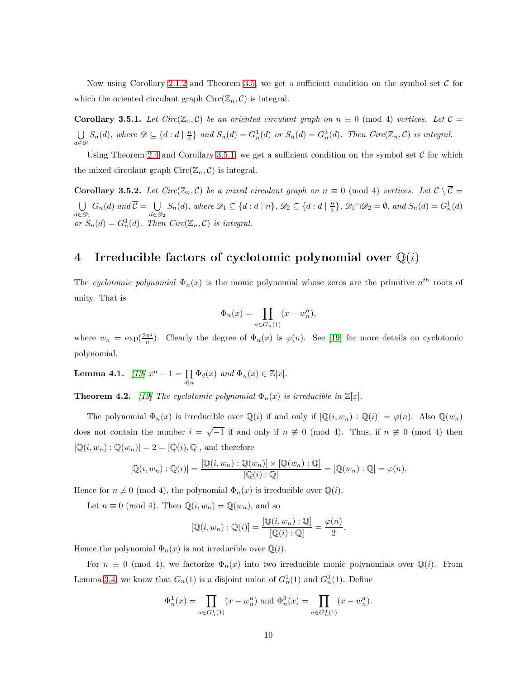Now using Corollary [2.1.2](#page-26-3) and Theorem [3.5,](#page-30-3) we get a sufficient condition on the symbol set  $\mathcal C$  for which the oriented circulant graph  $Circ(\mathbb{Z}_n, \mathcal{C})$  is integral.

<span id="page-31-0"></span>**Corollary 3.5.1.** Let  $Circ(\mathbb{Z}_n, \mathcal{C})$  be an oriented circulant graph on  $n \equiv 0 \pmod{4}$  vertices. Let  $\mathcal{C} =$ U  $\bigcup_{d \in \mathcal{D}} S_n(d)$ , where  $\mathcal{D} \subseteq \{d : d \mid \frac{n}{4}\}$  and  $S_n(d) = G_n^1(d)$  or  $S_n(d) = G_n^3(d)$ . Then  $Circ(\mathbb{Z}_n, C)$  is integral.

Using Theorem [2.4](#page-26-4) and Corollary [3.5.1,](#page-31-0) we get a sufficient condition on the symbol set  $C$  for which the mixed circulant graph  $Circ(\mathbb{Z}_n, \mathcal{C})$  is integral.

**Corollary 3.5.2.** Let  $Circ(\mathbb{Z}_n, \mathcal{C})$  be a mixed circulant graph on  $n \equiv 0 \pmod{4}$  vertices. Let  $\mathcal{C} \setminus \overline{\mathcal{C}} =$ U  $\bigcup_{d \in \mathscr{D}_1} G_n(d)$  and  $\mathcal{C} = \bigcup_{d \in \mathscr{D}_1}$  $\bigcup_{d \in \mathcal{D}_2} S_n(d)$ *, where*  $\mathcal{D}_1 \subseteq \{d : d \mid n\}$ *,*  $\mathcal{D}_2 \subseteq \{d : d \mid \frac{n}{4}\}$ *,*  $\mathcal{D}_1 \cap \mathcal{D}_2 = \emptyset$ *, and*  $S_n(d) = G_n^1(d)$ or  $S_n(d) = G_n^3(d)$ . Then  $Circ(\mathbb{Z}_n, C)$  *is integral.* 

## 4 Irreducible factors of cyclotomic polynomial over  $\mathbb{Q}(i)$

The cyclotomic polynomial  $\Phi_n(x)$  is the monic polynomial whose zeros are the primitive  $n^{th}$  roots of unity. That is

$$
\Phi_n(x) = \prod_{a \in G_n(1)} (x - w_n^a),
$$

where  $w_n = \exp(\frac{2\pi i}{n})$ . Clearly the degree of  $\Phi_n(x)$  is  $\varphi(n)$ . See [\[19\]](#page-45-12) for more details on cyclotomic polynomial.

**Lemma 4.1.**  $[19] x^n - 1 = \prod_{d|n} \Phi_d(x)$  $[19] x^n - 1 = \prod_{d|n} \Phi_d(x)$  and  $\Phi_n(x) \in \mathbb{Z}[x]$ .

**Theorem 4.2.** [\[19\]](#page-45-12) The cyclotomic polynomial  $\Phi_n(x)$  is irreducible in  $\mathbb{Z}[x]$ .

The polynomial  $\Phi_n(x)$  is irreducible over  $\mathbb{Q}(i)$  if and only if  $[\mathbb{Q}(i, w_n) : \mathbb{Q}(i)] = \varphi(n)$ . Also  $\mathbb{Q}(w_n)$ does not contain the number  $i = \sqrt{-1}$  if and only if  $n \neq 0 \pmod{4}$ . Thus, if  $n \neq 0 \pmod{4}$  then  $[\mathbb{Q}(i, w_n) : \mathbb{Q}(w_n)] = 2 = [\mathbb{Q}(i), \mathbb{Q}],$  and therefore

$$
[\mathbb{Q}(i, w_n) : \mathbb{Q}(i)] = \frac{[\mathbb{Q}(i, w_n) : \mathbb{Q}(w_n)] \times [\mathbb{Q}(w_n) : \mathbb{Q}]}{[\mathbb{Q}(i) : \mathbb{Q}]} = [\mathbb{Q}(w_n) : \mathbb{Q}] = \varphi(n).
$$

Hence for  $n \not\equiv 0 \pmod{4}$ , the polynomial  $\Phi_n(x)$  is irreducible over  $\mathbb{Q}(i)$ .

Let  $n \equiv 0 \pmod{4}$ . Then  $\mathbb{Q}(i, w_n) = \mathbb{Q}(w_n)$ , and so

$$
[\mathbb{Q}(i, w_n) : \mathbb{Q}(i)] = \frac{[\mathbb{Q}(i, w_n) : \mathbb{Q}]}{[\mathbb{Q}(i) : \mathbb{Q}]} = \frac{\varphi(n)}{2}.
$$

Hence the polynomial  $\Phi_n(x)$  is not irreducible over  $\mathbb{Q}(i)$ .

For  $n \equiv 0 \pmod{4}$ , we factorize  $\Phi_n(x)$  into two irreducible monic polynomials over  $\mathbb{Q}(i)$ . From Lemma [3.4,](#page-29-0) we know that  $G_n(1)$  is a disjoint union of  $G_n^1(1)$  and  $G_n^3(1)$ . Define

$$
\Phi_n^1(x) = \prod_{a \in G_n^1(1)} (x - w_n^a) \text{ and } \Phi_n^3(x) = \prod_{a \in G_n^3(1)} (x - w_n^a).
$$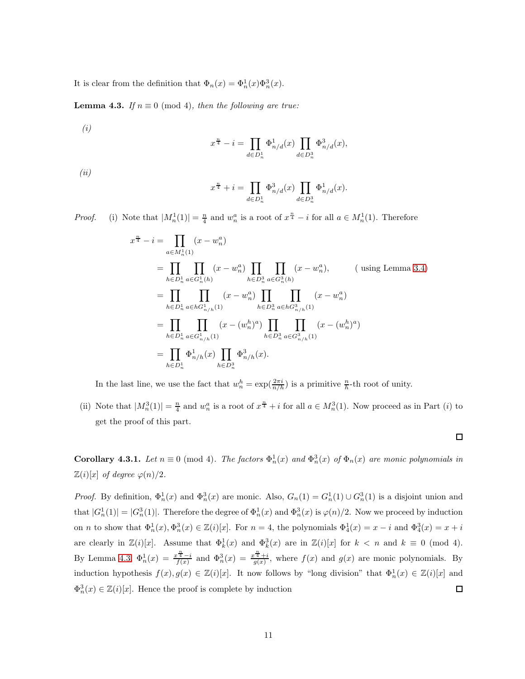It is clear from the definition that  $\Phi_n(x) = \Phi_n^1(x)\Phi_n^3(x)$ .

<span id="page-32-0"></span>**Lemma 4.3.** *If*  $n \equiv 0 \pmod{4}$ *, then the following are true:* 

*(i)*

$$
x^{\frac{n}{4}} - i = \prod_{d \in D_n^1} \Phi_{n/d}^1(x) \prod_{d \in D_n^3} \Phi_{n/d}^3(x),
$$

*(ii)*

$$
x^{\frac{n}{4}} + i = \prod_{d \in D_n^1} \Phi_{n/d}^3(x) \prod_{d \in D_n^3} \Phi_{n/d}^1(x).
$$

*Proof.* (i) Note that  $|M_n^1(1)| = \frac{n}{4}$  and  $w_n^a$  is a root of  $x^{\frac{n}{4}} - i$  for all  $a \in M_n^1(1)$ . Therefore

$$
x^{\frac{n}{4}} - i = \prod_{a \in M_n^1(1)} (x - w_n^a)
$$
  
\n
$$
= \prod_{h \in D_n^1} \prod_{a \in G_n^1(h)} (x - w_n^a) \prod_{h \in D_n^3} \prod_{a \in G_n^3(h)} (x - w_n^a),
$$
 (using Lemma 3.4)  
\n
$$
= \prod_{h \in D_n^1} \prod_{a \in hG_{n/h}^1(1)} (x - w_n^a) \prod_{h \in D_n^3} \prod_{a \in hG_{n/h}^3(1)} (x - w_n^a)
$$
  
\n
$$
= \prod_{h \in D_n^1} \prod_{a \in G_{n/h}^1(1)} (x - (w_n^h)^a) \prod_{h \in D_n^3} \prod_{a \in G_{n/h}^3(1)} (x - (w_n^h)^a)
$$
  
\n
$$
= \prod_{h \in D_n^1} \Phi_{n/h}^1(x) \prod_{h \in D_n^3} \Phi_{n/h}^3(x).
$$

In the last line, we use the fact that  $w_n^h = \exp(\frac{2\pi i}{n/h})$  is a primitive  $\frac{n}{h}$ -th root of unity.

(ii) Note that  $|M_n^3(1)| = \frac{n}{4}$  and  $w_n^a$  is a root of  $x^{\frac{n}{4}} + i$  for all  $a \in M_n^3(1)$ . Now proceed as in Part (i) to get the proof of this part.

<span id="page-32-1"></span>**Corollary 4.3.1.** *Let*  $n \equiv 0 \pmod{4}$ . *The factors*  $\Phi_n^1(x)$  *and*  $\Phi_n^3(x)$  *of*  $\Phi_n(x)$  *are monic polynomials in*  $\mathbb{Z}(i)[x]$  *of degree*  $\varphi(n)/2$ *.* 

*Proof.* By definition,  $\Phi_n^1(x)$  and  $\Phi_n^3(x)$  are monic. Also,  $G_n(1) = G_n^1(1) \cup G_n^3(1)$  is a disjoint union and that  $|G_n^1(1)| = |G_n^3(1)|$ . Therefore the degree of  $\Phi_n^1(x)$  and  $\Phi_n^3(x)$  is  $\varphi(n)/2$ . Now we proceed by induction on *n* to show that  $\Phi_n^1(x), \Phi_n^3(x) \in \mathbb{Z}(i)[x]$ . For  $n = 4$ , the polynomials  $\Phi_4^1(x) = x - i$  and  $\Phi_4^3(x) = x + i$ are clearly in  $\mathbb{Z}(i)[x]$ . Assume that  $\Phi_k^1(x)$  and  $\Phi_k^3(x)$  are in  $\mathbb{Z}(i)[x]$  for  $k < n$  and  $k \equiv 0 \pmod{4}$ . By Lemma [4.3,](#page-32-0)  $\Phi_n^1(x) = \frac{x^{\frac{n}{4}}-i}{f(x)}$  and  $\Phi_n^3(x) = \frac{x^{\frac{n}{4}}+i}{g(x)}$ , where  $f(x)$  and  $g(x)$  are monic polynomials. By induction hypothesis  $f(x), g(x) \in \mathbb{Z}(i)[x]$ . It now follows by "long division" that  $\Phi_n^1(x) \in \mathbb{Z}(i)[x]$  and  $\Phi_n^3(x) \in \mathbb{Z}(i)[x]$ . Hence the proof is complete by induction  $\Box$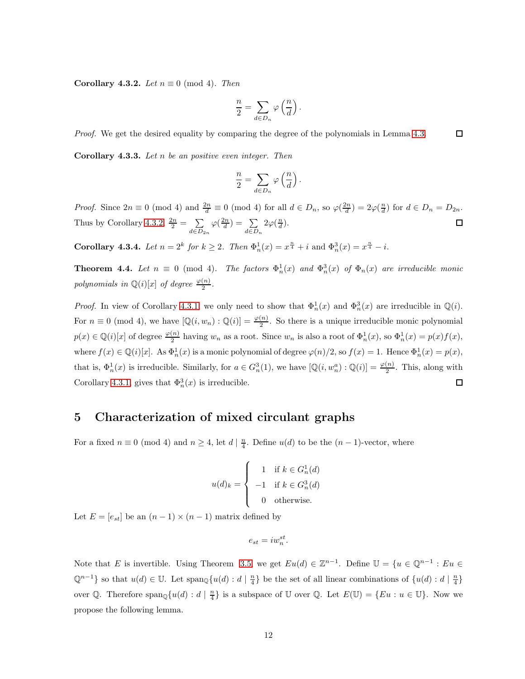<span id="page-33-0"></span>Corollary 4.3.2. *Let*  $n \equiv 0 \pmod{4}$ *. Then* 

$$
\frac{n}{2}=\sum_{d\in D_n}\varphi\left(\frac{n}{d}\right).
$$

*Proof.* We get the desired equality by comparing the degree of the polynomials in Lemma [4.3.](#page-32-0)  $\Box$ 

Corollary 4.3.3. *Let* n *be an positive even integer. Then*

$$
\frac{n}{2}=\sum_{d\in D_n}\varphi\left(\frac{n}{d}\right).
$$

*Proof.* Since  $2n \equiv 0 \pmod{4}$  and  $\frac{2n}{d} \equiv 0 \pmod{4}$  for all  $d \in D_n$ , so  $\varphi(\frac{2n}{d}) = 2\varphi(\frac{n}{d})$  for  $d \in D_n = D_{2n}$ . Thus by Corollary [4.3.2,](#page-33-0)  $\frac{2n}{2} = \sum_{n=2}^{\infty}$  $\varphi(\frac{2n}{d}) = \sum_{n=0}^{\infty}$  $2\varphi(\frac{n}{d})$ .  $\Box$  $d \in D_{2n}$  $d \in D_n$ 

**Corollary 4.3.4.** *Let*  $n = 2^k$  *for*  $k \ge 2$ *. Then*  $\Phi_n^1(x) = x^{\frac{n}{4}} + i$  and  $\Phi_n^3(x) = x^{\frac{n}{4}} - i$ .

**Theorem 4.4.** Let  $n \equiv 0 \pmod{4}$ . The factors  $\Phi_n^1(x)$  and  $\Phi_n^3(x)$  of  $\Phi_n(x)$  are irreducible monic *polynomials in*  $\mathbb{Q}(i)[x]$  *of degree*  $\frac{\varphi(n)}{2}$ *.* 

*Proof.* In view of Corollary [4.3.1,](#page-32-1) we only need to show that  $\Phi_n^1(x)$  and  $\Phi_n^3(x)$  are irreducible in  $\mathbb{Q}(i)$ . For  $n \equiv 0 \pmod{4}$ , we have  $[\mathbb{Q}(i, w_n) : \mathbb{Q}(i)] = \frac{\varphi(n)}{2}$ . So there is a unique irreducible monic polynomial  $p(x) \in \mathbb{Q}(i)[x]$  of degree  $\frac{\varphi(n)}{2}$  having  $w_n$  as a root. Since  $w_n$  is also a root of  $\Phi_n^1(x)$ , so  $\Phi_n^1(x) = p(x)f(x)$ , where  $f(x) \in \mathbb{Q}(i)[x]$ . As  $\Phi_n^1(x)$  is a monic polynomial of degree  $\varphi(n)/2$ , so  $f(x) = 1$ . Hence  $\Phi_n^1(x) = p(x)$ , that is,  $\Phi_n^1(x)$  is irreducible. Similarly, for  $a \in G_n^3(1)$ , we have  $[\mathbb{Q}(i, w_n^a) : \mathbb{Q}(i)] = \frac{\varphi(n)}{2}$ . This, along with Corollary [4.3.1,](#page-32-1) gives that  $\Phi_n^3(x)$  is irreducible.  $\Box$ 

### 5 Characterization of mixed circulant graphs

For a fixed  $n \equiv 0 \pmod{4}$  and  $n \geq 4$ , let  $d \mid \frac{n}{4}$ . Define  $u(d)$  to be the  $(n-1)$ -vector, where

$$
u(d)_k = \begin{cases} 1 & \text{if } k \in G_n^1(d) \\ -1 & \text{if } k \in G_n^3(d) \\ 0 & \text{otherwise.} \end{cases}
$$

Let  $E = [e_{st}]$  be an  $(n-1) \times (n-1)$  matrix defined by

$$
e_{st} = iw_n^{st}.
$$

Note that E is invertible. Using Theorem [3.5,](#page-30-3) we get  $Eu(d) \in \mathbb{Z}^{n-1}$ . Define  $\mathbb{U} = \{u \in \mathbb{Q}^{n-1} : Eu \in \mathbb{Z}^{n-1}\}$  $\mathbb{Q}^{n-1}$  so that  $u(d) \in \mathbb{U}$ . Let  $\text{span}_{\mathbb{Q}}\{u(d) : d \mid \frac{n}{4}\}\$  be the set of all linear combinations of  $\{u(d) : d \mid \frac{n}{4}\}\$ over Q. Therefore  $\text{span}_{\mathbb{Q}}\{u(d) : d \mid \frac{n}{4}\}\$ is a subspace of U over Q. Let  $E(\mathbb{U}) = \{Eu : u \in \mathbb{U}\}\$ . Now we propose the following lemma.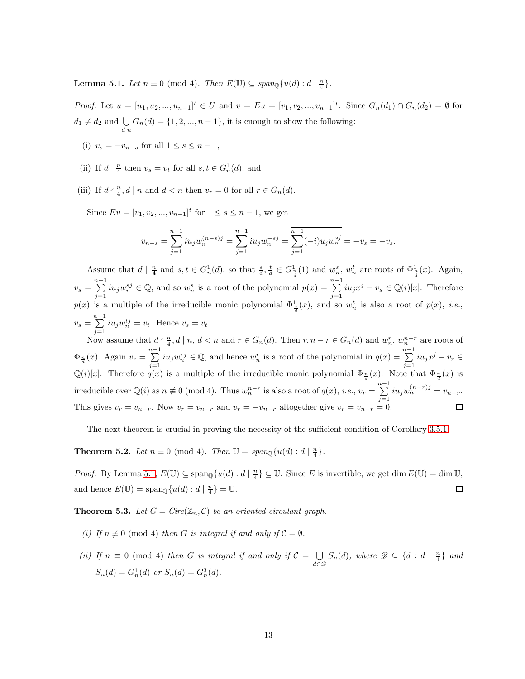<span id="page-34-0"></span>**Lemma 5.1.** *Let*  $n \equiv 0 \pmod{4}$ . *Then*  $E(\mathbb{U}) \subseteq span_{\mathbb{Q}}\{u(d) : d \mid \frac{n}{4}\}.$ 

*Proof.* Let  $u = [u_1, u_2, ..., u_{n-1}]^t \in U$  and  $v = Eu = [v_1, v_2, ..., v_{n-1}]^t$ . Since  $G_n(d_1) \cap G_n(d_2) = \emptyset$  for  $d_1 \neq d_2$  and  $\bigcup_{d|n} G_n(d) = \{1, 2, ..., n-1\}$ , it is enough to show the following:

- (i)  $v_s = -v_{n-s}$  for all  $1 \leq s \leq n-1$ ,
- (ii) If  $d \mid \frac{n}{4}$  then  $v_s = v_t$  for all  $s, t \in G_n^1(d)$ , and
- (iii) If  $d \nmid \frac{n}{4}$ ,  $d \mid n$  and  $d < n$  then  $v_r = 0$  for all  $r \in G_n(d)$ .

Since  $E_u = [v_1, v_2, ..., v_{n-1}]^t$  for  $1 \le s \le n-1$ , we get

$$
v_{n-s} = \sum_{j=1}^{n-1} i u_j w_n^{(n-s)j} = \sum_{j=1}^{n-1} i u_j w_n^{-sj} = \sum_{j=1}^{n-1} (-i) u_j w_n^{sj} = -\overline{v_s} = -v_s.
$$

Assume that  $d \mid \frac{n}{4}$  and  $s, t \in G_n^1(d)$ , so that  $\frac{s}{d}, \frac{t}{d} \in G_{\frac{n}{d}}^1(1)$  and  $w_n^s$ ,  $w_n^t$  are roots of  $\Phi_{\frac{n}{d}}^1(x)$ . Again,  $v_s = \sum^{n-1}$  $\sum_{j=1}^{n-1} i u_j w_n^{sj} \in \mathbb{Q}$ , and so  $w_n^s$  is a root of the polynomial  $p(x) = \sum_{j=1}^{n-1} i u_j^s$  $\sum_{j=1} i u_j x^j - v_s \in \mathbb{Q}(i)[x]$ . Therefore  $p(x)$  is a multiple of the irreducible monic polynomial  $\Phi_{\frac{1}{a}}^1(x)$ , and so  $w_n^t$  is also a root of  $p(x)$ , *i.e.*,  $v_s = \sum_{n=1}^{n-1}$  $\sum_{j=1} i u_j w_n^{t_j} = v_t$ . Hence  $v_s = v_t$ .

Now assume that  $d \nmid \frac{n}{4}, d \mid n, d < n$  and  $r \in G_n(d)$ . Then  $r, n-r \in G_n(d)$  and  $w_n^r, w_n^{n-r}$  are roots of  $\Phi_{\frac{n}{d}}(x)$ . Again  $v_r = \sum_{r=1}^{n-1}$  $\sum_{j=1}^{n-1} i u_j w_n^{r,j} \in \mathbb{Q}$ , and hence  $w_n^r$  is a root of the polynomial in  $q(x) = \sum_{j=1}^{n-1} i u_j w_n^{r,j}$  $\sum_{j=1} i u_j x^j - v_r \in$  $\mathbb{Q}(i)[x]$ . Therefore  $q(x)$  is a multiple of the irreducible monic polynomial  $\Phi_{\frac{n}{d}}(x)$ . Note that  $\Phi_{\frac{n}{d}}(x)$  is irreducible over  $\mathbb{Q}(i)$  as  $n \neq 0 \pmod{4}$ . Thus  $w_n^{n-r}$  is also a root of  $q(x)$ , *i.e.*,  $v_r = \sum_{n=1}^{n-1}$  $\sum_{j=1}^{n} i u_j w_n^{(n-r)j} = v_{n-r}.$ This gives  $v_r = v_{n-r}$ . Now  $v_r = v_{n-r}$  and  $v_r = -v_{n-r}$  altogether give  $v_r = v_{n-r} = 0$ .

The next theorem is crucial in proving the necessity of the sufficient condition of Corollary [3.5.1.](#page-31-0)

<span id="page-34-1"></span>**Theorem 5.2.** *Let*  $n \equiv 0 \pmod{4}$ *. Then*  $\mathbb{U} = span_{\mathbb{Q}}\{u(d) : d \mid \frac{n}{4}\}.$ 

*Proof.* By Lemma [5.1,](#page-34-0)  $E(\mathbb{U}) \subseteq \text{span}_{\mathbb{Q}}\{u(d) : d \mid \frac{n}{4}\} \subseteq \mathbb{U}$ . Since E is invertible, we get dim  $E(\mathbb{U}) = \dim \mathbb{U}$ , and hence  $E(\mathbb{U}) = \text{span}_{\mathbb{Q}}\{u(d) : d \mid \frac{n}{4}\} = \mathbb{U}.$  $\Box$ 

<span id="page-34-2"></span>**Theorem 5.3.** Let  $G = Circ(\mathbb{Z}_n, \mathcal{C})$  be an oriented circulant graph.

- *(i)* If  $n \not\equiv 0 \pmod{4}$  *then* G *is integral if and only if*  $C = \emptyset$ *.*
- *(ii)* If  $n \equiv 0 \pmod{4}$  *then* G *is integral if and only if*  $C = \bigcup_{n \geq 0}$  $\bigcup_{d \in \mathscr{D}} S_n(d)$ *, where*  $\mathscr{D} \subseteq \{d : d \mid \frac{n}{4}\}\$ and  $S_n(d) = G_n^1(d)$  or  $S_n(d) = G_n^3(d)$ .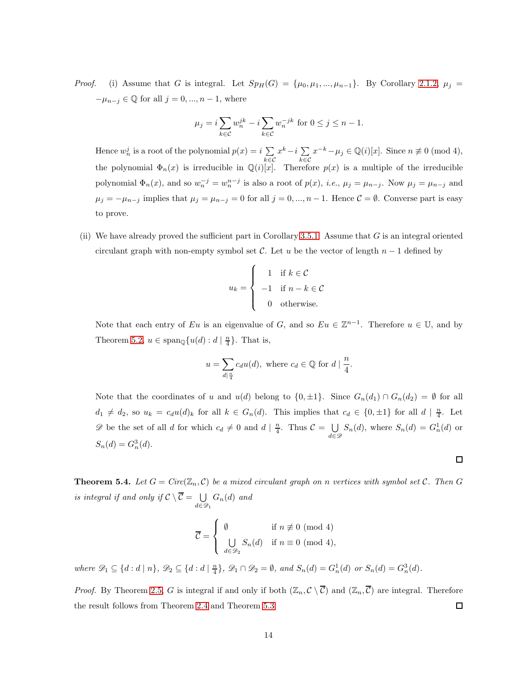*Proof.* (i) Assume that G is integral. Let  $Sp_H(G) = {\mu_0, \mu_1, ..., \mu_{n-1}}$ . By Corollary [2.1.2,](#page-26-3)  $\mu_j =$  $-\mu_{n-j} \in \mathbb{Q}$  for all  $j = 0, ..., n-1$ , where

$$
\mu_j = i \sum_{k \in \mathcal{C}} w_n^{jk} - i \sum_{k \in \mathcal{C}} w_n^{-jk} \text{ for } 0 \le j \le n - 1.
$$

Hence  $w_n^j$  is a root of the polynomial  $p(x) = i \sum$ k∈C  $x^k - i \sum_{n=1}^{\infty}$ k∈C  $x^{-k} - \mu_j \in \mathbb{Q}(i)[x]$ . Since  $n \not\equiv 0 \pmod{4}$ , the polynomial  $\Phi_n(x)$  is irreducible in  $\mathbb{Q}(i)[x]$ . Therefore  $p(x)$  is a multiple of the irreducible polynomial  $\Phi_n(x)$ , and so  $w_n^{-j} = w_n^{n-j}$  is also a root of  $p(x)$ , *i.e.*,  $\mu_j = \mu_{n-j}$ . Now  $\mu_j = \mu_{n-j}$  and  $\mu_j = -\mu_{n-j}$  implies that  $\mu_j = \mu_{n-j} = 0$  for all  $j = 0, ..., n-1$ . Hence  $\mathcal{C} = \emptyset$ . Converse part is easy to prove.

(ii) We have already proved the sufficient part in Corollary [3.5.1.](#page-31-0) Assume that  $G$  is an integral oriented circulant graph with non-empty symbol set C. Let u be the vector of length  $n-1$  defined by

$$
u_k = \begin{cases} 1 & \text{if } k \in \mathcal{C} \\ -1 & \text{if } n - k \in \mathcal{C} \\ 0 & \text{otherwise.} \end{cases}
$$

Note that each entry of Eu is an eigenvalue of G, and so  $Eu \in \mathbb{Z}^{n-1}$ . Therefore  $u \in \mathbb{U}$ , and by Theorem [5.2,](#page-34-1)  $u \in \text{span}_{\mathbb{Q}}\{u(d) : d \mid \frac{n}{4}\}.$  That is,

$$
u = \sum_{d \mid \frac{n}{4}} c_d u(d), \text{ where } c_d \in \mathbb{Q} \text{ for } d \mid \frac{n}{4}.
$$

Note that the coordinates of u and  $u(d)$  belong to  $\{0, \pm 1\}$ . Since  $G_n(d_1) \cap G_n(d_2) = \emptyset$  for all  $d_1 \neq d_2$ , so  $u_k = c_d u(d)_k$  for all  $k \in G_n(d)$ . This implies that  $c_d \in \{0, \pm 1\}$  for all  $d \mid \frac{n}{4}$ . Let  $\mathscr{D}$  be the set of all d for which  $c_d \neq 0$  and  $d | \frac{n}{4}$ . Thus  $\mathcal{C} = \bigcup_{i=1}^{\infty}$  $\bigcup_{d \in \mathscr{D}} S_n(d)$ , where  $S_n(d) = G_n(d)$  or  $S_n(d) = G_n^3(d).$ 

 $\Box$ 

<span id="page-35-0"></span>**Theorem 5.4.** Let  $G = Circ(\mathbb{Z}_n, C)$  be a mixed circulant graph on n vertices with symbol set C. Then G *is integral if and only if*  $C \setminus \overline{C} = \bigcup_{\alpha \in \overline{C}}$  $\bigcup_{d \in \mathscr{D}_1} G_n(d)$  and

$$
\overline{\mathcal{C}} = \begin{cases} \emptyset & \text{if } n \not\equiv 0 \pmod{4} \\ \bigcup_{d \in \mathscr{D}_2} S_n(d) & \text{if } n \equiv 0 \pmod{4}, \end{cases}
$$

 $where \mathscr{D}_1 \subseteq \{d : d \mid n\}, \mathscr{D}_2 \subseteq \{d : d \mid \frac{n}{4}\}, \mathscr{D}_1 \cap \mathscr{D}_2 = \emptyset, and S_n(d) = G_n^1(d) \text{ or } S_n(d) = G_n^3(d).$ 

*Proof.* By Theorem [2.5,](#page-26-0) G is integral if and only if both  $(\mathbb{Z}_n, \mathcal{C} \setminus \overline{\mathcal{C}})$  and  $(\mathbb{Z}_n, \overline{\mathcal{C}})$  are integral. Therefore the result follows from Theorem [2.4](#page-26-4) and Theorem [5.3.](#page-34-2)  $\Box$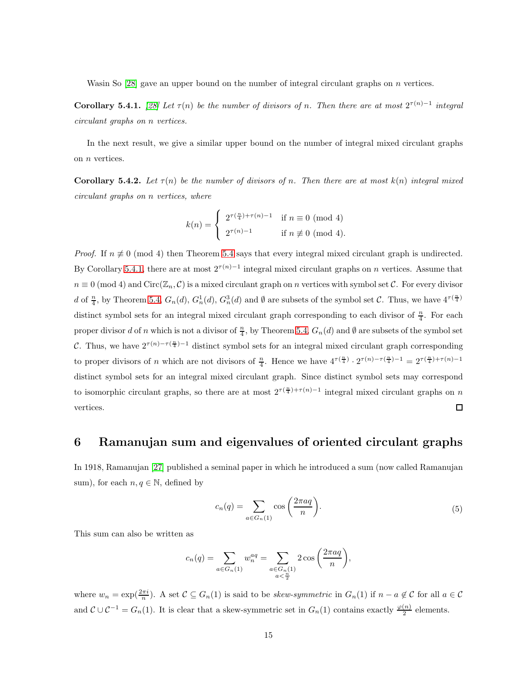Wasin So [\[28\]](#page-46-5) gave an upper bound on the number of integral circulant graphs on *n* vertices.

<span id="page-36-0"></span>Corollary 5.4.1. [\[28\]](#page-46-5) Let  $\tau(n)$  be the number of divisors of n. Then there are at most  $2^{\tau(n)-1}$  integral *circulant graphs on* n *vertices.*

In the next result, we give a similar upper bound on the number of integral mixed circulant graphs on n vertices.

**Corollary 5.4.2.** Let  $\tau(n)$  be the number of divisors of n. Then there are at most  $k(n)$  integral mixed *circulant graphs on* n *vertices, where*

$$
k(n) = \begin{cases} 2^{\tau(\frac{n}{4}) + \tau(n) - 1} & \text{if } n \equiv 0 \pmod{4} \\ 2^{\tau(n) - 1} & \text{if } n \not\equiv 0 \pmod{4}. \end{cases}
$$

*Proof.* If  $n \neq 0 \pmod{4}$  then Theorem [5.4](#page-35-0) says that every integral mixed circulant graph is undirected. By Corollary [5.4.1,](#page-36-0) there are at most  $2^{\tau(n)-1}$  integral mixed circulant graphs on n vertices. Assume that  $n \equiv 0 \pmod{4}$  and  $Circ(\mathbb{Z}_n, \mathcal{C})$  is a mixed circulant graph on n vertices with symbol set  $\mathcal{C}$ . For every divisor d of  $\frac{n}{4}$ , by Theorem [5.4,](#page-35-0)  $G_n(d)$ ,  $G_n^1(d)$ ,  $G_n^3(d)$  and  $\emptyset$  are subsets of the symbol set C. Thus, we have  $4^{\tau(\frac{n}{4})}$ distinct symbol sets for an integral mixed circulant graph corresponding to each divisor of  $\frac{n}{4}$ . For each proper divisor d of n which is not a divisor of  $\frac{n}{4}$ , by Theorem [5.4,](#page-35-0)  $G_n(d)$  and  $\emptyset$  are subsets of the symbol set C. Thus, we have  $2^{\tau(n)-\tau(\frac{n}{4})-1}$  distinct symbol sets for an integral mixed circulant graph corresponding to proper divisors of n which are not divisors of  $\frac{n}{4}$ . Hence we have  $4^{\tau(\frac{n}{4})} \cdot 2^{\tau(n)-\tau(\frac{n}{4})-1} = 2^{\tau(\frac{n}{4})+\tau(n)-1}$ distinct symbol sets for an integral mixed circulant graph. Since distinct symbol sets may correspond to isomorphic circulant graphs, so there are at most  $2^{\tau(\frac{n}{4})+\tau(n)-1}$  integral mixed circulant graphs on n  $\Box$ vertices.

## 6 Ramanujan sum and eigenvalues of oriented circulant graphs

In 1918, Ramanujan [\[27\]](#page-46-7) published a seminal paper in which he introduced a sum (now called Ramanujan sum), for each  $n, q \in \mathbb{N}$ , defined by

$$
c_n(q) = \sum_{a \in G_n(1)} \cos\left(\frac{2\pi a q}{n}\right).
$$
\n<sup>(5)</sup>

<span id="page-36-1"></span>This sum can also be written as

$$
c_n(q) = \sum_{a \in G_n(1)} w_n^{aq} = \sum_{\substack{a \in G_n(1) \\ a < \frac{n}{2}}} 2 \cos\left(\frac{2\pi aq}{n}\right),
$$

where  $w_n = \exp(\frac{2\pi i}{n})$ . A set  $C \subseteq G_n(1)$  is said to be *skew-symmetric* in  $G_n(1)$  if  $n - a \notin C$  for all  $a \in C$ and  $\mathcal{C} \cup \mathcal{C}^{-1} = G_n(1)$ . It is clear that a skew-symmetric set in  $G_n(1)$  contains exactly  $\frac{\varphi(n)}{2}$  elements.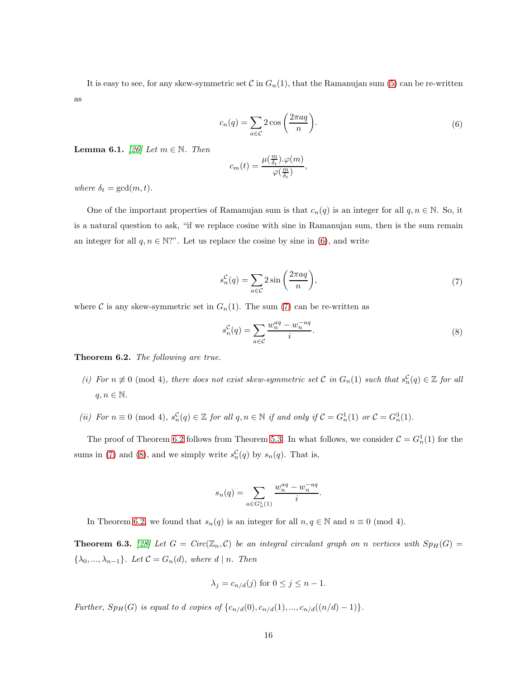It is easy to see, for any skew-symmetric set  $C$  in  $G_n(1)$ , that the Ramanujan sum [\(5\)](#page-36-1) can be re-written as

$$
c_n(q) = \sum_{a \in \mathcal{C}} 2 \cos\left(\frac{2\pi aq}{n}\right).
$$
 (6)

<span id="page-37-2"></span><span id="page-37-0"></span>**Lemma 6.1.** *[\[26\]](#page-46-8) Let*  $m \in \mathbb{N}$ *. Then* 

$$
c_m(t)=\frac{\mu(\frac{m}{\delta_t}).\varphi(m)}{\varphi(\frac{m}{\delta_t})},
$$

*where*  $\delta_t = \gcd(m, t)$ *.* 

One of the important properties of Ramanujan sum is that  $c_n(q)$  is an integer for all  $q, n \in \mathbb{N}$ . So, it is a natural question to ask, "if we replace cosine with sine in Ramanujan sum, then is the sum remain an integer for all  $q, n \in \mathbb{N}$ ?". Let us replace the cosine by sine in [\(6\)](#page-37-0), and write

$$
s_n^{\mathcal{C}}(q) = \sum_{a \in \mathcal{C}} 2\sin\left(\frac{2\pi aq}{n}\right),\tag{7}
$$

<span id="page-37-3"></span><span id="page-37-1"></span>where C is any skew-symmetric set in  $G_n(1)$ . The sum [\(7\)](#page-37-1) can be re-written as

$$
s_n^{\mathcal{C}}(q) = \sum_{a \in \mathcal{C}} \frac{w_n^{aq} - w_n^{-aq}}{i}.\tag{8}
$$

<span id="page-37-5"></span>Theorem 6.2. *The following are true.*

- (*i)* For  $n \neq 0$  (mod 4), there does not exist skew-symmetric set C in  $G_n(1)$  such that  $s_n^C(q) \in \mathbb{Z}$  for all  $q, n \in \mathbb{N}$ .
- (*ii*) *For*  $n \equiv 0 \pmod{4}$ ,  $s_n^{\mathcal{C}}(q) \in \mathbb{Z}$  *for all*  $q, n \in \mathbb{N}$  *if and only if*  $\mathcal{C} = G_n^1(1)$  *or*  $\mathcal{C} = G_n^3(1)$ *.*

The proof of Theorem [6.2](#page-37-5) follows from Theorem [5.3.](#page-34-2) In what follows, we consider  $C = G_n^1(1)$  for the sums in [\(7\)](#page-37-1) and [\(8\)](#page-37-3), and we simply write  $s_n^{\mathcal{C}}(q)$  by  $s_n(q)$ . That is,

$$
s_n(q) = \sum_{a \in G_n^1(1)} \frac{w_n^{aq} - w_n^{-aq}}{i}.
$$

In Theorem [6.2,](#page-37-5) we found that  $s_n(q)$  is an integer for all  $n, q \in \mathbb{N}$  and  $n \equiv 0 \pmod{4}$ .

<span id="page-37-4"></span>**Theorem 6.3.** [\[28\]](#page-46-5) Let  $G = Circ(\mathbb{Z}_n, C)$  be an integral circulant graph on n vertices with  $Sp_H(G)$  =  $\{\lambda_0, ..., \lambda_{n-1}\}$ *. Let*  $C = G_n(d)$ *, where*  $d | n$ *. Then* 

$$
\lambda_j = c_{n/d}(j) \text{ for } 0 \le j \le n-1.
$$

*Further,*  $Sp_H(G)$  *is equal to d copies of*  $\{c_{n/d}(0), c_{n/d}(1), ..., c_{n/d}((n/d) - 1)\}.$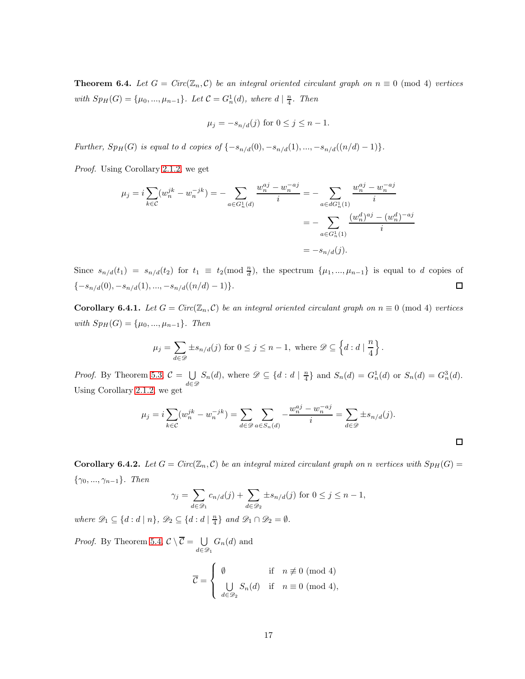<span id="page-38-0"></span>**Theorem 6.4.** Let  $G = Circ(\mathbb{Z}_n, \mathcal{C})$  be an integral oriented circulant graph on  $n \equiv 0 \pmod{4}$  vertices *with*  $Sp_H(G) = {\mu_0, ..., \mu_{n-1}}$ *. Let*  $C = G_n^1(d)$ *, where*  $d | \frac{n}{4}$ *. Then* 

$$
\mu_j = -s_{n/d}(j)
$$
 for  $0 \le j \le n - 1$ .

*Further,*  $Sp_H(G)$  *is equal to d copies of*  $\{-s_{n/d}(0), -s_{n/d}(1), ..., -s_{n/d}((n/d) - 1)\}.$ 

*Proof.* Using Corollary [2.1.2,](#page-26-3) we get

$$
\mu_j = i \sum_{k \in \mathcal{C}} (w_n^{jk} - w_n^{-jk}) = - \sum_{a \in G_n^1(d)} \frac{w_n^{aj} - w_n^{-aj}}{i} = - \sum_{a \in dG_n^1(1)} \frac{w_n^{aj} - w_n^{-aj}}{i}
$$

$$
= - \sum_{a \in G_n^1(1)} \frac{(w_n^d)^{aj} - (w_n^d)^{-aj}}{i}
$$

$$
= -s_{n/d}(j).
$$

Since  $s_{n/d}(t_1) = s_{n/d}(t_2)$  for  $t_1 \equiv t_2 \pmod{\frac{n}{d}}$ , the spectrum  $\{\mu_1, ..., \mu_{n-1}\}$  is equal to d copies of  ${-s_{n/d}(0), -s_{n/d}(1), ..., -s_{n/d}((n/d) - 1)}.$  $\Box$ 

Corollary 6.4.1. Let  $G = Circ(\mathbb{Z}_n, C)$  be an integral oriented circulant graph on  $n \equiv 0 \pmod{4}$  vertices *with*  $Sp_H(G) = {\mu_0, ..., \mu_{n-1}}$ *. Then* 

$$
\mu_j = \sum_{d \in \mathscr{D}} \pm s_{n/d}(j) \text{ for } 0 \le j \le n-1, \text{ where } \mathscr{D} \subseteq \left\{ d : d \mid \frac{n}{4} \right\}.
$$

*Proof.* By Theorem [5.3,](#page-34-2)  $C = \bigcup_{i=1}^{n} C_i$  $\bigcup_{d \in \mathcal{D}} S_n(d)$ , where  $\mathcal{D} \subseteq \{d : d \mid \frac{n}{4}\}\$  and  $S_n(d) = G_n^1(d)$  or  $S_n(d) = G_n^3(d)$ . Using Corollary [2.1.2,](#page-26-3) we get

$$
\mu_j = i \sum_{k \in \mathcal{C}} (w_n^{jk} - w_n^{-jk}) = \sum_{d \in \mathcal{D}} \sum_{a \in S_n(d)} -\frac{w_n^{aj} - w_n^{-aj}}{i} = \sum_{d \in \mathcal{D}} \pm s_{n/d}(j).
$$

 $\Box$ 

**Corollary 6.4.2.** Let  $G = Circ(\mathbb{Z}_n, C)$  be an integral mixed circulant graph on n vertices with  $Sp_H(G)$ {γ0, ..., γn−<sup>1</sup>}*. Then*

$$
\gamma_j = \sum_{d \in \mathcal{D}_1} c_{n/d}(j) + \sum_{d \in \mathcal{D}_2} \pm s_{n/d}(j) \text{ for } 0 \le j \le n-1,
$$

*where*  $\mathscr{D}_1 \subseteq \{d : d \mid n\}$ ,  $\mathscr{D}_2 \subseteq \{d : d \mid \frac{n}{4}\}$  and  $\mathscr{D}_1 \cap \mathscr{D}_2 = \emptyset$ .

*Proof.* By Theorem [5.4,](#page-35-0)  $C \setminus C = \bigcup_{\alpha \in C} C$  $\bigcup_{d \in \mathscr{D}_1} G_n(d)$  and

$$
\overline{\mathcal{C}} = \begin{cases} \emptyset & \text{if } n \not\equiv 0 \pmod{4} \\ \bigcup_{d \in \mathcal{D}_2} S_n(d) & \text{if } n \equiv 0 \pmod{4}, \end{cases}
$$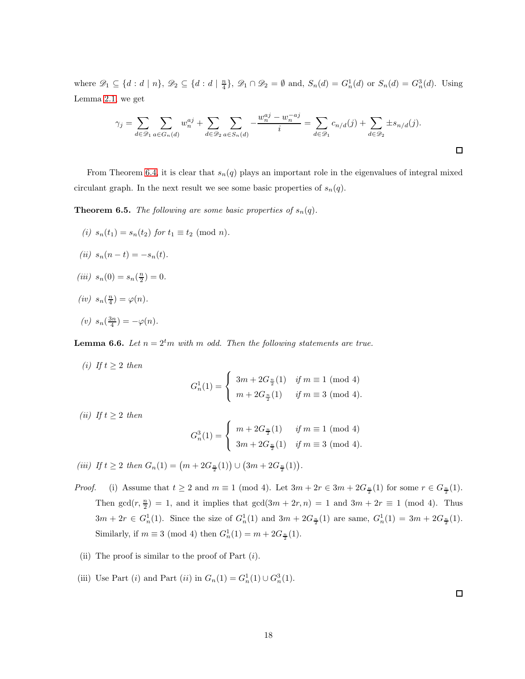where  $\mathscr{D}_1 \subseteq \{d : d \mid n\}$ ,  $\mathscr{D}_2 \subseteq \{d : d \mid \frac{n}{4}\}$ ,  $\mathscr{D}_1 \cap \mathscr{D}_2 = \emptyset$  and,  $S_n(d) = G_n^1(d)$  or  $S_n(d) = G_n^3(d)$ . Using Lemma [2.1,](#page-25-0) we get

$$
\gamma_j = \sum_{d \in \mathcal{D}_1} \sum_{a \in G_n(d)} w_n^{aj} + \sum_{d \in \mathcal{D}_2} \sum_{a \in S_n(d)} -\frac{w_n^{aj} - w_n^{-aj}}{i} = \sum_{d \in \mathcal{D}_1} c_{n/d}(j) + \sum_{d \in \mathcal{D}_2} \pm s_{n/d}(j).
$$

From Theorem [6.4,](#page-38-0) it is clear that  $s_n(q)$  plays an important role in the eigenvalues of integral mixed circulant graph. In the next result we see some basic properties of  $s_n(q)$ .

**Theorem 6.5.** *The following are some basic properties of*  $s_n(q)$ *.* 

- *(i)*  $s_n(t_1) = s_n(t_2)$  *for*  $t_1 \equiv t_2 \pmod{n}$ .
- $(iii)$   $s_n(n-t) = -s_n(t)$ .
- (*iii*)  $s_n(0) = s_n(\frac{n}{2}) = 0.$
- (*iv*)  $s_n(\frac{n}{4}) = \varphi(n)$ .
- $(v)$   $s_n(\frac{3n}{4}) = -\varphi(n)$ *.*

<span id="page-39-0"></span>**Lemma 6.6.** Let  $n = 2^tm$  with m odd. Then the following statements are true.

- *(i)* If  $t \geq 2$  *then*  $G_n^1(1) =$  $\sqrt{ }$  $\left| \right|$  $\mathcal{L}$  $3m + 2G_{\frac{n}{2}}(1)$  *if*  $m \equiv 1 \pmod{4}$  $m + 2G_{\frac{n}{2}}(1)$  *if*  $m \equiv 3 \pmod{4}$ .
- *(ii)* If  $t \geq 2$  *then*

$$
G_n^3(1) = \begin{cases} m + 2G_{\frac{n}{2}}(1) & \text{if } m \equiv 1 \pmod{4} \\ 3m + 2G_{\frac{n}{2}}(1) & \text{if } m \equiv 3 \pmod{4}. \end{cases}
$$

(*iii*) If  $t \geq 2$  then  $G_n(1) = (m + 2G_{\frac{n}{2}}(1)) \cup (3m + 2G_{\frac{n}{2}}(1)).$ 

- *Proof.* (i) Assume that  $t \geq 2$  and  $m \equiv 1 \pmod{4}$ . Let  $3m + 2r \in 3m + 2G_{\frac{n}{2}}(1)$  for some  $r \in G_{\frac{n}{2}}(1)$ . Then  $gcd(r, \frac{n}{2}) = 1$ , and it implies that  $gcd(3m + 2r, n) = 1$  and  $3m + 2r \equiv 1 \pmod{4}$ . Thus  $3m + 2r \in G_n^1(1)$ . Since the size of  $G_n^1(1)$  and  $3m + 2G_{\frac{n}{2}}(1)$  are same,  $G_n^1(1) = 3m + 2G_{\frac{n}{2}}(1)$ . Similarly, if  $m \equiv 3 \pmod{4}$  then  $G_n^1(1) = m + 2G_{\frac{n}{2}}(1)$ .
- (ii) The proof is similar to the proof of Part  $(i)$ .
- (iii) Use Part (*i*) and Part (*ii*) in  $G_n(1) = G_n^1(1) \cup G_n^3(1)$ .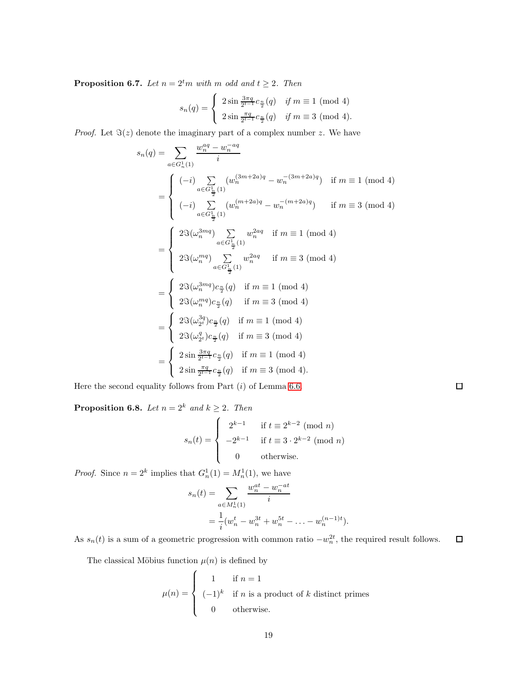**Proposition 6.7.** *Let*  $n = 2^t m$  *with*  $m$  *odd and*  $t \geq 2$ *. Then* 

$$
s_n(q) = \begin{cases} 2\sin\frac{3\pi q}{2^{t-1}}c_{\frac{n}{2}}(q) & \text{if } m \equiv 1 \pmod{4} \\ 2\sin\frac{\pi q}{2^{t-1}}c_{\frac{n}{2}}(q) & \text{if } m \equiv 3 \pmod{4}. \end{cases}
$$

*Proof.* Let  $\Im(z)$  denote the imaginary part of a complex number z. We have

$$
s_n(q) = \sum_{a \in G_n^1(1)} \frac{w_n^{aq} - w_n^{-aq}}{i}
$$
  
\n
$$
= \begin{cases}\n(-i) \sum_{a \in G_{\frac{1}{2}}^1(1)} (w_n^{(3m+2a)q} - w_n^{-(3m+2a)q}) & \text{if } m \equiv 1 \pmod{4} \\
(-i) \sum_{a \in G_{\frac{1}{2}}^1(1)} (w_n^{(m+2a)q} - w_n^{-(m+2a)q}) & \text{if } m \equiv 3 \pmod{4} \\
\frac{2 \Im(\omega_n^{3mq}) \sum_{a \in G_{\frac{1}{2}}^1(1)} w_n^{2aq}}{i \Im(\omega_n^{nq}) \sum_{a \in G_{\frac{1}{2}}^1(1)} w_n^{2aq}} & \text{if } m \equiv 1 \pmod{4} \\
2 \Im(\omega_n^{mq}) \sum_{a \in G_{\frac{1}{2}}^1(1)} w_n^{2aq} & \text{if } m \equiv 3 \pmod{4} \\
2 \Im(\omega_n^{mq}) c_{\frac{n}{2}}(q) & \text{if } m \equiv 1 \pmod{4} \\
2 \Im(\omega_n^{2q}) c_{\frac{n}{2}}(q) & \text{if } m \equiv 3 \pmod{4} \\
2 \Im(\omega_{2^t}^{3q}) c_{\frac{n}{2}}(q) & \text{if } m \equiv 1 \pmod{4} \\
2 \Im(\omega_{2^t}^{q}) c_{\frac{n}{2}}(q) & \text{if } m \equiv 3 \pmod{4} \\
2 \Im(\omega_{2^t}^{q}) c_{\frac{n}{2}}(q) & \text{if } m \equiv 3 \pmod{4} \\
2 \sin \frac{\pi q}{2^{t-1}} c_{\frac{n}{2}}(q) & \text{if } m \equiv 3 \pmod{4}.\n\end{cases}
$$

Here the second equality follows from Part  $(i)$  of Lemma [6.6.](#page-39-0)

<span id="page-40-0"></span>**Proposition 6.8.** *Let*  $n = 2^k$  *and*  $k \ge 2$ *. Then* 

$$
s_n(t) = \begin{cases} 2^{k-1} & \text{if } t \equiv 2^{k-2} \pmod{n} \\ -2^{k-1} & \text{if } t \equiv 3 \cdot 2^{k-2} \pmod{n} \\ 0 & \text{otherwise.} \end{cases}
$$

*Proof.* Since  $n = 2^k$  implies that  $G_n^1(1) = M_n^1(1)$ , we have

$$
s_n(t) = \sum_{a \in M_n^1(1)} \frac{w_n^{at} - w_n^{-at}}{i}
$$
  
= 
$$
\frac{1}{i} (w_n^t - w_n^{3t} + w_n^{5t} - \dots - w_n^{(n-1)t}).
$$

As  $s_n(t)$  is a sum of a geometric progression with common ratio  $-w_n^{2t}$ , the required result follows.  $\Box$ 

The classical Möbius function  $\mu(n)$  is defined by

$$
\mu(n) = \begin{cases}\n1 & \text{if } n = 1 \\
(-1)^k & \text{if } n \text{ is a product of } k \text{ distinct primes} \\
0 & \text{otherwise.} \n\end{cases}
$$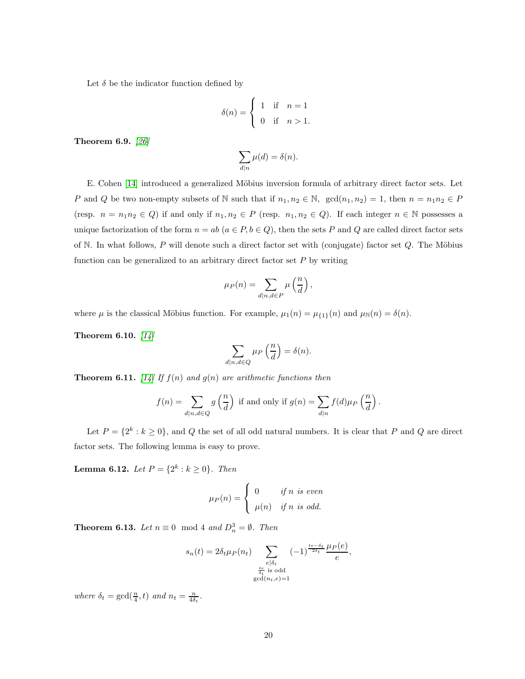Let  $\delta$  be the indicator function defined by

$$
\delta(n) = \begin{cases} 1 & \text{if } n = 1 \\ 0 & \text{if } n > 1. \end{cases}
$$

<span id="page-41-0"></span>Theorem 6.9. *[\[26\]](#page-46-8)*

$$
\sum_{d|n} \mu(d) = \delta(n).
$$

E. Cohen [\[14\]](#page-45-13) introduced a generalized Möbius inversion formula of arbitrary direct factor sets. Let P and Q be two non-empty subsets of N such that if  $n_1, n_2 \in \mathbb{N}$ ,  $\gcd(n_1, n_2) = 1$ , then  $n = n_1 n_2 \in P$ (resp.  $n = n_1 n_2 \in Q$ ) if and only if  $n_1, n_2 \in P$  (resp.  $n_1, n_2 \in Q$ ). If each integer  $n \in \mathbb{N}$  possesses a unique factorization of the form  $n = ab$   $(a \in P, b \in Q)$ , then the sets P and Q are called direct factor sets of N. In what follows, P will denote such a direct factor set with (conjugate) factor set  $Q$ . The Möbius function can be generalized to an arbitrary direct factor set  $P$  by writing

$$
\mu_P(n) = \sum_{d|n,d \in P} \mu\left(\frac{n}{d}\right),\,
$$

where  $\mu$  is the classical Möbius function. For example,  $\mu_1(n) = \mu_{\{1\}}(n)$  and  $\mu_N(n) = \delta(n)$ .

Theorem 6.10. *[\[14\]](#page-45-13)*

$$
\sum_{d|n,d\in Q} \mu_P\left(\frac{n}{d}\right) = \delta(n).
$$

<span id="page-41-1"></span>**Theorem 6.11.** [\[14\]](#page-45-13) If  $f(n)$  and  $g(n)$  are arithmetic functions then

$$
f(n) = \sum_{d|n,d \in Q} g\left(\frac{n}{d}\right) \text{ if and only if } g(n) = \sum_{d|n} f(d)\mu_P\left(\frac{n}{d}\right).
$$

Let  $P = \{2^k : k \ge 0\}$ , and Q the set of all odd natural numbers. It is clear that P and Q are direct factor sets. The following lemma is easy to prove.

<span id="page-41-3"></span>**Lemma 6.12.** *Let*  $P = \{2^k : k \ge 0\}$ *. Then* 

$$
\mu_P(n) = \begin{cases} 0 & \text{if } n \text{ is even} \\ \mu(n) & \text{if } n \text{ is odd.} \end{cases}
$$

<span id="page-41-2"></span>**Theorem 6.13.** *Let*  $n \equiv 0 \mod 4$  *and*  $D_n^3 = \emptyset$ *. Then* 

$$
s_n(t) = 2\delta_t \mu_P(n_t) \sum_{\substack{e \mid \delta_t \\ \frac{te}{\delta_t} \text{ is odd} \\ \gcd(n_t, e) = 1}} (-1)^{\frac{te - \delta_t}{2\delta_t}} \frac{\mu_P(e)}{e},
$$

where  $\delta_t = \gcd(\frac{n}{4}, t)$  and  $n_t = \frac{n}{4\delta_t}$ .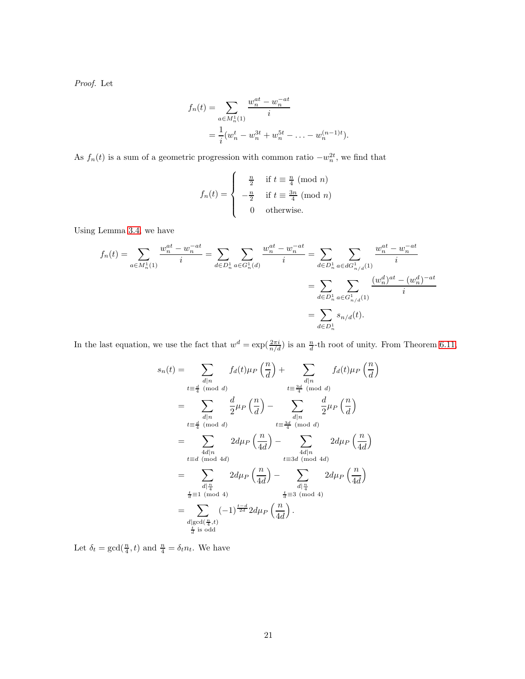*Proof.* Let

$$
f_n(t) = \sum_{a \in M_n^1(1)} \frac{w_n^{at} - w_n^{-at}}{i}
$$
  
= 
$$
\frac{1}{i} (w_n^t - w_n^{3t} + w_n^{5t} - \dots - w_n^{(n-1)t}).
$$

As  $f_n(t)$  is a sum of a geometric progression with common ratio  $-w_n^{2t}$ , we find that

$$
f_n(t) = \begin{cases} \frac{n}{2} & \text{if } t \equiv \frac{n}{4} \pmod{n} \\ -\frac{n}{2} & \text{if } t \equiv \frac{3n}{4} \pmod{n} \\ 0 & \text{otherwise.} \end{cases}
$$

Using Lemma [3.4,](#page-29-0) we have

$$
f_n(t) = \sum_{a \in M_n^1(1)} \frac{w_n^{at} - w_n^{-at}}{i} = \sum_{d \in D_n^1} \sum_{a \in G_n^1(d)} \frac{w_n^{at} - w_n^{-at}}{i} = \sum_{d \in D_n^1} \sum_{a \in dG_{n/d}^1(1)} \frac{w_n^{at} - w_n^{-at}}{i}
$$

$$
= \sum_{d \in D_n^1} \sum_{a \in G_{n/d}^1(1)} \frac{(w_n^d)^{at} - (w_n^d)^{-at}}{i}
$$

$$
= \sum_{d \in D_n^1} s_{n/d}(t).
$$

In the last equation, we use the fact that  $w^d = \exp(\frac{2\pi i}{n/d})$  is an  $\frac{n}{d}$ -th root of unity. From Theorem [6.11,](#page-41-1)

$$
s_n(t) = \sum_{\substack{d|n \ t \equiv \frac{d}{4} \pmod{d}}} f_d(t)\mu_P\left(\frac{n}{d}\right) + \sum_{\substack{d|n \ d|n}} f_d(t)\mu_P\left(\frac{n}{d}\right)
$$
  
\n
$$
= \sum_{\substack{d|n \ d|n}} \frac{d}{2}\mu_P\left(\frac{n}{d}\right) - \sum_{\substack{d|n \ d|n}} \frac{d}{2}\mu_P\left(\frac{n}{d}\right)
$$
  
\n
$$
= \sum_{\substack{d|n \ d|n}} 2d\mu_P\left(\frac{n}{4d}\right) - \sum_{\substack{d|n \ d|n}} 2d\mu_P\left(\frac{n}{4d}\right)
$$
  
\n
$$
= \sum_{\substack{d|n \ d|n \ d \equiv 1 \pmod{4d}}} 2d\mu_P\left(\frac{n}{4d}\right) - \sum_{\substack{d|n \ d|n \ d \equiv 3d \pmod{4d}}} 2d\mu_P\left(\frac{n}{4d}\right)
$$
  
\n
$$
= \sum_{\substack{d|n \ d \equiv 1 \pmod{4} \\ \frac{d}{d} \equiv 1 \pmod{4}}} 2d\mu_P\left(\frac{n}{4d}\right) - \sum_{\substack{d|n \ d \equiv 3 \pmod{4} \\ \frac{d}{d} \equiv 3 \pmod{4}}} 2d\mu_P\left(\frac{n}{4d}\right)
$$
  
\n
$$
= \sum_{\substack{d|gcd(\frac{n}{4},t) \\ \frac{d}{d} \equiv 3 \pmod{4}}} (-1)^{\frac{t-d}{2d}} 2d\mu_P\left(\frac{n}{4d}\right).
$$

Let  $\delta_t = \gcd(\frac{n}{4}, t)$  and  $\frac{n}{4} = \delta_t n_t$ . We have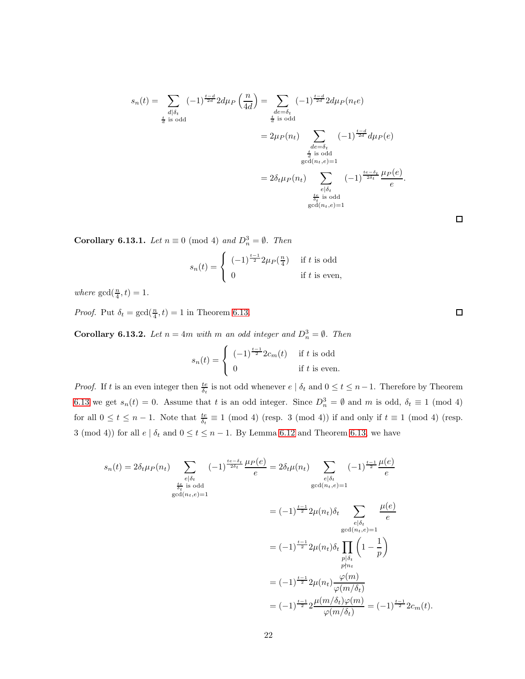$$
s_n(t) = \sum_{\substack{d \mid \delta_t \\ \frac{t}{d} \text{ is odd}}} (-1)^{\frac{t-d}{2d}} 2d\mu_P\left(\frac{n}{4d}\right) = \sum_{\substack{de = \delta_t \\ \frac{t}{d} \text{ is odd}}} (-1)^{\frac{t-d}{2d}} 2d\mu_P(n_t e)
$$

$$
= 2\mu_P(n_t) \sum_{\substack{de = \delta_t \\ \frac{t}{d} \text{ is odd}}} (-1)^{\frac{t-d}{2d}} d\mu_P(e)
$$

$$
= 2\delta_t \mu_P(n_t) \sum_{\substack{e \mid \delta_t \\ \frac{te}{d} \text{ is odd}}} (-1)^{\frac{te-\delta_t}{2\delta_t}} \frac{\mu_P(e)}{e}.
$$

$$
= 2\delta_t \mu_P(n_t) \sum_{\substack{e \mid \delta_t \\ \frac{te}{\delta_t} \text{ is odd}}} (-1)^{\frac{te-\delta_t}{2\delta_t}} \frac{\mu_P(e)}{e}.
$$

**Corollary 6.13.1.** *Let*  $n \equiv 0 \pmod{4}$  *and*  $D_n^3 = \emptyset$ *. Then* 

$$
s_n(t) = \begin{cases} (-1)^{\frac{t-1}{2}} 2\mu_P(\frac{n}{4}) & \text{if } t \text{ is odd} \\ 0 & \text{if } t \text{ is even,} \end{cases}
$$

where  $gcd(\frac{n}{4}, t) = 1$ .

*Proof.* Put  $\delta_t = \gcd(\frac{n}{4}, t) = 1$  in Theorem [6.13.](#page-41-2)

**Corollary 6.13.2.** *Let*  $n = 4m$  *with*  $m$  *an odd integer and*  $D_n^3 = \emptyset$ *. Then* 

$$
s_n(t) = \begin{cases} (-1)^{\frac{t-1}{2}} 2c_m(t) & \text{if } t \text{ is odd} \\ 0 & \text{if } t \text{ is even.} \end{cases}
$$

*Proof.* If t is an even integer then  $\frac{te}{\delta_t}$  is not odd whenever  $e \mid \delta_t$  and  $0 \le t \le n-1$ . Therefore by Theorem [6.13](#page-41-2) we get  $s_n(t) = 0$ . Assume that t is an odd integer. Since  $D_n^3 = \emptyset$  and m is odd,  $\delta_t \equiv 1 \pmod{4}$ for all  $0 \le t \le n-1$ . Note that  $\frac{te}{\delta_t} \equiv 1 \pmod{4}$  (resp. 3 (mod 4)) if and only if  $t \equiv 1 \pmod{4}$  (resp. 3 (mod 4)) for all  $e | \delta_t$  and  $0 \le t \le n - 1$ . By Lemma [6.12](#page-41-3) and Theorem [6.13,](#page-41-2) we have

$$
s_n(t) = 2\delta_t \mu_P(n_t) \sum_{\substack{e|\delta_t \\ \frac{te}{\delta_t} \text{ is odd}}} (-1)^{\frac{te-\delta_t}{2\delta_t}} \frac{\mu_P(e)}{e} = 2\delta_t \mu(n_t) \sum_{\substack{e|\delta_t \\ \gcd(n_t, e) = 1}} (-1)^{\frac{t-1}{2}} \frac{\mu(e)}{e}
$$
  

$$
= (-1)^{\frac{t-1}{2}} 2\mu(n_t)\delta_t \sum_{\substack{e|\delta_t \\ \gcd(n_t, e) = 1}} \frac{\mu(e)}{e}
$$
  

$$
= (-1)^{\frac{t-1}{2}} 2\mu(n_t)\delta_t \prod_{\substack{p|\delta_t \\ p \nmid n_t}} \left(1 - \frac{1}{p}\right)
$$
  

$$
= (-1)^{\frac{t-1}{2}} 2\mu(n_t) \frac{\varphi(m)}{\varphi(m/\delta_t)}
$$
  

$$
= (-1)^{\frac{t-1}{2}} 2\frac{\mu(m/\delta_t)\varphi(m)}{\varphi(m/\delta_t)} = (-1)^{\frac{t-1}{2}} 2c_m(t).
$$

 $\Box$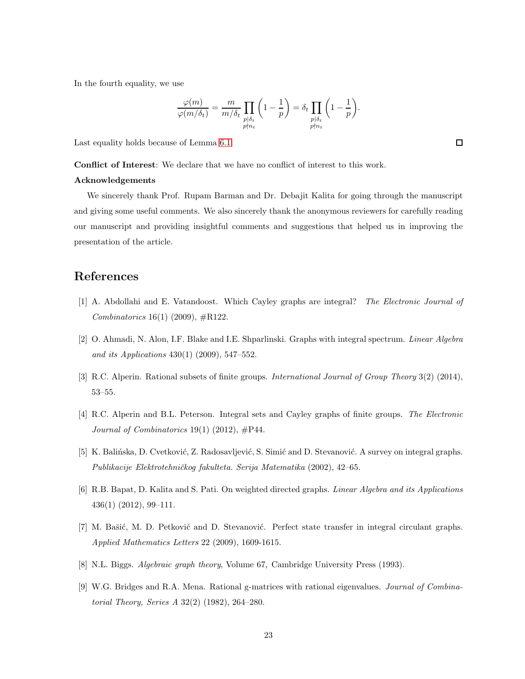In the fourth equality, we use

$$
\frac{\varphi(m)}{\varphi(m/\delta_t)} = \frac{m}{m/\delta_t} \prod_{\substack{p \mid \delta_t \\ p \nmid n_t}} \left(1-\frac{1}{p}\right) = \delta_t \prod_{\substack{p \mid \delta_t \\ p \nmid n_t}} \left(1-\frac{1}{p}\right)
$$

.

Last equality holds because of Lemma [6.1.](#page-37-2)

Conflict of Interest: We declare that we have no conflict of interest to this work.

#### Acknowledgements

We sincerely thank Prof. Rupam Barman and Dr. Debajit Kalita for going through the manuscript and giving some useful comments. We also sincerely thank the anonymous reviewers for carefully reading our manuscript and providing insightful comments and suggestions that helped us in improving the presentation of the article.

## <span id="page-44-3"></span>References

- <span id="page-44-1"></span>[1] A. Abdollahi and E. Vatandoost. Which Cayley graphs are integral? *The Electronic Journal of Combinatorics* 16(1) (2009), #R122.
- <span id="page-44-5"></span>[2] O. Ahmadi, N. Alon, I.F. Blake and I.E. Shparlinski. Graphs with integral spectrum. *Linear Algebra and its Applications* 430(1) (2009), 547–552.
- <span id="page-44-4"></span>[3] R.C. Alperin. Rational subsets of finite groups. *International Journal of Group Theory* 3(2) (2014), 53–55.
- <span id="page-44-0"></span>[4] R.C. Alperin and B.L. Peterson. Integral sets and Cayley graphs of finite groups. *The Electronic Journal of Combinatorics* 19(1) (2012), #P44.
- <span id="page-44-7"></span>[5] K. Balińska, D. Cvetković, Z. Radosavljević, S. Simić and D. Stevanović. A survey on integral graphs. *Publikacije Elektrotehniˇckog fakulteta. Serija Matematika* (2002), 42–65.
- <span id="page-44-8"></span>[6] R.B. Bapat, D. Kalita and S. Pati. On weighted directed graphs. *Linear Algebra and its Applications* 436(1) (2012), 99–111.
- <span id="page-44-6"></span>[7] M. Bašić, M. D. Petković and D. Stevanović. Perfect state transfer in integral circulant graphs. *Applied Mathematics Letters* 22 (2009), 1609-1615.
- <span id="page-44-2"></span>[8] N.L. Biggs. *Algebraic graph theory*, Volume 67, Cambridge University Press (1993).
- [9] W.G. Bridges and R.A. Mena. Rational g-matrices with rational eigenvalues. *Journal of Combinatorial Theory, Series A* 32(2) (1982), 264–280.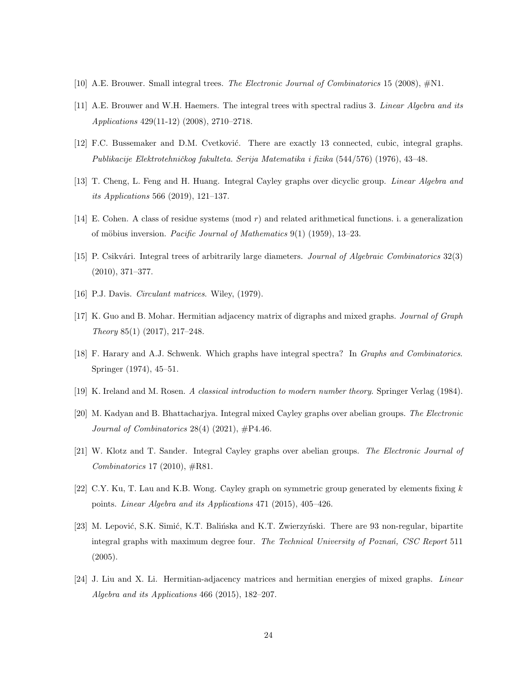- <span id="page-45-4"></span><span id="page-45-3"></span>[10] A.E. Brouwer. Small integral trees. *The Electronic Journal of Combinatorics* 15 (2008), #N1.
- <span id="page-45-5"></span>[11] A.E. Brouwer and W.H. Haemers. The integral trees with spectral radius 3. *Linear Algebra and its Applications* 429(11-12) (2008), 2710–2718.
- <span id="page-45-10"></span>[12] F.C. Bussemaker and D.M. Cvetković. There are exactly 13 connected, cubic, integral graphs. *Publikacije Elektrotehniˇckog fakulteta. Serija Matematika i fizika* (544/576) (1976), 43–48.
- <span id="page-45-13"></span>[13] T. Cheng, L. Feng and H. Huang. Integral Cayley graphs over dicyclic group. *Linear Algebra and its Applications* 566 (2019), 121–137.
- <span id="page-45-2"></span>[14] E. Cohen. A class of residue systems (mod r) and related arithmetical functions. i. a generalization of m¨obius inversion. *Pacific Journal of Mathematics* 9(1) (1959), 13–23.
- <span id="page-45-11"></span>[15] P. Csikvári. Integral trees of arbitrarily large diameters. *Journal of Algebraic Combinatorics* 32(3) (2010), 371–377.
- <span id="page-45-7"></span>[16] P.J. Davis. *Circulant matrices*. Wiley, (1979).
- <span id="page-45-1"></span>[17] K. Guo and B. Mohar. Hermitian adjacency matrix of digraphs and mixed graphs. *Journal of Graph Theory* 85(1) (2017), 217–248.
- <span id="page-45-12"></span>[18] F. Harary and A.J. Schwenk. Which graphs have integral spectra? In *Graphs and Combinatorics*. Springer (1974), 45–51.
- <span id="page-45-14"></span>[19] K. Ireland and M. Rosen. *A classical introduction to modern number theory*. Springer Verlag (1984).
- <span id="page-45-8"></span>[20] M. Kadyan and B. Bhattacharjya. Integral mixed Cayley graphs over abelian groups. *The Electronic Journal of Combinatorics* 28(4) (2021), #P4.46.
- <span id="page-45-9"></span>[21] W. Klotz and T. Sander. Integral Cayley graphs over abelian groups. *The Electronic Journal of Combinatorics* 17 (2010), #R81.
- <span id="page-45-6"></span>[22] C.Y. Ku, T. Lau and K.B. Wong. Cayley graph on symmetric group generated by elements fixing  $k$ points. *Linear Algebra and its Applications* 471 (2015), 405–426.
- [23] M. Lepović, S.K. Simić, K.T. Balińska and K.T. Zwierzyński. There are 93 non-regular, bipartite integral graphs with maximum degree four. *The Technical University of Pozna´n, CSC Report* 511 (2005).
- <span id="page-45-0"></span>[24] J. Liu and X. Li. Hermitian-adjacency matrices and hermitian energies of mixed graphs. *Linear Algebra and its Applications* 466 (2015), 182–207.